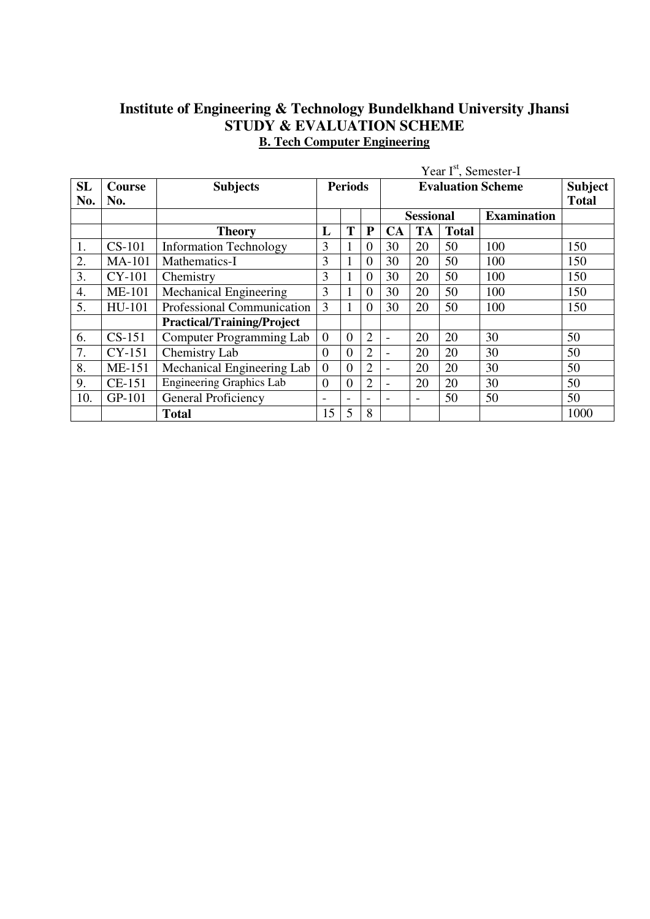## **Institute of Engineering & Technology Bundelkhand University Jhansi STUDY & EVALUATION SCHEME B. Tech Computer Engineering**

|           |                      |                                   |                          |                          |                |                          |                         |              | Year I <sup>st</sup> , Semester-I |      |
|-----------|----------------------|-----------------------------------|--------------------------|--------------------------|----------------|--------------------------|-------------------------|--------------|-----------------------------------|------|
| SL<br>No. | <b>Course</b><br>No. | <b>Subjects</b>                   | <b>Periods</b>           |                          |                |                          | Subject<br><b>Total</b> |              |                                   |      |
|           |                      |                                   |                          |                          |                |                          | <b>Sessional</b>        |              | <b>Examination</b>                |      |
|           |                      | <b>Theory</b>                     | L                        | T                        | ${\bf P}$      | <b>CA</b>                | <b>TA</b>               | <b>Total</b> |                                   |      |
| 1.        | <b>CS-101</b>        | <b>Information Technology</b>     | 3                        | 1                        | $\Omega$       | 30                       | 20                      | 50           | 100                               | 150  |
| 2.        | <b>MA-101</b>        | Mathematics-I                     | 3                        | 1                        | $\theta$       | 30                       | 20                      | 50           | 100                               | 150  |
| 3.        | CY-101               | Chemistry                         | 3                        | 1                        | $\Omega$       | 30                       | 20                      | 50           | 100                               | 150  |
| 4.        | <b>ME-101</b>        | Mechanical Engineering            | 3                        | 1                        | $\theta$       | 30                       | 20                      | 50           | 100                               | 150  |
| 5.        | HU-101               | Professional Communication        | 3                        | 1                        | $\theta$       | 30                       | 20                      | 50           | 100                               | 150  |
|           |                      | <b>Practical/Training/Project</b> |                          |                          |                |                          |                         |              |                                   |      |
| 6.        | $CS-151$             | Computer Programming Lab          | $\overline{0}$           | $\overline{0}$           | $\overline{2}$ | $\overline{\phantom{0}}$ | 20                      | 20           | 30                                | 50   |
| 7.        | CY-151               | Chemistry Lab                     | $\overline{0}$           | $\theta$                 | $\overline{2}$ | $\overline{\phantom{0}}$ | 20                      | 20           | 30                                | 50   |
| 8.        | ME-151               | Mechanical Engineering Lab        | $\overline{0}$           | $\theta$                 | $\overline{2}$ |                          | 20                      | 20           | 30                                | 50   |
| 9.        | CE-151               | <b>Engineering Graphics Lab</b>   | $\overline{0}$           | $\overline{0}$           | $\overline{2}$ | $\overline{\phantom{0}}$ | 20                      | 20           | 30                                | 50   |
| 10.       | GP-101               | General Proficiency               | $\overline{\phantom{0}}$ | $\overline{\phantom{0}}$ | $\equiv$       | $\overline{\phantom{0}}$ | $\equiv$                | 50           | 50                                | 50   |
|           |                      | <b>Total</b>                      | 15                       | 5                        | 8              |                          |                         |              |                                   | 1000 |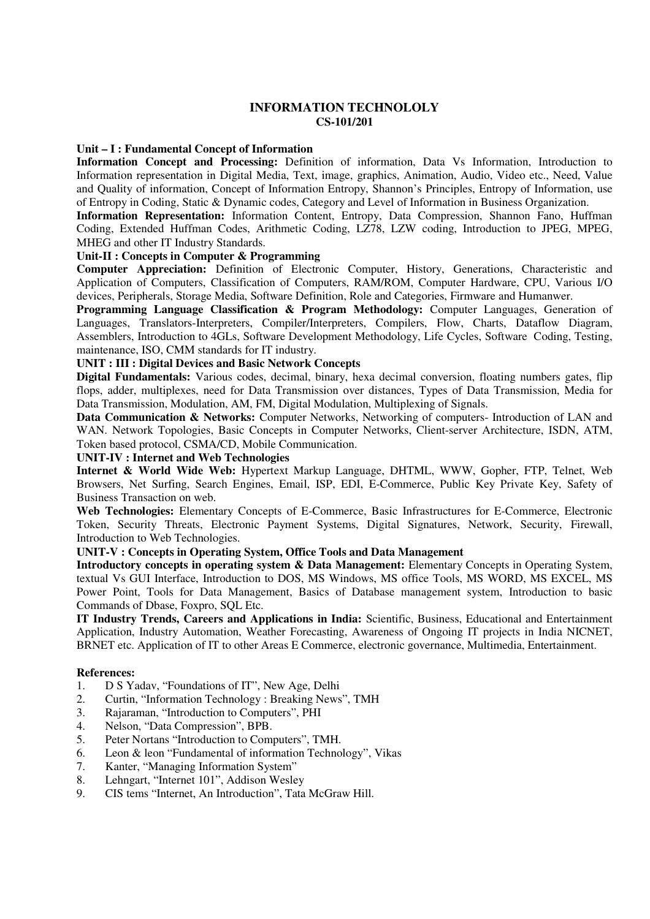#### **INFORMATION TECHNOLOLY CS-101/201**

#### **Unit – I : Fundamental Concept of Information**

**Information Concept and Processing:** Definition of information, Data Vs Information, Introduction to Information representation in Digital Media, Text, image, graphics, Animation, Audio, Video etc., Need, Value and Quality of information, Concept of Information Entropy, Shannon's Principles, Entropy of Information, use of Entropy in Coding, Static & Dynamic codes, Category and Level of Information in Business Organization.

**Information Representation:** Information Content, Entropy, Data Compression, Shannon Fano, Huffman Coding, Extended Huffman Codes, Arithmetic Coding, LZ78, LZW coding, Introduction to JPEG, MPEG, MHEG and other IT Industry Standards.

#### **Unit-II : Concepts in Computer & Programming**

**Computer Appreciation:** Definition of Electronic Computer, History, Generations, Characteristic and Application of Computers, Classification of Computers, RAM/ROM, Computer Hardware, CPU, Various I/O devices, Peripherals, Storage Media, Software Definition, Role and Categories, Firmware and Humanwer.

**Programming Language Classification & Program Methodology:** Computer Languages, Generation of Languages, Translators-Interpreters, Compiler/Interpreters, Compilers, Flow, Charts, Dataflow Diagram, Assemblers, Introduction to 4GLs, Software Development Methodology, Life Cycles, Software Coding, Testing, maintenance, ISO, CMM standards for IT industry.

#### **UNIT : III : Digital Devices and Basic Network Concepts**

**Digital Fundamentals:** Various codes, decimal, binary, hexa decimal conversion, floating numbers gates, flip flops, adder, multiplexes, need for Data Transmission over distances, Types of Data Transmission, Media for Data Transmission, Modulation, AM, FM, Digital Modulation, Multiplexing of Signals.

**Data Communication & Networks:** Computer Networks, Networking of computers- Introduction of LAN and WAN. Network Topologies, Basic Concepts in Computer Networks, Client-server Architecture, ISDN, ATM, Token based protocol, CSMA/CD, Mobile Communication.

#### **UNIT-IV : Internet and Web Technologies**

**Internet & World Wide Web:** Hypertext Markup Language, DHTML, WWW, Gopher, FTP, Telnet, Web Browsers, Net Surfing, Search Engines, Email, ISP, EDI, E-Commerce, Public Key Private Key, Safety of Business Transaction on web.

**Web Technologies:** Elementary Concepts of E-Commerce, Basic Infrastructures for E-Commerce, Electronic Token, Security Threats, Electronic Payment Systems, Digital Signatures, Network, Security, Firewall, Introduction to Web Technologies.

#### **UNIT-V : Concepts in Operating System, Office Tools and Data Management**

**Introductory concepts in operating system & Data Management:** Elementary Concepts in Operating System, textual Vs GUI Interface, Introduction to DOS, MS Windows, MS office Tools, MS WORD, MS EXCEL, MS Power Point, Tools for Data Management, Basics of Database management system, Introduction to basic Commands of Dbase, Foxpro, SQL Etc.

**IT Industry Trends, Careers and Applications in India:** Scientific, Business, Educational and Entertainment Application, Industry Automation, Weather Forecasting, Awareness of Ongoing IT projects in India NICNET, BRNET etc. Application of IT to other Areas E Commerce, electronic governance, Multimedia, Entertainment.

#### **References:**

- 1. D S Yadav, "Foundations of IT", New Age, Delhi
- 2. Curtin, "Information Technology : Breaking News", TMH
- 3. Rajaraman, "Introduction to Computers", PHI
- 4. Nelson, "Data Compression", BPB.
- 5. Peter Nortans "Introduction to Computers", TMH.
- 6. Leon & leon "Fundamental of information Technology", Vikas
- 7. Kanter, "Managing Information System"
- 8. Lehngart, "Internet 101", Addison Wesley
- 9. CIS tems "Internet, An Introduction", Tata McGraw Hill.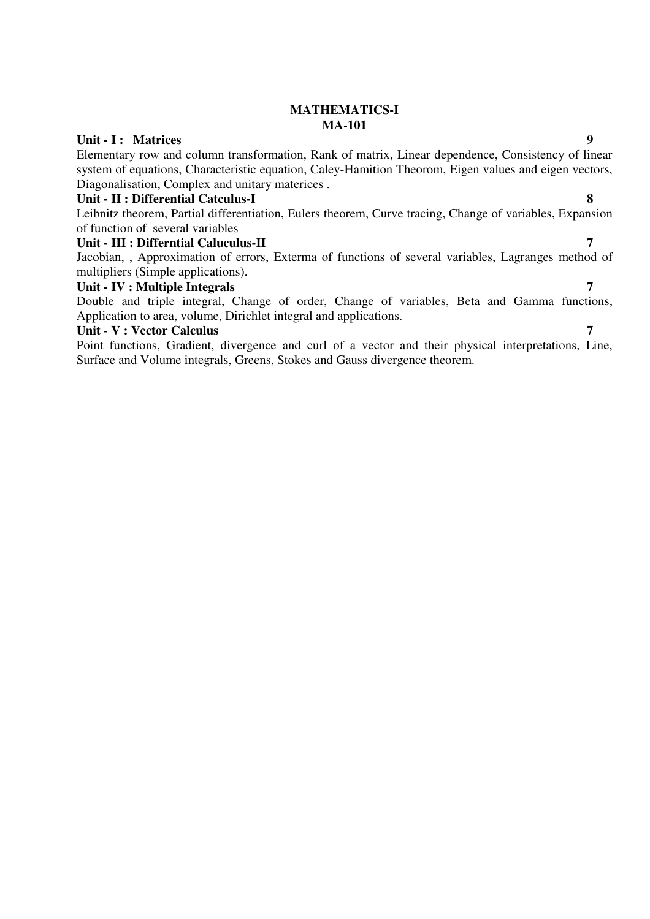## **MATHEMATICS-I MA-101**

## Unit - I : Matrices 9

Elementary row and column transformation, Rank of matrix, Linear dependence, Consistency of linear system of equations, Characteristic equation, Caley-Hamition Theorom, Eigen values and eigen vectors, Diagonalisation, Complex and unitary materices .

#### **Unit - II : Differential Catculus-I 8**

Leibnitz theorem, Partial differentiation, Eulers theorem, Curve tracing, Change of variables, Expansion of function of several variables

#### **Unit - III : Differntial Caluculus-II 7**

Jacobian, , Approximation of errors, Exterma of functions of several variables, Lagranges method of multipliers (Simple applications).

#### Unit - **IV** : Multiple Integrals

Double and triple integral, Change of order, Change of variables, Beta and Gamma functions, Application to area, volume, Dirichlet integral and applications.

#### **Unit - V : Vector Calculus 7**

Point functions, Gradient, divergence and curl of a vector and their physical interpretations, Line, Surface and Volume integrals, Greens, Stokes and Gauss divergence theorem.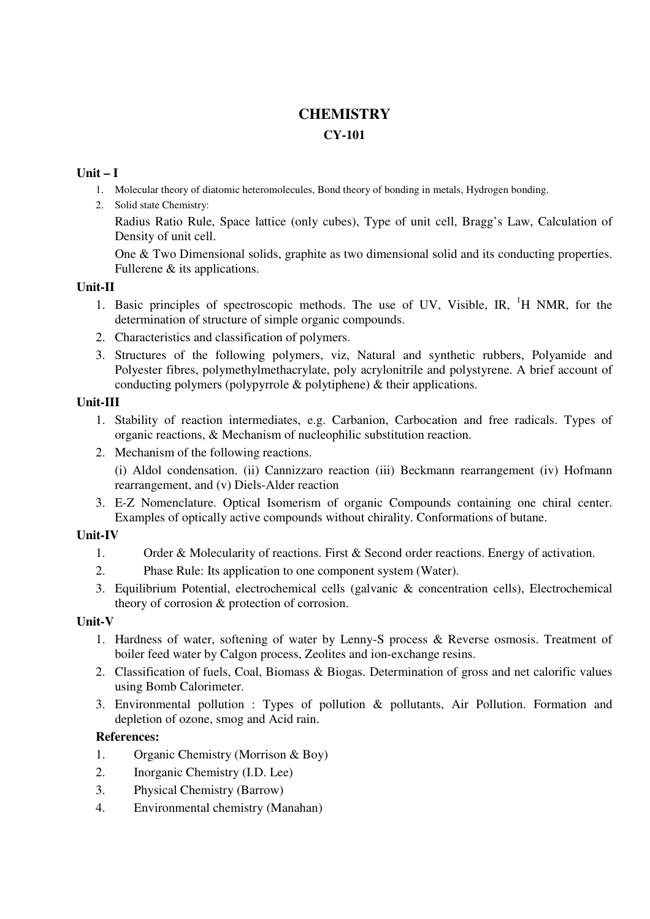# **CHEMISTRY**

## **CY-101**

## **Unit – I**

- 1. Molecular theory of diatomic heteromolecules, Bond theory of bonding in metals, Hydrogen bonding.
- 2. Solid state Chemistry:

Radius Ratio Rule, Space lattice (only cubes), Type of unit cell, Bragg's Law, Calculation of Density of unit cell.

One & Two Dimensional solids, graphite as two dimensional solid and its conducting properties. Fullerene & its applications.

## **Unit-II**

- 1. Basic principles of spectroscopic methods. The use of UV, Visible, IR,  ${}^{1}H$  NMR, for the determination of structure of simple organic compounds.
- 2. Characteristics and classification of polymers.
- 3. Structures of the following polymers, viz, Natural and synthetic rubbers, Polyamide and Polyester fibres, polymethylmethacrylate, poly acrylonitrile and polystyrene. A brief account of conducting polymers (polypyrrole & polytiphene) & their applications.

## **Unit-III**

- 1. Stability of reaction intermediates, e.g. Carbanion, Carbocation and free radicals. Types of organic reactions, & Mechanism of nucleophilic substitution reaction.
- 2. Mechanism of the following reactions.

(i) Aldol condensation. (ii) Cannizzaro reaction (iii) Beckmann rearrangement (iv) Hofmann rearrangement, and (v) Diels-Alder reaction

3. E-Z Nomenclature. Optical Isomerism of organic Compounds containing one chiral center. Examples of optically active compounds without chirality. Conformations of butane.

## **Unit-IV**

- 1. Order & Molecularity of reactions. First & Second order reactions. Energy of activation.
- 2. Phase Rule: Its application to one component system (Water).
- 3. Equilibrium Potential, electrochemical cells (galvanic & concentration cells), Electrochemical theory of corrosion & protection of corrosion.

## **Unit-V**

- 1. Hardness of water, softening of water by Lenny-S process & Reverse osmosis. Treatment of boiler feed water by Calgon process, Zeolites and ion-exchange resins.
- 2. Classification of fuels, Coal, Biomass & Biogas. Determination of gross and net calorific values using Bomb Calorimeter.
- 3. Environmental pollution : Types of pollution & pollutants, Air Pollution. Formation and depletion of ozone, smog and Acid rain.

## **References:**

- 1. Organic Chemistry (Morrison & Boy)
- 2. Inorganic Chemistry (I.D. Lee)
- 3. Physical Chemistry (Barrow)
- 4. Environmental chemistry (Manahan)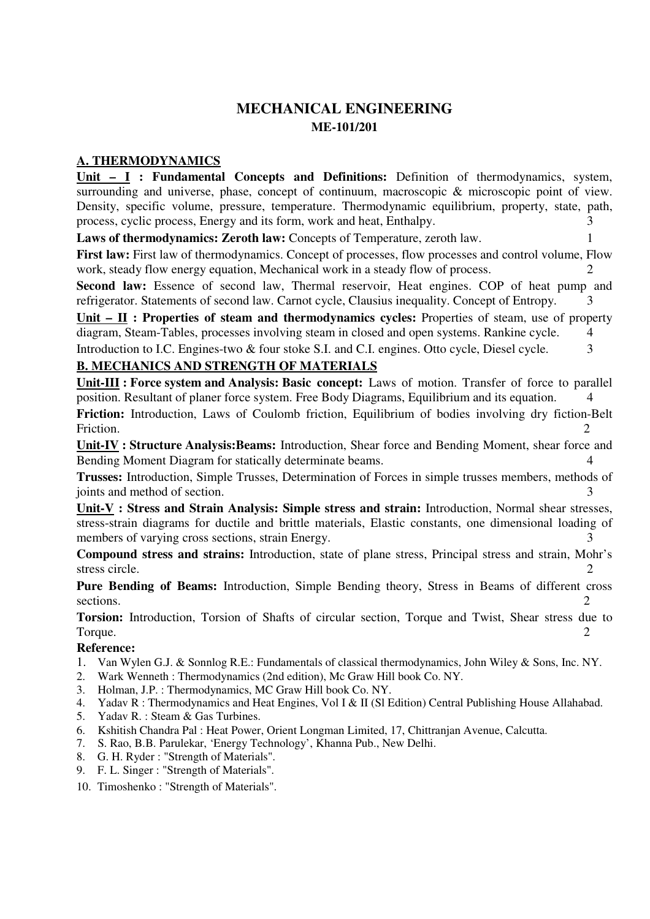## **MECHANICAL ENGINEERING ME-101/201**

## **A. THERMODYNAMICS**

**Unit – I : Fundamental Concepts and Definitions:** Definition of thermodynamics, system, surrounding and universe, phase, concept of continuum, macroscopic & microscopic point of view. Density, specific volume, pressure, temperature. Thermodynamic equilibrium, property, state, path, process, cyclic process, Energy and its form, work and heat, Enthalpy. 3 **Laws of thermodynamics: Zeroth law:** Concepts of Temperature, zeroth law. 1 **First law:** First law of thermodynamics. Concept of processes, flow processes and control volume, Flow work, steady flow energy equation, Mechanical work in a steady flow of process. 2 Second law: Essence of second law, Thermal reservoir, Heat engines. COP of heat pump and refrigerator. Statements of second law. Carnot cycle, Clausius inequality. Concept of Entropy.  $\frac{3}{2}$ **Unit – II : Properties of steam and thermodynamics cycles:** Properties of steam, use of property diagram, Steam-Tables, processes involving steam in closed and open systems. Rankine cycle. 4 Introduction to I.C. Engines-two & four stoke S.I. and C.I. engines. Otto cycle, Diesel cycle. 3 **B. MECHANICS AND STRENGTH OF MATERIALS Unit-III : Force system and Analysis: Basic concept:** Laws of motion. Transfer of force to parallel position. Resultant of planer force system. Free Body Diagrams, Equilibrium and its equation. 4 **Friction:** Introduction, Laws of Coulomb friction, Equilibrium of bodies involving dry fiction-Belt Friction. 2 **Unit-IV : Structure Analysis:Beams:** Introduction, Shear force and Bending Moment, shear force and Bending Moment Diagram for statically determinate beams. 4 **Trusses:** Introduction, Simple Trusses, Determination of Forces in simple trusses members, methods of joints and method of section. 3 **Unit-V : Stress and Strain Analysis: Simple stress and strain:** Introduction, Normal shear stresses, stress-strain diagrams for ductile and brittle materials, Elastic constants, one dimensional loading of members of varying cross sections, strain Energy. 3 **Compound stress and strains:** Introduction, state of plane stress, Principal stress and strain, Mohr's stress circle. 2

**Pure Bending of Beams:** Introduction, Simple Bending theory, Stress in Beams of different cross sections. 2

**Torsion:** Introduction, Torsion of Shafts of circular section, Torque and Twist, Shear stress due to Torque. 2

#### **Reference:**

- 1. Van Wylen G.J. & Sonnlog R.E.: Fundamentals of classical thermodynamics, John Wiley & Sons, Inc. NY.
- 2. Wark Wenneth : Thermodynamics (2nd edition), Mc Graw Hill book Co. NY.
- 3. Holman, J.P. : Thermodynamics, MC Graw Hill book Co. NY.
- 4. Yadav R : Thermodynamics and Heat Engines, Vol I & II (Sl Edition) Central Publishing House Allahabad.
- 5. Yadav R. : Steam & Gas Turbines.
- 6. Kshitish Chandra Pal : Heat Power, Orient Longman Limited, 17, Chittranjan Avenue, Calcutta.
- 7. S. Rao, B.B. Parulekar, 'Energy Technology', Khanna Pub., New Delhi.
- 8. G. H. Ryder : "Strength of Materials".
- 9. F. L. Singer : "Strength of Materials".
- 10. Timoshenko : "Strength of Materials".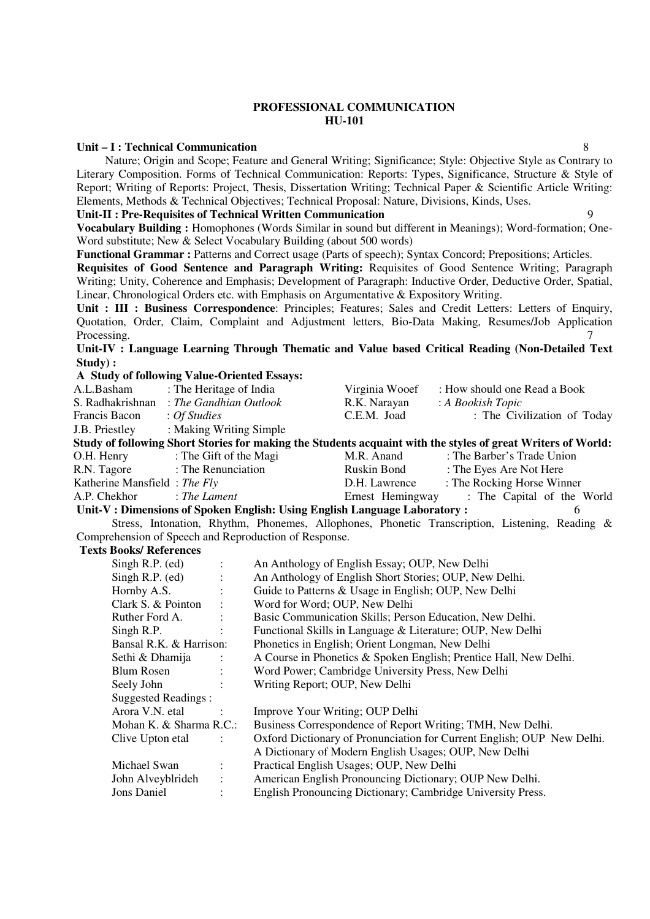#### **PROFESSIONAL COMMUNICATION HU-101**

#### **Unit – I : Technical Communication** 8

Nature; Origin and Scope; Feature and General Writing; Significance; Style: Objective Style as Contrary to Literary Composition. Forms of Technical Communication: Reports: Types, Significance, Structure & Style of Report; Writing of Reports: Project, Thesis, Dissertation Writing; Technical Paper & Scientific Article Writing: Elements, Methods & Technical Objectives; Technical Proposal: Nature, Divisions, Kinds, Uses.

#### **Unit-II : Pre-Requisites of Technical Written Communication** 9

**Vocabulary Building :** Homophones (Words Similar in sound but different in Meanings); Word-formation; One-Word substitute; New & Select Vocabulary Building (about 500 words)

**Functional Grammar :** Patterns and Correct usage (Parts of speech); Syntax Concord; Prepositions; Articles.

**Requisites of Good Sentence and Paragraph Writing:** Requisites of Good Sentence Writing; Paragraph Writing; Unity, Coherence and Emphasis; Development of Paragraph: Inductive Order, Deductive Order, Spatial, Linear, Chronological Orders etc. with Emphasis on Argumentative & Expository Writing.

**Unit : III : Business Correspondence**: Principles; Features; Sales and Credit Letters: Letters of Enquiry, Quotation, Order, Claim, Complaint and Adjustment letters, Bio-Data Making, Resumes/Job Application Processing. 27

**Unit-IV : Language Learning Through Thematic and Value based Critical Reading (Non-Detailed Text Study) :** 

#### **A Study of following Value-Oriented Essays:**

| A.L.Basham                   | : The Heritage of India                                                  | Virginia Wooef   | : How should one Read a Book                                                                                 |
|------------------------------|--------------------------------------------------------------------------|------------------|--------------------------------------------------------------------------------------------------------------|
| S. Radhakrishnan             | : The Gandhian Outlook                                                   | R.K. Narayan     | : A Bookish Topic                                                                                            |
| Francis Bacon                | : Of Studies                                                             | C.E.M. Joad      | : The Civilization of Today                                                                                  |
| J.B. Priestley               | : Making Writing Simple                                                  |                  |                                                                                                              |
|                              |                                                                          |                  | Study of following Short Stories for making the Students acquaint with the styles of great Writers of World: |
| O.H. Henry                   | : The Gift of the Magi                                                   | M.R. Anand       | : The Barber's Trade Union                                                                                   |
|                              | R.N. Tagore : The Renunciation                                           | Ruskin Bond      | : The Eyes Are Not Here                                                                                      |
| Katherine Mansfield: The Fly |                                                                          | D.H. Lawrence    | : The Rocking Horse Winner                                                                                   |
| A.P. Chekhor                 | $:$ The Lament                                                           | Ernest Hemingway | : The Capital of the World                                                                                   |
|                              | Unit-V: Dimensions of Spoken English: Using English Language Laboratory: |                  | 6                                                                                                            |
|                              |                                                                          |                  | Stress, Intonation, Rhythm, Phonemes, Allophones, Phonetic Transcription, Listening, Reading $\&$            |
|                              | Comprehension of Speech and Reproduction of Response.                    |                  |                                                                                                              |
| Toyte Rooke/ Doforonoog      |                                                                          |                  |                                                                                                              |

#### **Texts Books/ References**

| Singh R.P. $(ed)$       | $\ddot{\cdot}$       | An Anthology of English Essay; OUP, New Delhi                          |
|-------------------------|----------------------|------------------------------------------------------------------------|
| Singh R.P. $(ed)$       | $\ddot{\cdot}$       | An Anthology of English Short Stories; OUP, New Delhi.                 |
| Hornby A.S.             | ÷                    | Guide to Patterns & Usage in English; OUP, New Delhi                   |
| Clark S. & Pointon      |                      | Word for Word; OUP, New Delhi                                          |
| Ruther Ford A.          |                      | Basic Communication Skills; Person Education, New Delhi.               |
| Singh R.P.              |                      | Functional Skills in Language & Literature; OUP, New Delhi             |
| Bansal R.K. & Harrison: |                      | Phonetics in English; Orient Longman, New Delhi                        |
| Sethi & Dhamija         |                      | A Course in Phonetics & Spoken English; Prentice Hall, New Delhi.      |
| <b>Blum Rosen</b>       |                      | Word Power; Cambridge University Press, New Delhi                      |
| Seely John              |                      | Writing Report; OUP, New Delhi                                         |
| Suggested Readings:     |                      |                                                                        |
| Arora V.N. etal         |                      | Improve Your Writing; OUP Delhi                                        |
| Mohan K. & Sharma R.C.: |                      | Business Correspondence of Report Writing; TMH, New Delhi.             |
| Clive Upton etal        |                      | Oxford Dictionary of Pronunciation for Current English; OUP New Delhi. |
|                         |                      | A Dictionary of Modern English Usages; OUP, New Delhi                  |
| Michael Swan            | ÷                    | Practical English Usages; OUP, New Delhi                               |
| John Alveyblrideh       | $\ddot{\phantom{a}}$ | American English Pronouncing Dictionary; OUP New Delhi.                |
| <b>Jons Daniel</b>      |                      | English Pronouncing Dictionary; Cambridge University Press.            |
|                         |                      |                                                                        |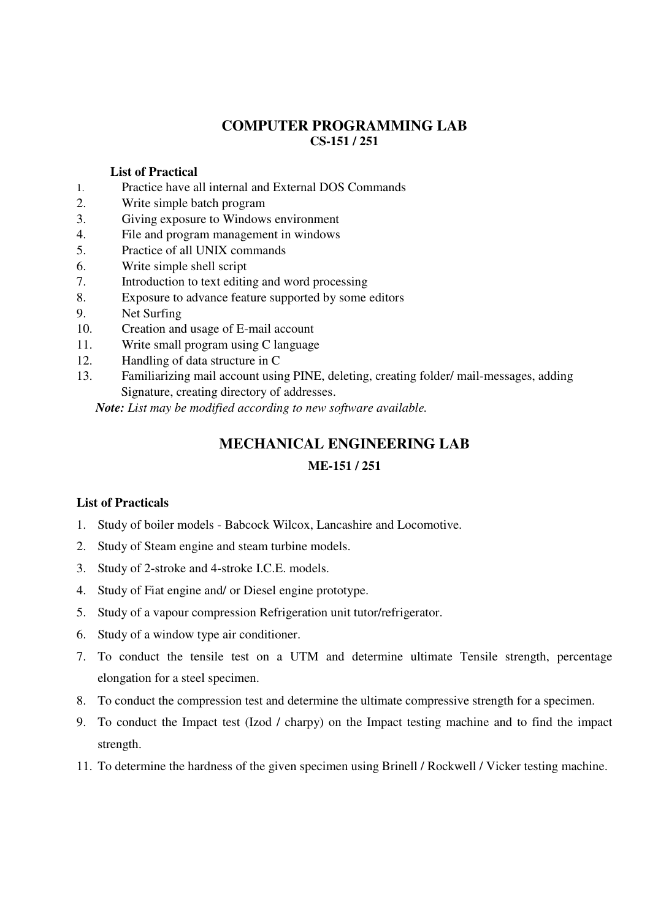## **COMPUTER PROGRAMMING LAB CS-151 / 251**

#### **List of Practical**

- 1. Practice have all internal and External DOS Commands
- 2. Write simple batch program
- 3. Giving exposure to Windows environment
- 4. File and program management in windows
- 5. Practice of all UNIX commands
- 6. Write simple shell script
- 7. Introduction to text editing and word processing
- 8. Exposure to advance feature supported by some editors
- 9. Net Surfing
- 10. Creation and usage of E-mail account
- 11. Write small program using C language
- 12. Handling of data structure in C
- 13. Familiarizing mail account using PINE, deleting, creating folder/ mail-messages, adding Signature, creating directory of addresses.

*Note: List may be modified according to new software available.* 

## **MECHANICAL ENGINEERING LAB**

## **ME-151 / 251**

## **List of Practicals**

- 1. Study of boiler models Babcock Wilcox, Lancashire and Locomotive.
- 2. Study of Steam engine and steam turbine models.
- 3. Study of 2-stroke and 4-stroke I.C.E. models.
- 4. Study of Fiat engine and/ or Diesel engine prototype.
- 5. Study of a vapour compression Refrigeration unit tutor/refrigerator.
- 6. Study of a window type air conditioner.
- 7. To conduct the tensile test on a UTM and determine ultimate Tensile strength, percentage elongation for a steel specimen.
- 8. To conduct the compression test and determine the ultimate compressive strength for a specimen.
- 9. To conduct the Impact test (Izod / charpy) on the Impact testing machine and to find the impact strength.
- 11. To determine the hardness of the given specimen using Brinell / Rockwell / Vicker testing machine.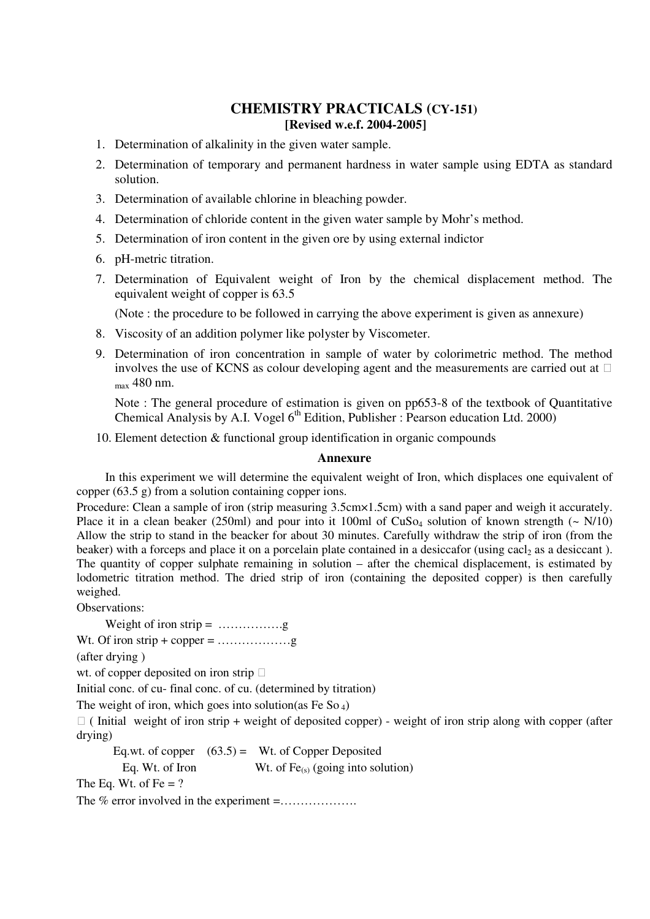## **CHEMISTRY PRACTICALS (CY-151) [Revised w.e.f. 2004-2005]**

- 1. Determination of alkalinity in the given water sample.
- 2. Determination of temporary and permanent hardness in water sample using EDTA as standard solution.
- 3. Determination of available chlorine in bleaching powder.
- 4. Determination of chloride content in the given water sample by Mohr's method.
- 5. Determination of iron content in the given ore by using external indictor
- 6. pH-metric titration.
- 7. Determination of Equivalent weight of Iron by the chemical displacement method. The equivalent weight of copper is 63.5

(Note : the procedure to be followed in carrying the above experiment is given as annexure)

- 8. Viscosity of an addition polymer like polyster by Viscometer.
- 9. Determination of iron concentration in sample of water by colorimetric method. The method involves the use of KCNS as colour developing agent and the measurements are carried out at max 480 nm.

Note : The general procedure of estimation is given on pp653-8 of the textbook of Quantitative Chemical Analysis by A.I. Vogel  $6<sup>th</sup>$  Edition, Publisher : Pearson education Ltd. 2000)

10. Element detection & functional group identification in organic compounds

#### **Annexure**

In this experiment we will determine the equivalent weight of Iron, which displaces one equivalent of copper (63.5 g) from a solution containing copper ions.

Procedure: Clean a sample of iron (strip measuring 3.5cm×1.5cm) with a sand paper and weigh it accurately. Place it in a clean beaker (250ml) and pour into it 100ml of  $CuSo<sub>4</sub>$  solution of known strength (~ N/10) Allow the strip to stand in the beacker for about 30 minutes. Carefully withdraw the strip of iron (from the beaker) with a forceps and place it on a porcelain plate contained in a desiccafor (using cacl<sub>2</sub> as a desiccant). The quantity of copper sulphate remaining in solution – after the chemical displacement, is estimated by lodometric titration method. The dried strip of iron (containing the deposited copper) is then carefully weighed.

Observations:

Weight of iron strip = …………….g

Wt. Of iron strip + copper =  $\dots$ 

(after drying )

wt. of copper deposited on iron strip

Initial conc. of cu- final conc. of cu. (determined by titration)

The weight of iron, which goes into solution(as Fe So  $_4$ )

 ( Initial weight of iron strip + weight of deposited copper) - weight of iron strip along with copper (after drying)

Eq.wt. of copper  $(63.5)$  = Wt. of Copper Deposited Eq. Wt. of Iron Wt. of  $Fe_{(s)}$  (going into solution) The Eq. Wt. of Fe  $= ?$ The % error involved in the experiment =...................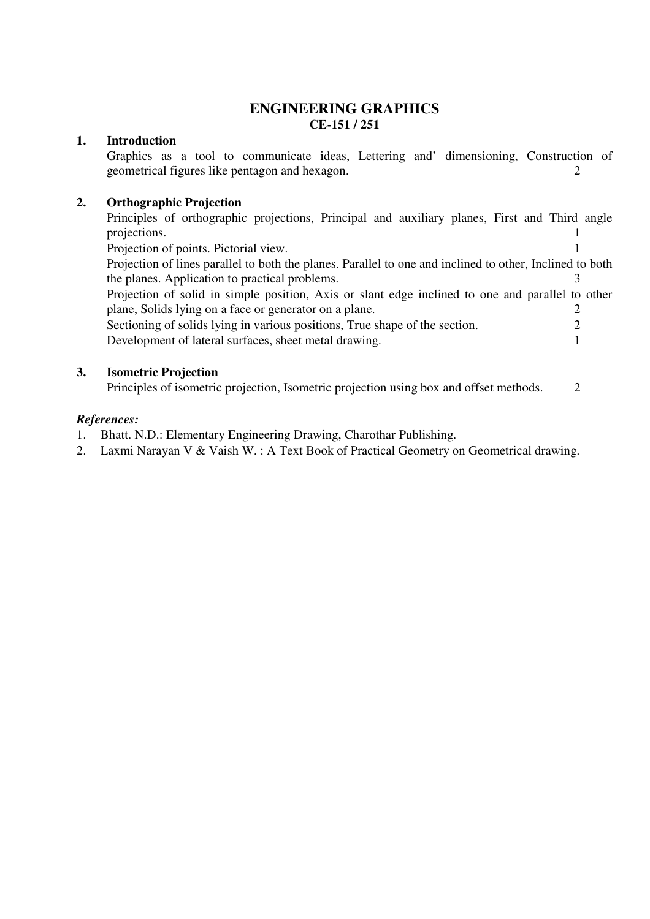## **ENGINEERING GRAPHICS CE-151 / 251**

### **1. Introduction**

 Graphics as a tool to communicate ideas, Lettering and' dimensioning, Construction of geometrical figures like pentagon and hexagon. 2

#### **2. Orthographic Projection**

Principles of orthographic projections, Principal and auxiliary planes, First and Third angle projections. 1

Projection of points. Pictorial view. 1

 Projection of lines parallel to both the planes. Parallel to one and inclined to other, Inclined to both the planes. Application to practical problems.

 Projection of solid in simple position, Axis or slant edge inclined to one and parallel to other plane, Solids lying on a face or generator on a plane. 2 Sectioning of solids lying in various positions, True shape of the section. 2

Development of lateral surfaces, sheet metal drawing. 1

#### **3. Isometric Projection**

Principles of isometric projection, Isometric projection using box and offset methods. 2

#### *References:*

- 1. Bhatt. N.D.: Elementary Engineering Drawing, Charothar Publishing.
- 2. Laxmi Narayan V & Vaish W. : A Text Book of Practical Geometry on Geometrical drawing.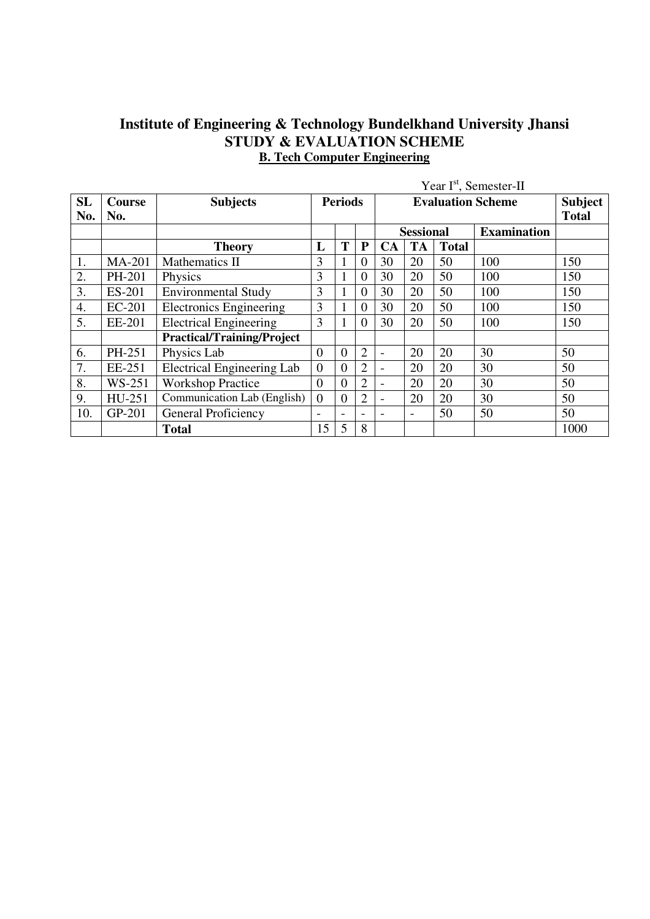## **Institute of Engineering & Technology Bundelkhand University Jhansi STUDY & EVALUATION SCHEME B. Tech Computer Engineering**

|           |               |                                   | Year I <sup>st</sup> , Semester-II |                          |                          |                          |                          |              |                    |              |
|-----------|---------------|-----------------------------------|------------------------------------|--------------------------|--------------------------|--------------------------|--------------------------|--------------|--------------------|--------------|
| <b>SL</b> | <b>Course</b> | <b>Subjects</b>                   | <b>Periods</b>                     |                          |                          |                          | Subject                  |              |                    |              |
| No.       | No.           |                                   |                                    |                          |                          |                          |                          |              |                    | <b>Total</b> |
|           |               |                                   |                                    |                          |                          |                          | <b>Sessional</b>         |              | <b>Examination</b> |              |
|           |               | <b>Theory</b>                     | L                                  | T                        | P                        | <b>CA</b>                | <b>TA</b>                | <b>Total</b> |                    |              |
| 1.        | <b>MA-201</b> | Mathematics II                    | 3                                  |                          | $\theta$                 | 30                       | 20                       | 50           | 100                | 150          |
| 2.        | PH-201        | Physics                           | 3                                  |                          | $\theta$                 | 30                       | 20                       | 50           | 100                | 150          |
| 3.        | ES-201        | <b>Environmental Study</b>        | 3                                  |                          | $\Omega$                 | 30                       | 20                       | 50           | 100                | 150          |
| 4.        | EC-201        | <b>Electronics Engineering</b>    | 3                                  |                          | $\theta$                 | 30                       | 20                       | 50           | 100                | 150          |
| 5.        | EE-201        | <b>Electrical Engineering</b>     | 3                                  |                          | $\theta$                 | 30                       | 20                       | 50           | 100                | 150          |
|           |               | <b>Practical/Training/Project</b> |                                    |                          |                          |                          |                          |              |                    |              |
| 6.        | PH-251        | Physics Lab                       | $\Omega$                           | $\overline{0}$           | $\overline{2}$           | $\blacksquare$           | 20                       | 20           | 30                 | 50           |
| 7.        | EE-251        | <b>Electrical Engineering Lab</b> | $\boldsymbol{0}$                   | $\overline{0}$           | $\overline{2}$           | $\overline{\phantom{0}}$ | 20                       | 20           | 30                 | 50           |
| 8.        | WS-251        | <b>Workshop Practice</b>          | $\overline{0}$                     | $\overline{0}$           | $\overline{2}$           | $\blacksquare$           | 20                       | 20           | 30                 | 50           |
| 9.        | HU-251        | Communication Lab (English)       | $\overline{0}$                     | $\overline{0}$           | $\overline{2}$           | $\blacksquare$           | 20                       | 20           | 30                 | 50           |
| 10.       | GP-201        | General Proficiency               | $\overline{\phantom{0}}$           | $\overline{\phantom{0}}$ | $\overline{\phantom{a}}$ | ۰                        | $\overline{\phantom{a}}$ | 50           | 50                 | 50           |
|           |               | <b>Total</b>                      | 15                                 | 5                        | 8                        |                          |                          |              |                    | 1000         |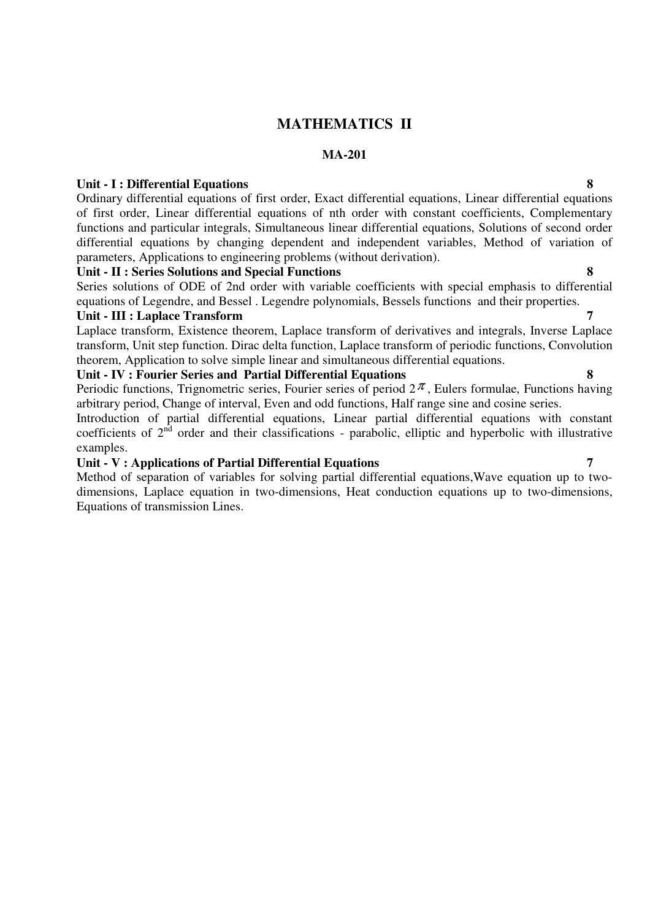## **MATHEMATICS II**

#### **MA-201**

#### **Unit - I : Differential Equations 8**

Ordinary differential equations of first order, Exact differential equations, Linear differential equations of first order, Linear differential equations of nth order with constant coefficients, Complementary functions and particular integrals, Simultaneous linear differential equations, Solutions of second order differential equations by changing dependent and independent variables, Method of variation of parameters, Applications to engineering problems (without derivation).

#### **Unit - II : Series Solutions and Special Functions 8**

Series solutions of ODE of 2nd order with variable coefficients with special emphasis to differential equations of Legendre, and Bessel . Legendre polynomials, Bessels functions and their properties.

#### Unit - **III : Laplace Transform**

Laplace transform, Existence theorem, Laplace transform of derivatives and integrals, Inverse Laplace transform, Unit step function. Dirac delta function, Laplace transform of periodic functions, Convolution theorem, Application to solve simple linear and simultaneous differential equations.

#### **Unit - IV : Fourier Series and Partial Differential Equations 8**

Periodic functions, Trignometric series, Fourier series of period  $2\pi$ , Eulers formulae, Functions having arbitrary period, Change of interval, Even and odd functions, Half range sine and cosine series.

Introduction of partial differential equations, Linear partial differential equations with constant coefficients of  $2<sup>nd</sup>$  order and their classifications - parabolic, elliptic and hyperbolic with illustrative examples.

#### **Unit - V : Applications of Partial Differential Equations 7**

Method of separation of variables for solving partial differential equations,Wave equation up to twodimensions, Laplace equation in two-dimensions, Heat conduction equations up to two-dimensions, Equations of transmission Lines.

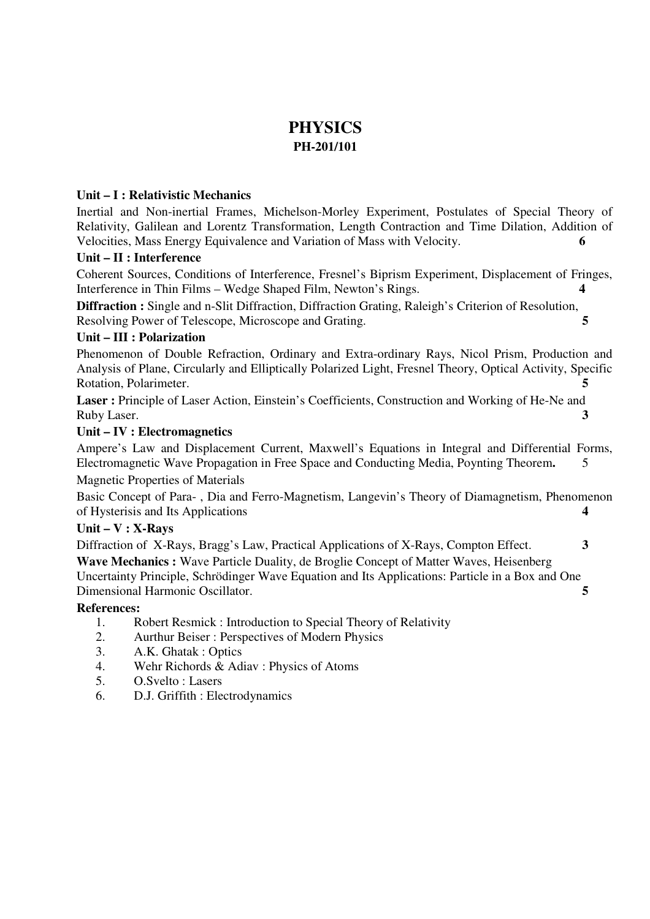## **PHYSICS PH-201/101**

#### **Unit – I : Relativistic Mechanics**

Inertial and Non-inertial Frames, Michelson-Morley Experiment, Postulates of Special Theory of Relativity, Galilean and Lorentz Transformation, Length Contraction and Time Dilation, Addition of Velocities, Mass Energy Equivalence and Variation of Mass with Velocity. **6** 

## **Unit – II : Interference**

Coherent Sources, Conditions of Interference, Fresnel's Biprism Experiment, Displacement of Fringes, Interference in Thin Films – Wedge Shaped Film, Newton's Rings. **4** 

**Diffraction :** Single and n-Slit Diffraction, Diffraction Grating, Raleigh's Criterion of Resolution, Resolving Power of Telescope, Microscope and Grating. **5** 

## **Unit – III : Polarization**

Phenomenon of Double Refraction, Ordinary and Extra-ordinary Rays, Nicol Prism, Production and Analysis of Plane, Circularly and Elliptically Polarized Light, Fresnel Theory, Optical Activity, Specific Rotation, Polarimeter. **5**

Laser : Principle of Laser Action, Einstein's Coefficients, Construction and Working of He-Ne and Ruby Laser. **3**

## **Unit – IV : Electromagnetics**

Ampere's Law and Displacement Current, Maxwell's Equations in Integral and Differential Forms, Electromagnetic Wave Propagation in Free Space and Conducting Media, Poynting Theorem**.** 5

Magnetic Properties of Materials

Basic Concept of Para- , Dia and Ferro-Magnetism, Langevin's Theory of Diamagnetism, Phenomenon of Hysterisis and Its Applications **4**

#### **Unit – V : X-Rays**

Diffraction of X-Rays, Bragg's Law, Practical Applications of X-Rays, Compton Effect. **3 Wave Mechanics :** Wave Particle Duality, de Broglie Concept of Matter Waves, Heisenberg Uncertainty Principle, Schrödinger Wave Equation and Its Applications: Particle in a Box and One Dimensional Harmonic Oscillator. **5**

#### **References:**

- 1. Robert Resmick : Introduction to Special Theory of Relativity
- 2. Aurthur Beiser : Perspectives of Modern Physics
- 3. A.K. Ghatak : Optics
- 4. Wehr Richords & Adiav : Physics of Atoms
- 5. O.Svelto : Lasers
- 6. D.J. Griffith : Electrodynamics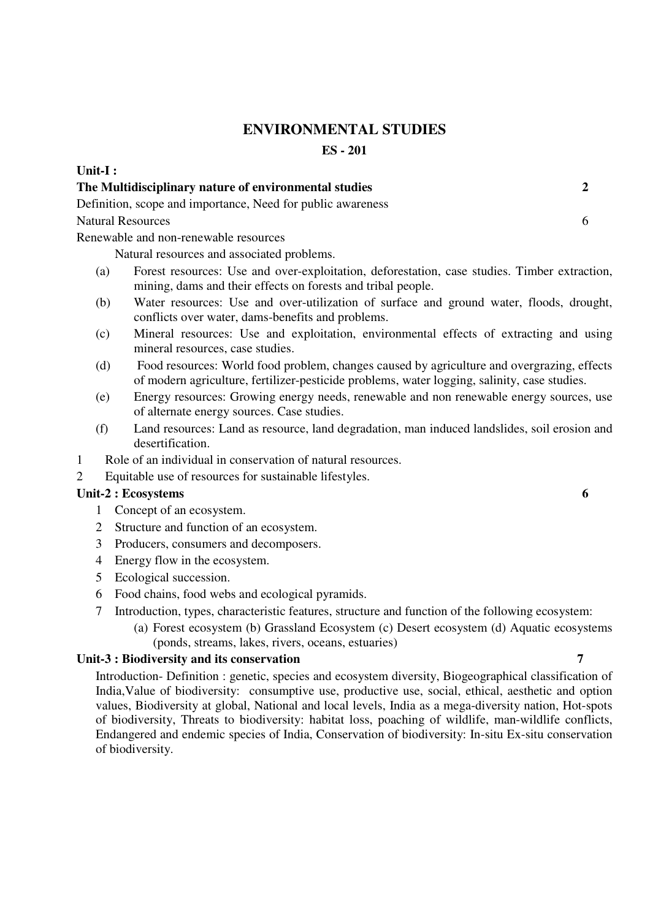## **ENVIRONMENTAL STUDIES**

**ES - 201** 

**Unit-I :** 

|     | The Multidisciplinary nature of environmental studies                                                                                                                                                                                                                                                                                                                                                          | $\overline{2}$ |
|-----|----------------------------------------------------------------------------------------------------------------------------------------------------------------------------------------------------------------------------------------------------------------------------------------------------------------------------------------------------------------------------------------------------------------|----------------|
|     | Definition, scope and importance, Need for public awareness                                                                                                                                                                                                                                                                                                                                                    |                |
|     | <b>Natural Resources</b>                                                                                                                                                                                                                                                                                                                                                                                       | 6              |
|     | Renewable and non-renewable resources                                                                                                                                                                                                                                                                                                                                                                          |                |
|     | Natural resources and associated problems.                                                                                                                                                                                                                                                                                                                                                                     |                |
| (a) | Forest resources: Use and over-exploitation, deforestation, case studies. Timber extraction,<br>mining, dams and their effects on forests and tribal people.                                                                                                                                                                                                                                                   |                |
| (b) | Water resources: Use and over-utilization of surface and ground water, floods, drought,<br>conflicts over water, dams-benefits and problems.                                                                                                                                                                                                                                                                   |                |
| (c) | Mineral resources: Use and exploitation, environmental effects of extracting and using<br>mineral resources, case studies.                                                                                                                                                                                                                                                                                     |                |
| (d) | Food resources: World food problem, changes caused by agriculture and overgrazing, effects<br>of modern agriculture, fertilizer-pesticide problems, water logging, salinity, case studies.                                                                                                                                                                                                                     |                |
| (e) | Energy resources: Growing energy needs, renewable and non renewable energy sources, use<br>of alternate energy sources. Case studies.                                                                                                                                                                                                                                                                          |                |
| (f) | Land resources: Land as resource, land degradation, man induced landslides, soil erosion and<br>desertification.                                                                                                                                                                                                                                                                                               |                |
| 1   | Role of an individual in conservation of natural resources.                                                                                                                                                                                                                                                                                                                                                    |                |
| 2   | Equitable use of resources for sustainable lifestyles.                                                                                                                                                                                                                                                                                                                                                         |                |
|     | Unit-2 : Ecosystems                                                                                                                                                                                                                                                                                                                                                                                            | 6              |
| 1   | Concept of an ecosystem.                                                                                                                                                                                                                                                                                                                                                                                       |                |
| 2   | Structure and function of an ecosystem.                                                                                                                                                                                                                                                                                                                                                                        |                |
| 3   | Producers, consumers and decomposers.                                                                                                                                                                                                                                                                                                                                                                          |                |
| 4   | Energy flow in the ecosystem.                                                                                                                                                                                                                                                                                                                                                                                  |                |
| 5   | Ecological succession.                                                                                                                                                                                                                                                                                                                                                                                         |                |
| 6   | Food chains, food webs and ecological pyramids.                                                                                                                                                                                                                                                                                                                                                                |                |
|     | $\mathcal{L}$ and $\mathcal{L}$ and $\mathcal{L}$ and $\mathcal{L}$ and $\mathcal{L}$ and $\mathcal{L}$ and $\mathcal{L}$ and $\mathcal{L}$ and $\mathcal{L}$ and $\mathcal{L}$ and $\mathcal{L}$ and $\mathcal{L}$ and $\mathcal{L}$ and $\mathcal{L}$ and $\mathcal{L}$ and $\mathcal{L}$ and $\mathcal{L}$ and<br>$\overline{1}$ $\overline{c}$ $\overline{c}$ $\overline{d}$ $\overline{c}$ $\overline{u}$ |                |

- 7 Introduction, types, characteristic features, structure and function of the following ecosystem:
	- (a) Forest ecosystem (b) Grassland Ecosystem (c) Desert ecosystem (d) Aquatic ecosystems (ponds, streams, lakes, rivers, oceans, estuaries)

#### **Unit-3 : Biodiversity and its conservation 7**

Introduction- Definition : genetic, species and ecosystem diversity, Biogeographical classification of India,Value of biodiversity: consumptive use, productive use, social, ethical, aesthetic and option values, Biodiversity at global, National and local levels, India as a mega-diversity nation, Hot-spots of biodiversity, Threats to biodiversity: habitat loss, poaching of wildlife, man-wildlife conflicts, Endangered and endemic species of India, Conservation of biodiversity: In-situ Ex-situ conservation of biodiversity.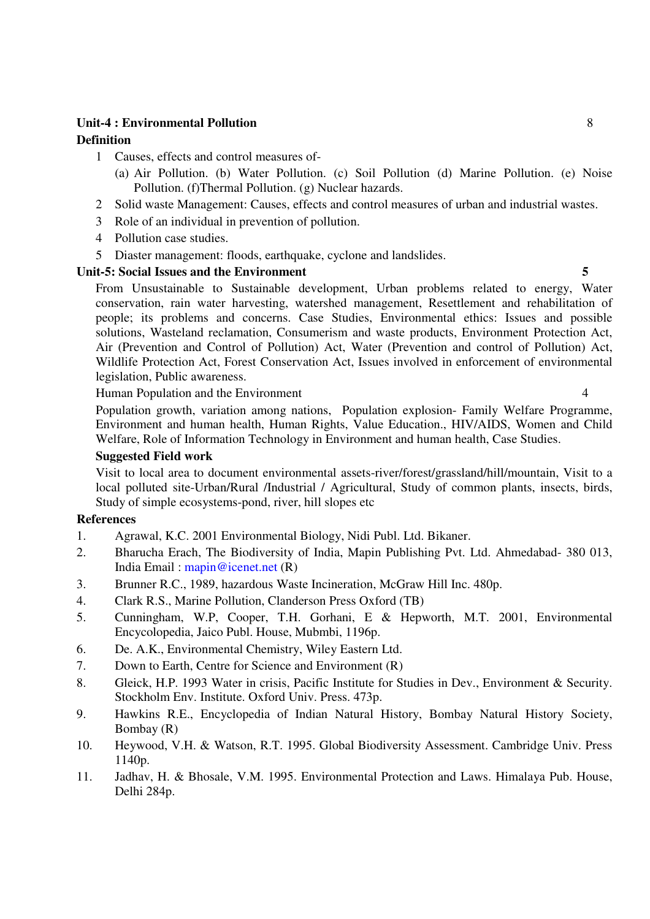## **Unit-4 : Environmental Pollution** 8 **Definition**

- 1 Causes, effects and control measures of-
	- (a) Air Pollution. (b) Water Pollution. (c) Soil Pollution (d) Marine Pollution. (e) Noise Pollution. (f)Thermal Pollution. (g) Nuclear hazards.
- 2 Solid waste Management: Causes, effects and control measures of urban and industrial wastes.
- 3 Role of an individual in prevention of pollution.
- 4 Pollution case studies.
- 5 Diaster management: floods, earthquake, cyclone and landslides.

#### Unit-5: Social Issues and the Environment 5

From Unsustainable to Sustainable development, Urban problems related to energy, Water conservation, rain water harvesting, watershed management, Resettlement and rehabilitation of people; its problems and concerns. Case Studies, Environmental ethics: Issues and possible solutions, Wasteland reclamation, Consumerism and waste products, Environment Protection Act, Air (Prevention and Control of Pollution) Act, Water (Prevention and control of Pollution) Act, Wildlife Protection Act, Forest Conservation Act, Issues involved in enforcement of environmental legislation, Public awareness.

Human Population and the Environment 4

Population growth, variation among nations, Population explosion- Family Welfare Programme, Environment and human health, Human Rights, Value Education., HIV/AIDS, Women and Child Welfare, Role of Information Technology in Environment and human health, Case Studies.

#### **Suggested Field work**

Visit to local area to document environmental assets-river/forest/grassland/hill/mountain, Visit to a local polluted site-Urban/Rural /Industrial / Agricultural, Study of common plants, insects, birds, Study of simple ecosystems-pond, river, hill slopes etc

#### **References**

- 1. Agrawal, K.C. 2001 Environmental Biology, Nidi Publ. Ltd. Bikaner.
- 2. Bharucha Erach, The Biodiversity of India, Mapin Publishing Pvt. Ltd. Ahmedabad- 380 013, India Email : mapin@icenet.net (R)
- 3. Brunner R.C., 1989, hazardous Waste Incineration, McGraw Hill Inc. 480p.
- 4. Clark R.S., Marine Pollution, Clanderson Press Oxford (TB)
- 5. Cunningham, W.P, Cooper, T.H. Gorhani, E & Hepworth, M.T. 2001, Environmental Encycolopedia, Jaico Publ. House, Mubmbi, 1196p.
- 6. De. A.K., Environmental Chemistry, Wiley Eastern Ltd.
- 7. Down to Earth, Centre for Science and Environment (R)
- 8. Gleick, H.P. 1993 Water in crisis, Pacific Institute for Studies in Dev., Environment & Security. Stockholm Env. Institute. Oxford Univ. Press. 473p.
- 9. Hawkins R.E., Encyclopedia of Indian Natural History, Bombay Natural History Society, Bombay (R)
- 10. Heywood, V.H. & Watson, R.T. 1995. Global Biodiversity Assessment. Cambridge Univ. Press 1140p.
- 11. Jadhav, H. & Bhosale, V.M. 1995. Environmental Protection and Laws. Himalaya Pub. House, Delhi 284p.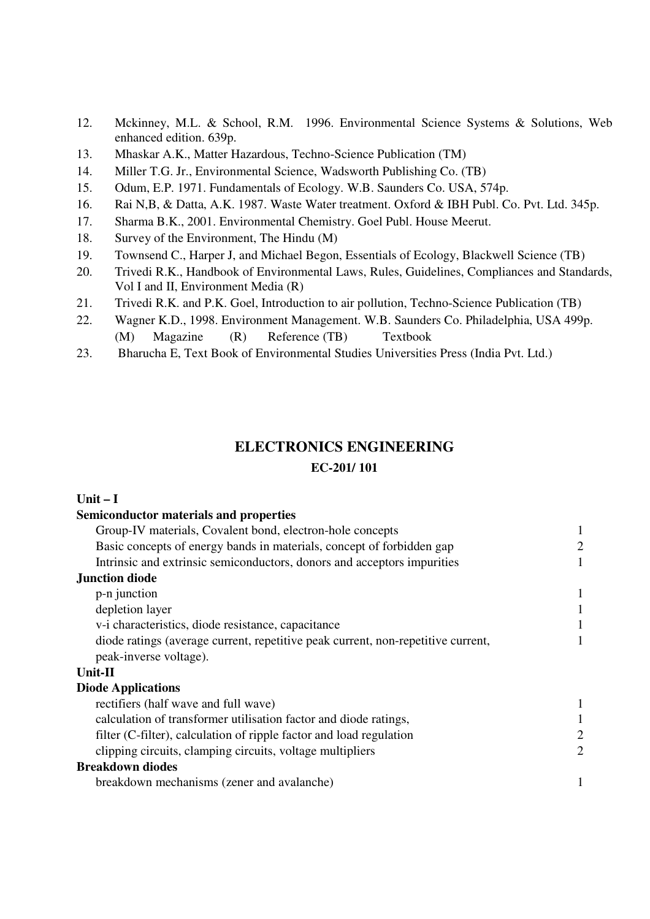- 12. Mckinney, M.L. & School, R.M. 1996. Environmental Science Systems & Solutions, Web enhanced edition. 639p.
- 13. Mhaskar A.K., Matter Hazardous, Techno-Science Publication (TM)
- 14. Miller T.G. Jr., Environmental Science, Wadsworth Publishing Co. (TB)
- 15. Odum, E.P. 1971. Fundamentals of Ecology. W.B. Saunders Co. USA, 574p.
- 16. Rai N,B, & Datta, A.K. 1987. Waste Water treatment. Oxford & IBH Publ. Co. Pvt. Ltd. 345p.
- 17. Sharma B.K., 2001. Environmental Chemistry. Goel Publ. House Meerut.
- 18. Survey of the Environment, The Hindu (M)
- 19. Townsend C., Harper J, and Michael Begon, Essentials of Ecology, Blackwell Science (TB)
- 20. Trivedi R.K., Handbook of Environmental Laws, Rules, Guidelines, Compliances and Standards, Vol I and II, Environment Media (R)
- 21. Trivedi R.K. and P.K. Goel, Introduction to air pollution, Techno-Science Publication (TB)
- 22. Wagner K.D., 1998. Environment Management. W.B. Saunders Co. Philadelphia, USA 499p.
- (M) Magazine (R) Reference (TB) Textbook
- 23. Bharucha E, Text Book of Environmental Studies Universities Press (India Pvt. Ltd.)

## **ELECTRONICS ENGINEERING**

#### **EC-201/ 101**

## **Unit – I**

## **Semiconductor materials and properties**  Group-IV materials, Covalent bond, electron-hole concepts 1 Basic concepts of energy bands in materials, concept of forbidden gap 2 Intrinsic and extrinsic semiconductors, donors and acceptors impurities 1 **Junction diode**   $p-n$  junction  $1$ depletion layer 1 v-i characteristics, diode resistance, capacitance 1 diode ratings (average current, repetitive peak current, non-repetitive current, 1 peak-inverse voltage). **Unit-II Diode Applications**  rectifiers (half wave and full wave) 1 calculation of transformer utilisation factor and diode ratings, 1 filter (C-filter), calculation of ripple factor and load regulation 2 clipping circuits, clamping circuits, voltage multipliers 2 **Breakdown diodes**

breakdown mechanisms (zener and avalanche) 1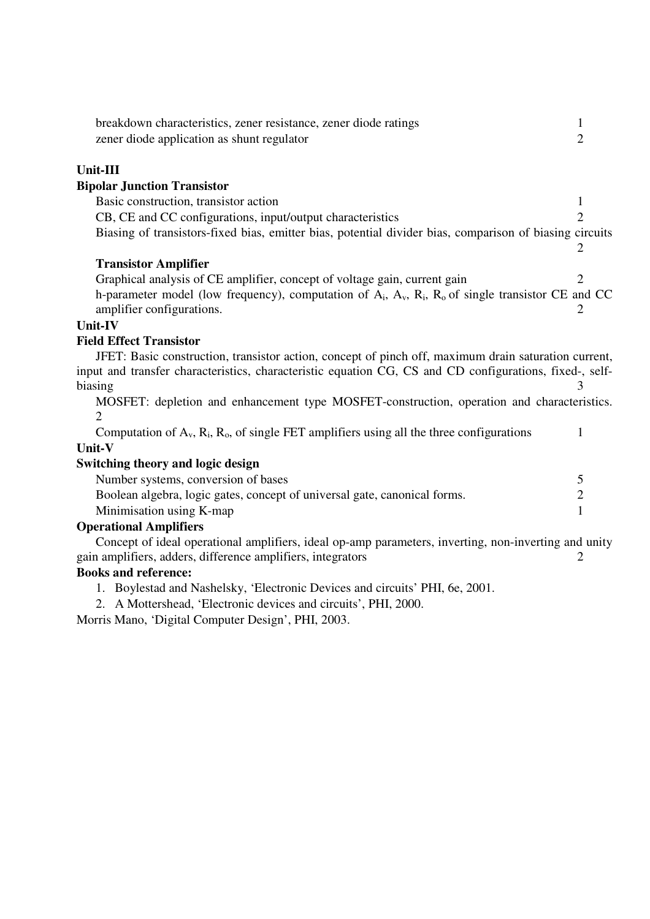| breakdown characteristics, zener resistance, zener diode ratings                                               | 1              |
|----------------------------------------------------------------------------------------------------------------|----------------|
| zener diode application as shunt regulator                                                                     | $\overline{2}$ |
| Unit-III                                                                                                       |                |
| <b>Bipolar Junction Transistor</b>                                                                             |                |
| Basic construction, transistor action                                                                          | 1              |
| CB, CE and CC configurations, input/output characteristics                                                     | $\overline{2}$ |
| Biasing of transistors-fixed bias, emitter bias, potential divider bias, comparison of biasing circuits        |                |
|                                                                                                                | 2              |
| <b>Transistor Amplifier</b>                                                                                    |                |
| Graphical analysis of CE amplifier, concept of voltage gain, current gain                                      | 2.             |
| h-parameter model (low frequency), computation of $A_i$ , $A_v$ , $R_i$ , $R_o$ of single transistor CE and CC |                |
| amplifier configurations.                                                                                      | 2              |
| <b>Unit-IV</b>                                                                                                 |                |
| <b>Field Effect Transistor</b>                                                                                 |                |
| JFET: Basic construction, transistor action, concept of pinch off, maximum drain saturation current,           |                |
| input and transfer characteristics, characteristic equation CG, CS and CD configurations, fixed-, self-        |                |
| biasing                                                                                                        |                |
| MOSFET: depletion and enhancement type MOSFET-construction, operation and characteristics.                     |                |
|                                                                                                                |                |
| Computation of $A_v$ , $R_i$ , $R_o$ , of single FET amplifiers using all the three configurations             | 1              |
| Unit-V                                                                                                         |                |
| <b>Switching theory and logic design</b>                                                                       |                |
| Number systems, conversion of bases                                                                            | 5              |
| Boolean algebra, logic gates, concept of universal gate, canonical forms.                                      | $\overline{c}$ |
| Minimisation using K-map                                                                                       | $\mathbf{1}$   |
| <b>Operational Amplifiers</b>                                                                                  |                |
| Concept of ideal operational amplifiers, ideal op-amp parameters, inverting, non-inverting and unity           |                |
| gain amplifiers, adders, difference amplifiers, integrators                                                    | 2              |
| <b>Books and reference:</b>                                                                                    |                |
| 1. Boylestad and Nashelsky, 'Electronic Devices and circuits' PHI, 6e, 2001.                                   |                |
| 2. A Mottershead, 'Electronic devices and circuits', PHI, 2000.                                                |                |
|                                                                                                                |                |

Morris Mano, 'Digital Computer Design', PHI, 2003.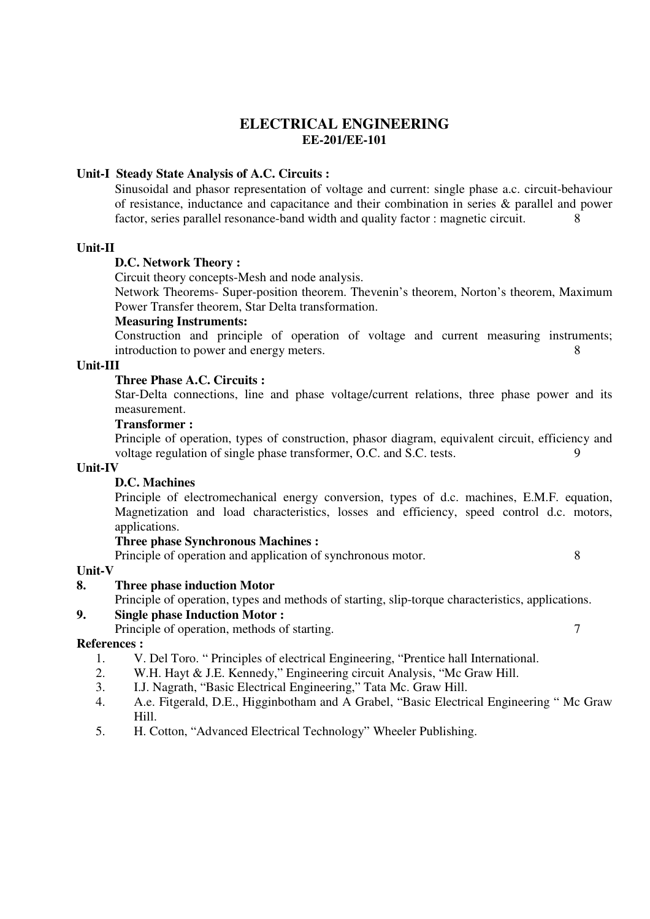## **ELECTRICAL ENGINEERING EE-201/EE-101**

#### **Unit-I Steady State Analysis of A.C. Circuits :**

Sinusoidal and phasor representation of voltage and current: single phase a.c. circuit-behaviour of resistance, inductance and capacitance and their combination in series & parallel and power factor, series parallel resonance-band width and quality factor : magnetic circuit. 8

#### **Unit-II**

#### **D.C. Network Theory :**

Circuit theory concepts-Mesh and node analysis.

Network Theorems- Super-position theorem. Thevenin's theorem, Norton's theorem, Maximum Power Transfer theorem, Star Delta transformation.

#### **Measuring Instruments:**

Construction and principle of operation of voltage and current measuring instruments; introduction to power and energy meters.

#### **Unit-III**

#### **Three Phase A.C. Circuits :**

Star-Delta connections, line and phase voltage/current relations, three phase power and its measurement.

## **Transformer :**

Principle of operation, types of construction, phasor diagram, equivalent circuit, efficiency and voltage regulation of single phase transformer, O.C. and S.C. tests. 9

#### **Unit-IV**

## **D.C. Machines**

Principle of electromechanical energy conversion, types of d.c. machines, E.M.F. equation, Magnetization and load characteristics, losses and efficiency, speed control d.c. motors, applications.

#### **Three phase Synchronous Machines :**

Principle of operation and application of synchronous motor. 8

#### **Unit-V**

#### **8. Three phase induction Motor**

Principle of operation, types and methods of starting, slip-torque characteristics, applications.

#### **9. Single phase Induction Motor :**

Principle of operation, methods of starting. 7

#### **References :**

- 1. V. Del Toro. " Principles of electrical Engineering, "Prentice hall International.
- 2. W.H. Hayt & J.E. Kennedy," Engineering circuit Analysis, "Mc Graw Hill.
- 3. I.J. Nagrath, "Basic Electrical Engineering," Tata Mc. Graw Hill.
- 4. A.e. Fitgerald, D.E., Higginbotham and A Grabel, "Basic Electrical Engineering " Mc Graw Hill.
- 5. H. Cotton, "Advanced Electrical Technology" Wheeler Publishing.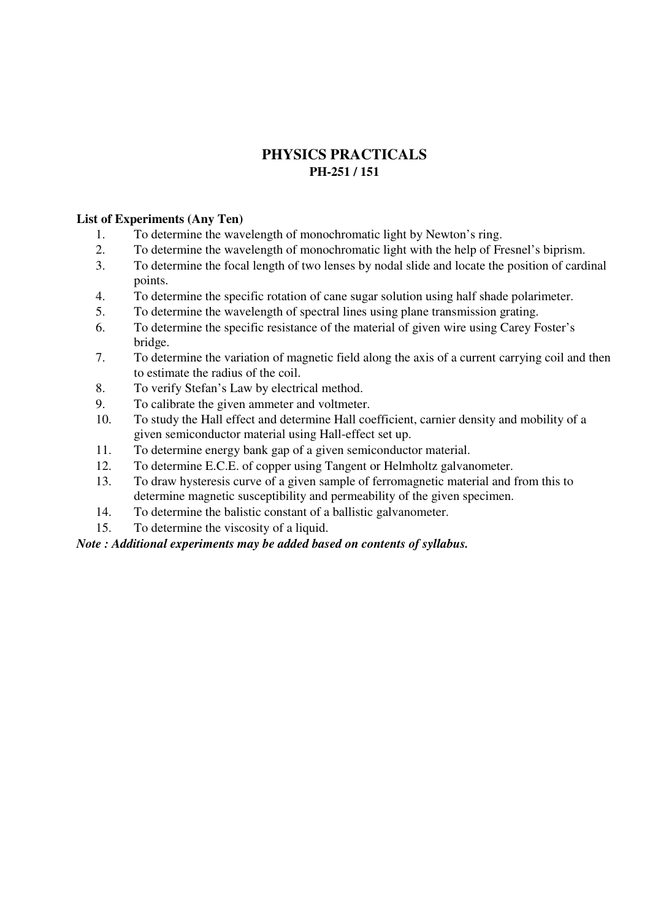## **PHYSICS PRACTICALS PH-251 / 151**

#### **List of Experiments (Any Ten)**

- 1. To determine the wavelength of monochromatic light by Newton's ring.
- 2. To determine the wavelength of monochromatic light with the help of Fresnel's biprism.
- 3. To determine the focal length of two lenses by nodal slide and locate the position of cardinal points.
- 4. To determine the specific rotation of cane sugar solution using half shade polarimeter.
- 5. To determine the wavelength of spectral lines using plane transmission grating.
- 6. To determine the specific resistance of the material of given wire using Carey Foster's bridge.
- 7. To determine the variation of magnetic field along the axis of a current carrying coil and then to estimate the radius of the coil.
- 8. To verify Stefan's Law by electrical method.
- 9. To calibrate the given ammeter and voltmeter.
- 10. To study the Hall effect and determine Hall coefficient, carnier density and mobility of a given semiconductor material using Hall-effect set up.
- 11. To determine energy bank gap of a given semiconductor material.
- 12. To determine E.C.E. of copper using Tangent or Helmholtz galvanometer.
- 13. To draw hysteresis curve of a given sample of ferromagnetic material and from this to determine magnetic susceptibility and permeability of the given specimen.
- 14. To determine the balistic constant of a ballistic galvanometer.
- 15. To determine the viscosity of a liquid.

## *Note : Additional experiments may be added based on contents of syllabus.*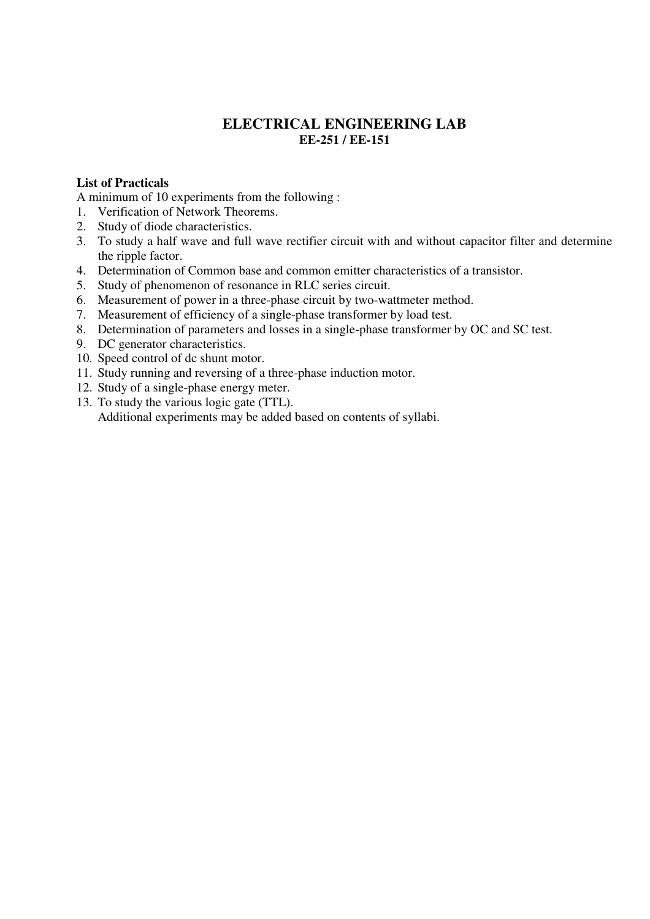## **ELECTRICAL ENGINEERING LAB EE-251 / EE-151**

#### **List of Practicals**

A minimum of 10 experiments from the following :

- 1. Verification of Network Theorems.
- 2. Study of diode characteristics.
- 3. To study a half wave and full wave rectifier circuit with and without capacitor filter and determine the ripple factor.
- 4. Determination of Common base and common emitter characteristics of a transistor.
- 5. Study of phenomenon of resonance in RLC series circuit.
- 6. Measurement of power in a three-phase circuit by two-wattmeter method.
- 7. Measurement of efficiency of a single-phase transformer by load test.
- 8. Determination of parameters and losses in a single-phase transformer by OC and SC test.
- 9. DC generator characteristics.
- 10. Speed control of dc shunt motor.
- 11. Study running and reversing of a three-phase induction motor.
- 12. Study of a single-phase energy meter.
- 13. To study the various logic gate (TTL). Additional experiments may be added based on contents of syllabi.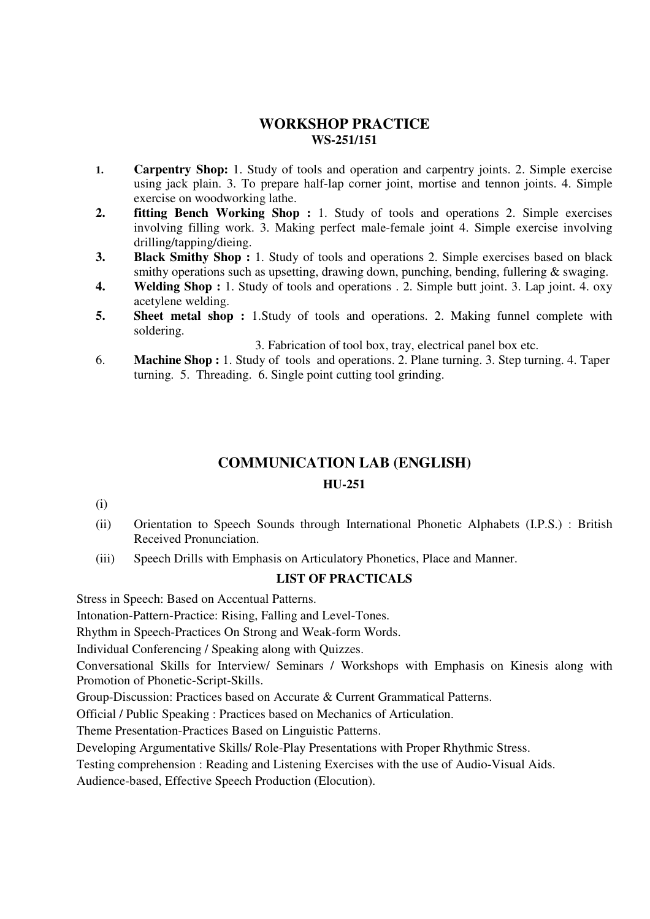## **WORKSHOP PRACTICE WS-251/151**

- **1. Carpentry Shop:** 1. Study of tools and operation and carpentry joints. 2. Simple exercise using jack plain. 3. To prepare half-lap corner joint, mortise and tennon joints. 4. Simple exercise on woodworking lathe.
- **2. fitting Bench Working Shop :** 1. Study of tools and operations 2. Simple exercises involving filling work. 3. Making perfect male-female joint 4. Simple exercise involving drilling/tapping/dieing.
- **3. Black Smithy Shop :** 1. Study of tools and operations 2. Simple exercises based on black smithy operations such as upsetting, drawing down, punching, bending, fullering & swaging.
- **4. Welding Shop :** 1. Study of tools and operations . 2. Simple butt joint. 3. Lap joint. 4. oxy acetylene welding.
- **5.** Sheet metal shop : 1. Study of tools and operations. 2. Making funnel complete with soldering.
	- 3. Fabrication of tool box, tray, electrical panel box etc.
- 6. **Machine Shop :** 1. Study of tools and operations. 2. Plane turning. 3. Step turning. 4. Taper turning. 5. Threading. 6. Single point cutting tool grinding.

## **COMMUNICATION LAB (ENGLISH)**

## **HU-251**

- (i)
- (ii) Orientation to Speech Sounds through International Phonetic Alphabets (I.P.S.) : British Received Pronunciation.
- (iii) Speech Drills with Emphasis on Articulatory Phonetics, Place and Manner.

## **LIST OF PRACTICALS**

Stress in Speech: Based on Accentual Patterns.

Intonation-Pattern-Practice: Rising, Falling and Level-Tones.

Rhythm in Speech-Practices On Strong and Weak-form Words.

Individual Conferencing / Speaking along with Quizzes.

Conversational Skills for Interview/ Seminars / Workshops with Emphasis on Kinesis along with Promotion of Phonetic-Script-Skills.

Group-Discussion: Practices based on Accurate & Current Grammatical Patterns.

Official / Public Speaking : Practices based on Mechanics of Articulation.

Theme Presentation-Practices Based on Linguistic Patterns.

Developing Argumentative Skills/ Role-Play Presentations with Proper Rhythmic Stress.

Testing comprehension : Reading and Listening Exercises with the use of Audio-Visual Aids.

Audience-based, Effective Speech Production (Elocution).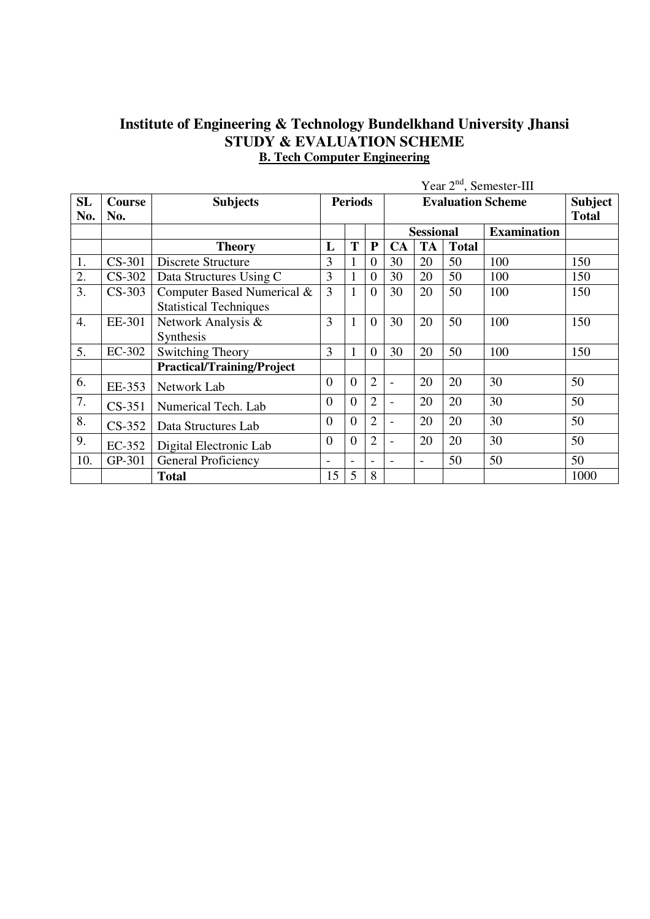## **Institute of Engineering & Technology Bundelkhand University Jhansi STUDY & EVALUATION SCHEME B. Tech Computer Engineering**

|                  |                      | Year 2 <sup>nd</sup> , Semester-III                         |                |                |                |                          |                          |              |                          |                                |
|------------------|----------------------|-------------------------------------------------------------|----------------|----------------|----------------|--------------------------|--------------------------|--------------|--------------------------|--------------------------------|
| <b>SL</b><br>No. | <b>Course</b><br>No. | <b>Subjects</b>                                             |                | <b>Periods</b> |                |                          |                          |              | <b>Evaluation Scheme</b> | <b>Subject</b><br><b>Total</b> |
|                  |                      |                                                             |                |                |                |                          | <b>Sessional</b>         |              | <b>Examination</b>       |                                |
|                  |                      | <b>Theory</b>                                               | L              | T              | ${\bf P}$      | <b>CA</b>                | <b>TA</b>                | <b>Total</b> |                          |                                |
| 1.               | $CS-301$             | Discrete Structure                                          | 3              | 1              | $\theta$       | 30                       | 20                       | 50           | 100                      | 150                            |
| 2.               | $CS-302$             | Data Structures Using C                                     | 3              | $\mathbf{1}$   | $\overline{0}$ | 30                       | 20                       | 50           | 100                      | 150                            |
| 3.               | $CS-303$             | Computer Based Numerical &<br><b>Statistical Techniques</b> |                | $\mathbf{1}$   | $\overline{0}$ | 30                       | 20                       | 50           | 100                      | 150                            |
| 4.               | EE-301               | Network Analysis &<br>Synthesis                             |                | $\mathbf{1}$   | $\Omega$       | 30                       | 20                       | 50           | 100                      | 150                            |
| 5.               | EC-302               | <b>Switching Theory</b>                                     | 3              | $\mathbf{1}$   | $\theta$       | 30                       | 20                       | 50           | 100                      | 150                            |
|                  |                      | <b>Practical/Training/Project</b>                           |                |                |                |                          |                          |              |                          |                                |
| 6.               | EE-353               | Network Lab                                                 | $\overline{0}$ | $\overline{0}$ | $\overline{2}$ | $\overline{a}$           | 20                       | 20           | 30                       | 50                             |
| 7.               | $CS-351$             | Numerical Tech. Lab                                         | $\theta$       | $\theta$       | $\overline{2}$ | $\overline{\phantom{a}}$ | 20                       | 20           | 30                       | 50                             |
| 8.               | $CS-352$             | Data Structures Lab                                         | $\overline{0}$ | $\overline{0}$ | $\overline{2}$ | $\blacksquare$           | 20                       | 20           | 30                       | 50                             |
| 9.               | EC-352               | Digital Electronic Lab                                      | $\overline{0}$ | $\theta$       | $\overline{2}$ |                          | 20                       | 20           | 30                       | 50                             |
| 10.              | GP-301               | General Proficiency                                         | Ē,             | $\sim$         |                | ÷                        | $\overline{\phantom{a}}$ | 50           | 50                       | 50                             |
|                  |                      | <b>Total</b>                                                | 15             | 5              | 8              |                          |                          |              |                          | 1000                           |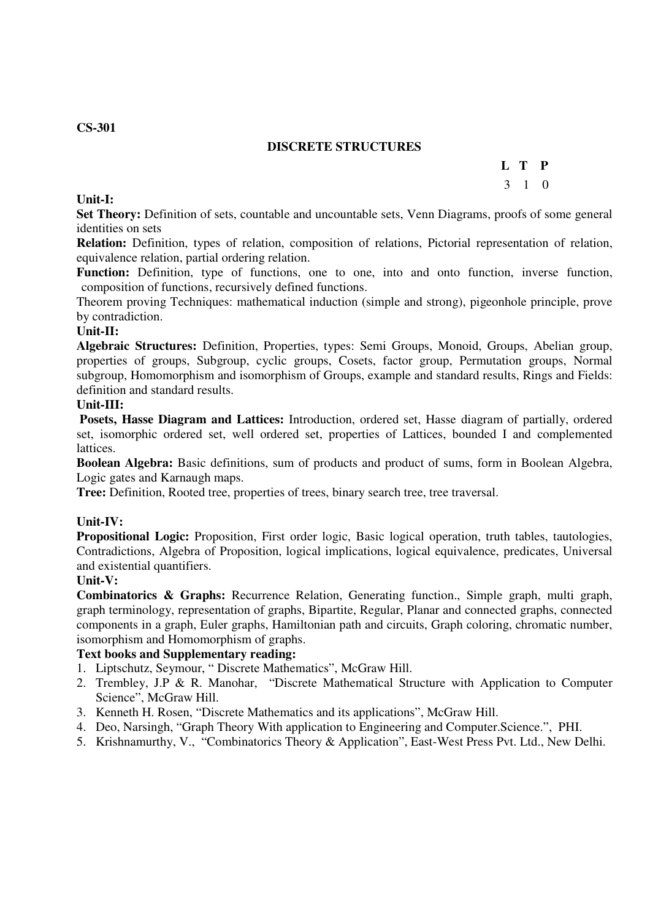#### **CS-301**

#### **DISCRETE STRUCTURES**

## **L T P**

## 3 1 0

**Unit-I:** 

**Set Theory:** Definition of sets, countable and uncountable sets, Venn Diagrams, proofs of some general identities on sets

**Relation:** Definition, types of relation, composition of relations, Pictorial representation of relation, equivalence relation, partial ordering relation.

**Function:** Definition, type of functions, one to one, into and onto function, inverse function, composition of functions, recursively defined functions.

Theorem proving Techniques: mathematical induction (simple and strong), pigeonhole principle, prove by contradiction.

## **Unit-II:**

**Algebraic Structures:** Definition, Properties, types: Semi Groups, Monoid, Groups, Abelian group, properties of groups, Subgroup, cyclic groups, Cosets, factor group, Permutation groups, Normal subgroup, Homomorphism and isomorphism of Groups, example and standard results, Rings and Fields: definition and standard results.

#### **Unit-III:**

 **Posets, Hasse Diagram and Lattices:** Introduction, ordered set, Hasse diagram of partially, ordered set, isomorphic ordered set, well ordered set, properties of Lattices, bounded I and complemented lattices.

**Boolean Algebra:** Basic definitions, sum of products and product of sums, form in Boolean Algebra, Logic gates and Karnaugh maps.

**Tree:** Definition, Rooted tree, properties of trees, binary search tree, tree traversal.

#### **Unit-IV:**

**Propositional Logic:** Proposition, First order logic, Basic logical operation, truth tables, tautologies, Contradictions, Algebra of Proposition, logical implications, logical equivalence, predicates, Universal and existential quantifiers.

#### **Unit-V:**

**Combinatorics & Graphs:** Recurrence Relation, Generating function., Simple graph, multi graph, graph terminology, representation of graphs, Bipartite, Regular, Planar and connected graphs, connected components in a graph, Euler graphs, Hamiltonian path and circuits, Graph coloring, chromatic number, isomorphism and Homomorphism of graphs.

#### **Text books and Supplementary reading:**

- 1. Liptschutz, Seymour, " Discrete Mathematics", McGraw Hill.
- 2. Trembley, J.P & R. Manohar, "Discrete Mathematical Structure with Application to Computer Science", McGraw Hill.
- 3. Kenneth H. Rosen, "Discrete Mathematics and its applications", McGraw Hill.
- 4. Deo, Narsingh, "Graph Theory With application to Engineering and Computer.Science.", PHI.
- 5. Krishnamurthy, V., "Combinatorics Theory & Application", East-West Press Pvt. Ltd., New Delhi.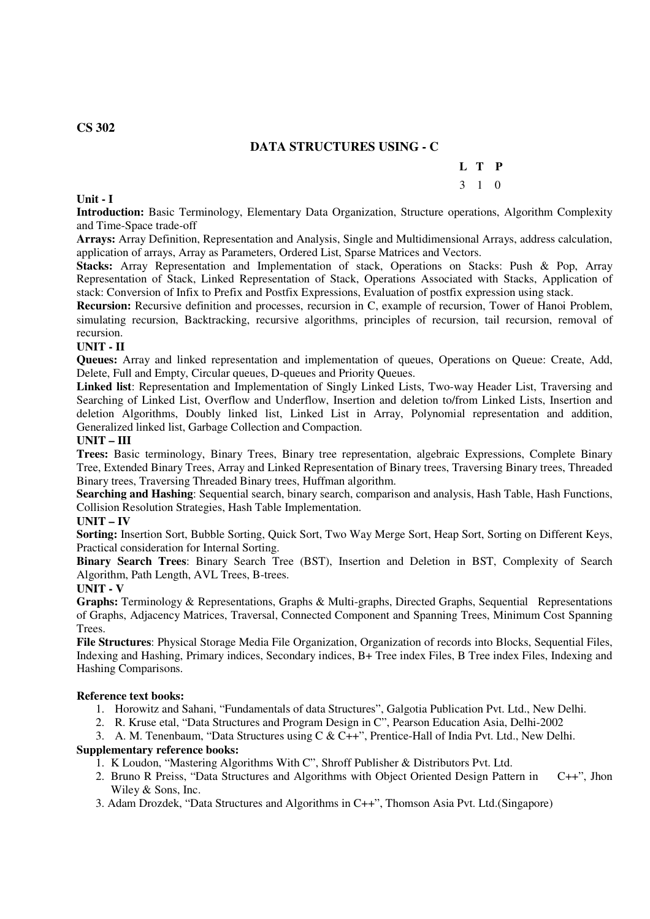## **DATA STRUCTURES USING - C**

## **L T P**

## 3 1 0

**Introduction:** Basic Terminology, Elementary Data Organization, Structure operations, Algorithm Complexity and Time-Space trade-off

**Arrays:** Array Definition, Representation and Analysis, Single and Multidimensional Arrays, address calculation, application of arrays, Array as Parameters, Ordered List, Sparse Matrices and Vectors.

**Stacks:** Array Representation and Implementation of stack, Operations on Stacks: Push & Pop, Array Representation of Stack, Linked Representation of Stack, Operations Associated with Stacks, Application of stack: Conversion of Infix to Prefix and Postfix Expressions, Evaluation of postfix expression using stack.

**Recursion:** Recursive definition and processes, recursion in C, example of recursion, Tower of Hanoi Problem, simulating recursion, Backtracking, recursive algorithms, principles of recursion, tail recursion, removal of recursion.

#### **UNIT - II**

**Queues:** Array and linked representation and implementation of queues, Operations on Queue: Create, Add, Delete, Full and Empty, Circular queues, D-queues and Priority Queues.

**Linked list**: Representation and Implementation of Singly Linked Lists, Two-way Header List, Traversing and Searching of Linked List, Overflow and Underflow, Insertion and deletion to/from Linked Lists, Insertion and deletion Algorithms, Doubly linked list, Linked List in Array, Polynomial representation and addition, Generalized linked list, Garbage Collection and Compaction.

#### **UNIT – III**

**Trees:** Basic terminology, Binary Trees, Binary tree representation, algebraic Expressions, Complete Binary Tree, Extended Binary Trees, Array and Linked Representation of Binary trees, Traversing Binary trees, Threaded Binary trees, Traversing Threaded Binary trees, Huffman algorithm.

**Searching and Hashing**: Sequential search, binary search, comparison and analysis, Hash Table, Hash Functions, Collision Resolution Strategies, Hash Table Implementation.

#### **UNIT – IV**

**Sorting:** Insertion Sort, Bubble Sorting, Quick Sort, Two Way Merge Sort, Heap Sort, Sorting on Different Keys, Practical consideration for Internal Sorting.

**Binary Search Trees**: Binary Search Tree (BST), Insertion and Deletion in BST, Complexity of Search Algorithm, Path Length, AVL Trees, B-trees.

#### **UNIT - V**

**Graphs:** Terminology & Representations, Graphs & Multi-graphs, Directed Graphs, Sequential Representations of Graphs, Adjacency Matrices, Traversal, Connected Component and Spanning Trees, Minimum Cost Spanning Trees.

**File Structures**: Physical Storage Media File Organization, Organization of records into Blocks, Sequential Files, Indexing and Hashing, Primary indices, Secondary indices, B+ Tree index Files, B Tree index Files, Indexing and Hashing Comparisons.

#### **Reference text books:**

1. Horowitz and Sahani, "Fundamentals of data Structures", Galgotia Publication Pvt. Ltd., New Delhi.

2. R. Kruse etal, "Data Structures and Program Design in C", Pearson Education Asia, Delhi-2002

3. A. M. Tenenbaum, "Data Structures using C & C++", Prentice-Hall of India Pvt. Ltd., New Delhi.

#### **Supplementary reference books:**

1. K Loudon, "Mastering Algorithms With C", Shroff Publisher & Distributors Pvt. Ltd.

- 2. Bruno R Preiss, "Data Structures and Algorithms with Object Oriented Design Pattern in C++", Jhon Wiley & Sons, Inc.
- 3. Adam Drozdek, "Data Structures and Algorithms in C++", Thomson Asia Pvt. Ltd.(Singapore)

#### **CS 302**

**Unit - I**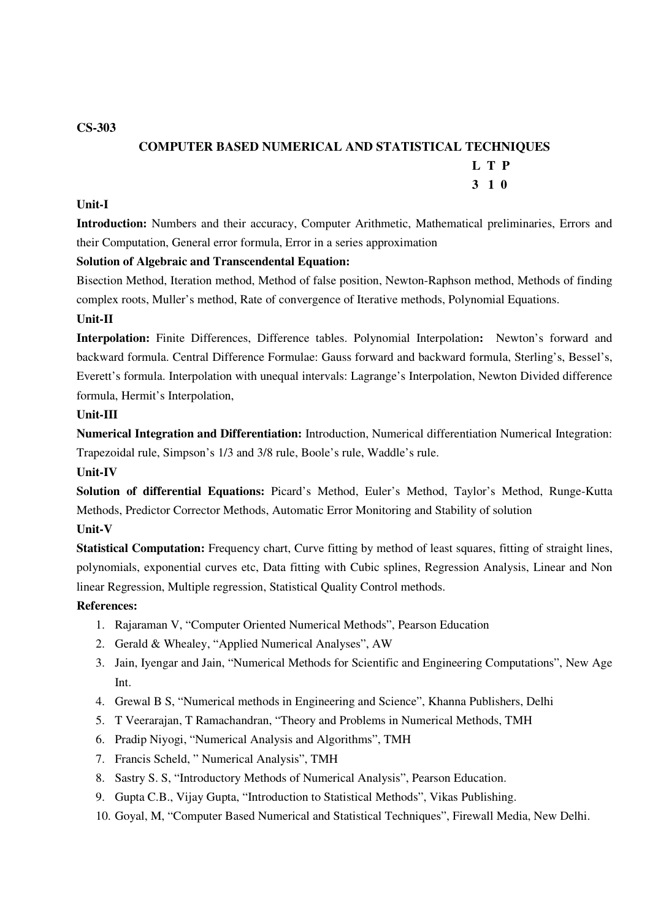**CS-303** 

#### **COMPUTER BASED NUMERICAL AND STATISTICAL TECHNIQUES**

## **L T P**

#### **3 1 0**

#### **Unit-I**

**Introduction:** Numbers and their accuracy, Computer Arithmetic, Mathematical preliminaries, Errors and their Computation, General error formula, Error in a series approximation

#### **Solution of Algebraic and Transcendental Equation:**

Bisection Method, Iteration method, Method of false position, Newton-Raphson method, Methods of finding complex roots, Muller's method, Rate of convergence of Iterative methods, Polynomial Equations.

#### **Unit-II**

**Interpolation:** Finite Differences, Difference tables. Polynomial Interpolation**:** Newton's forward and backward formula. Central Difference Formulae: Gauss forward and backward formula, Sterling's, Bessel's, Everett's formula. Interpolation with unequal intervals: Lagrange's Interpolation, Newton Divided difference formula, Hermit's Interpolation,

#### **Unit-III**

**Numerical Integration and Differentiation:** Introduction, Numerical differentiation Numerical Integration: Trapezoidal rule, Simpson's 1/3 and 3/8 rule, Boole's rule, Waddle's rule.

#### **Unit-IV**

**Solution of differential Equations:** Picard's Method, Euler's Method, Taylor's Method, Runge-Kutta Methods, Predictor Corrector Methods, Automatic Error Monitoring and Stability of solution

#### **Unit-V**

**Statistical Computation:** Frequency chart, Curve fitting by method of least squares, fitting of straight lines, polynomials, exponential curves etc, Data fitting with Cubic splines, Regression Analysis, Linear and Non linear Regression, Multiple regression, Statistical Quality Control methods.

#### **References:**

- 1. Rajaraman V, "Computer Oriented Numerical Methods", Pearson Education
- 2. Gerald & Whealey, "Applied Numerical Analyses", AW
- 3. Jain, Iyengar and Jain, "Numerical Methods for Scientific and Engineering Computations", New Age Int.
- 4. Grewal B S, "Numerical methods in Engineering and Science", Khanna Publishers, Delhi
- 5. T Veerarajan, T Ramachandran, "Theory and Problems in Numerical Methods, TMH
- 6. Pradip Niyogi, "Numerical Analysis and Algorithms", TMH
- 7. Francis Scheld, " Numerical Analysis", TMH
- 8. Sastry S. S, "Introductory Methods of Numerical Analysis", Pearson Education.
- 9. Gupta C.B., Vijay Gupta, "Introduction to Statistical Methods", Vikas Publishing.
- 10. Goyal, M, "Computer Based Numerical and Statistical Techniques", Firewall Media, New Delhi.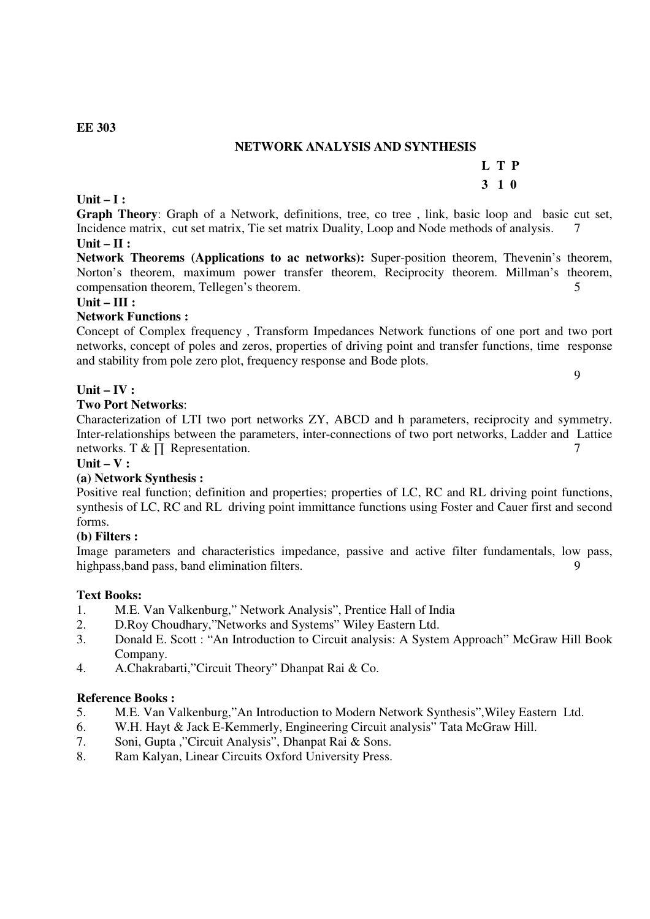## **NETWORK ANALYSIS AND SYNTHESIS**

#### **Unit – I : Graph Theory**: Graph of a Network, definitions, tree, co tree , link, basic loop and basic cut set, Incidence matrix, cut set matrix, Tie set matrix Duality, Loop and Node methods of analysis. 7 **Unit – II :**

 **L T P 3 1 0** 

**Network Theorems (Applications to ac networks):** Super-position theorem, Thevenin's theorem, Norton's theorem, maximum power transfer theorem, Reciprocity theorem. Millman's theorem, compensation theorem, Tellegen's theorem. 5

## **Unit – III :**

## **Network Functions :**

Concept of Complex frequency , Transform Impedances Network functions of one port and two port networks, concept of poles and zeros, properties of driving point and transfer functions, time response and stability from pole zero plot, frequency response and Bode plots.

**Unit – IV :** 

#### **Two Port Networks**:

Characterization of LTI two port networks ZY, ABCD and h parameters, reciprocity and symmetry. Inter-relationships between the parameters, inter-connections of two port networks, Ladder and Lattice networks. T &  $\prod$  Representation. 7

**Unit – V :** 

#### **(a) Network Synthesis :**

Positive real function; definition and properties; properties of LC, RC and RL driving point functions, synthesis of LC, RC and RL driving point immittance functions using Foster and Cauer first and second forms.

#### **(b) Filters :**

Image parameters and characteristics impedance, passive and active filter fundamentals, low pass, highpass, band pass, band elimination filters. 9

#### **Text Books:**

- 1. M.E. Van Valkenburg," Network Analysis", Prentice Hall of India
- 2. D.Roy Choudhary,"Networks and Systems" Wiley Eastern Ltd.
- 3. Donald E. Scott : "An Introduction to Circuit analysis: A System Approach" McGraw Hill Book Company.
- 4. A.Chakrabarti,"Circuit Theory" Dhanpat Rai & Co.

#### **Reference Books :**

- 5. M.E. Van Valkenburg,"An Introduction to Modern Network Synthesis",Wiley Eastern Ltd.
- 6. W.H. Hayt & Jack E-Kemmerly, Engineering Circuit analysis" Tata McGraw Hill.
- 7. Soni, Gupta ,"Circuit Analysis", Dhanpat Rai & Sons.
- 8. Ram Kalyan, Linear Circuits Oxford University Press.

#### **EE 303**

9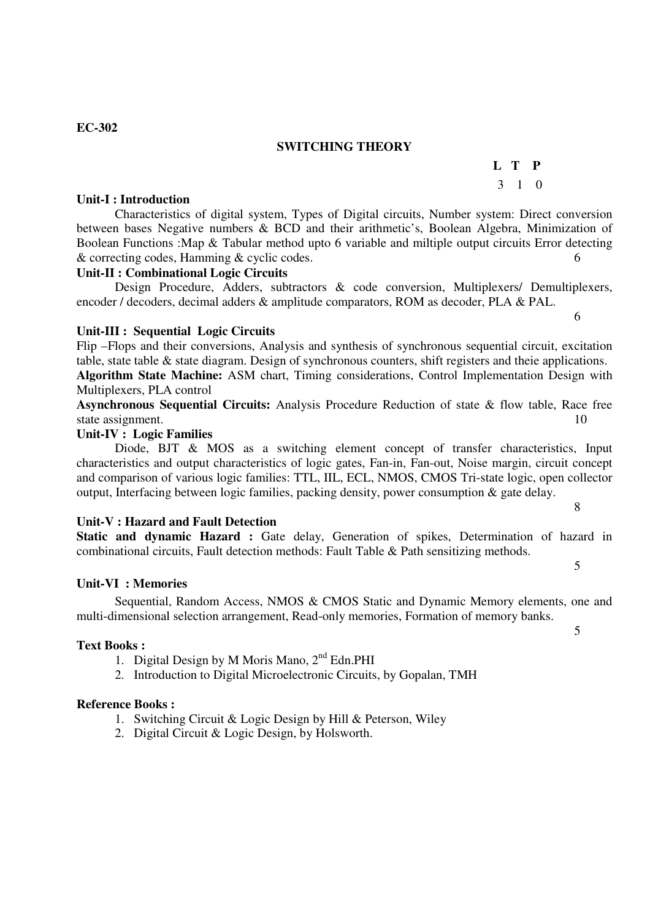## **SWITCHING THEORY**

3 1 0

## **Unit-I : Introduction**

## Characteristics of digital system, Types of Digital circuits, Number system: Direct conversion between bases Negative numbers & BCD and their arithmetic's, Boolean Algebra, Minimization of Boolean Functions :Map & Tabular method upto 6 variable and miltiple output circuits Error detecting & correcting codes, Hamming & cyclic codes. 6

## **Unit-II : Combinational Logic Circuits**

Design Procedure, Adders, subtractors & code conversion, Multiplexers/ Demultiplexers, encoder / decoders, decimal adders & amplitude comparators, ROM as decoder, PLA & PAL.

 $\overline{6}$ 

## **Unit-III : Sequential Logic Circuits**

Flip –Flops and their conversions, Analysis and synthesis of synchronous sequential circuit, excitation table, state table & state diagram. Design of synchronous counters, shift registers and theie applications. **Algorithm State Machine:** ASM chart, Timing considerations, Control Implementation Design with Multiplexers, PLA control

**Asynchronous Sequential Circuits:** Analysis Procedure Reduction of state & flow table, Race free state assignment. 10

#### **Unit-IV : Logic Families**

Diode, BJT & MOS as a switching element concept of transfer characteristics, Input characteristics and output characteristics of logic gates, Fan-in, Fan-out, Noise margin, circuit concept and comparison of various logic families: TTL, IIL, ECL, NMOS, CMOS Tri-state logic, open collector output, Interfacing between logic families, packing density, power consumption & gate delay.

## **Unit-V : Hazard and Fault Detection**

**Static and dynamic Hazard :** Gate delay, Generation of spikes, Determination of hazard in combinational circuits, Fault detection methods: Fault Table & Path sensitizing methods.

5

## **Unit-VI : Memories**

Sequential, Random Access, NMOS & CMOS Static and Dynamic Memory elements, one and multi-dimensional selection arrangement, Read-only memories, Formation of memory banks.

#### **Text Books :**

- 1. Digital Design by M Moris Mano,  $2<sup>nd</sup>$  Edn.PHI
- 2. Introduction to Digital Microelectronic Circuits, by Gopalan, TMH

#### **Reference Books :**

- 1. Switching Circuit & Logic Design by Hill & Peterson, Wiley
- 2. Digital Circuit & Logic Design, by Holsworth.

## **EC-302**

5

 **L T P** 

8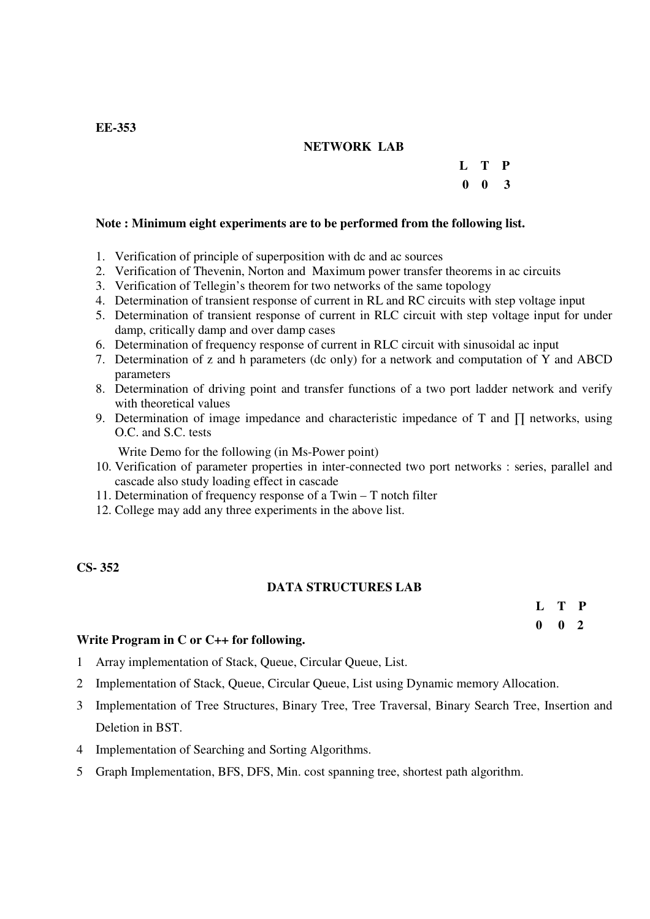## **NETWORK LAB**

## **L T P**

## **0 0 3**

#### **Note : Minimum eight experiments are to be performed from the following list.**

- 1. Verification of principle of superposition with dc and ac sources
- 2. Verification of Thevenin, Norton and Maximum power transfer theorems in ac circuits
- 3. Verification of Tellegin's theorem for two networks of the same topology
- 4. Determination of transient response of current in RL and RC circuits with step voltage input
- 5. Determination of transient response of current in RLC circuit with step voltage input for under damp, critically damp and over damp cases
- 6. Determination of frequency response of current in RLC circuit with sinusoidal ac input
- 7. Determination of z and h parameters (dc only) for a network and computation of Y and ABCD parameters
- 8. Determination of driving point and transfer functions of a two port ladder network and verify with theoretical values
- 9. Determination of image impedance and characteristic impedance of T and  $\prod$  networks, using O.C. and S.C. tests

Write Demo for the following (in Ms-Power point)

- 10. Verification of parameter properties in inter-connected two port networks : series, parallel and cascade also study loading effect in cascade
- 11. Determination of frequency response of a Twin T notch filter
- 12. College may add any three experiments in the above list.

#### **CS- 352**

#### **DATA STRUCTURES LAB**

| L T P         |  |
|---------------|--|
| $0 \t 0 \t 2$ |  |

#### **Write Program in C or C++ for following.**

- 1 Array implementation of Stack, Queue, Circular Queue, List.
- 2 Implementation of Stack, Queue, Circular Queue, List using Dynamic memory Allocation.
- 3 Implementation of Tree Structures, Binary Tree, Tree Traversal, Binary Search Tree, Insertion and Deletion in BST.
- 4 Implementation of Searching and Sorting Algorithms.
- 5 Graph Implementation, BFS, DFS, Min. cost spanning tree, shortest path algorithm.

#### **EE-353**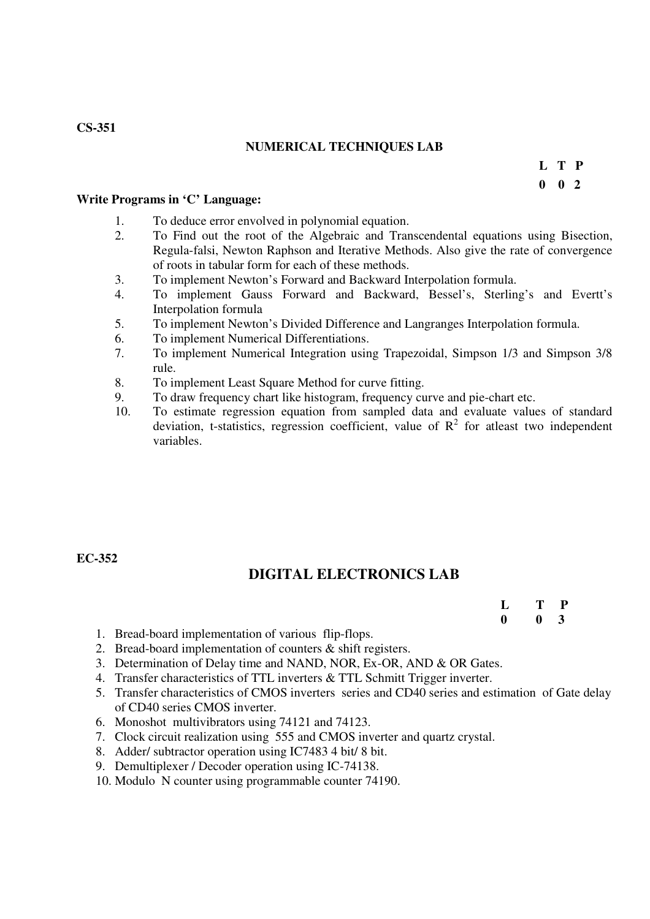## **NUMERICAL TECHNIQUES LAB**

**L T P** 

 **0 0 2** 

#### **Write Programs in 'C' Language:**

- 1. To deduce error envolved in polynomial equation.<br>2. To Find out the root of the Algebraic and Tran
- 2. To Find out the root of the Algebraic and Transcendental equations using Bisection, Regula-falsi, Newton Raphson and Iterative Methods. Also give the rate of convergence of roots in tabular form for each of these methods.
- 3. To implement Newton's Forward and Backward Interpolation formula.
- 4. To implement Gauss Forward and Backward, Bessel's, Sterling's and Evertt's Interpolation formula
- 5. To implement Newton's Divided Difference and Langranges Interpolation formula.
- 6. To implement Numerical Differentiations.
- 7. To implement Numerical Integration using Trapezoidal, Simpson 1/3 and Simpson 3/8 rule.
- 8. To implement Least Square Method for curve fitting.
- 9. To draw frequency chart like histogram, frequency curve and pie-chart etc.<br>10. To estimate regression equation from sampled data and evaluate value
- 10. To estimate regression equation from sampled data and evaluate values of standard deviation, t-statistics, regression coefficient, value of  $R^2$  for atleast two independent variables.

#### **EC-352**

## **DIGITAL ELECTRONICS LAB**

 **L T P 0 0 3** 

- 1. Bread-board implementation of various flip-flops.
- 2. Bread-board implementation of counters & shift registers.
- 3. Determination of Delay time and NAND, NOR, Ex-OR, AND & OR Gates.
- 4. Transfer characteristics of TTL inverters & TTL Schmitt Trigger inverter.
- 5. Transfer characteristics of CMOS inverters series and CD40 series and estimation of Gate delay of CD40 series CMOS inverter.
- 6. Monoshot multivibrators using 74121 and 74123.
- 7. Clock circuit realization using 555 and CMOS inverter and quartz crystal.
- 8. Adder/ subtractor operation using IC7483 4 bit/ 8 bit.
- 9. Demultiplexer / Decoder operation using IC-74138.
- 10. Modulo N counter using programmable counter 74190.

## **CS-351**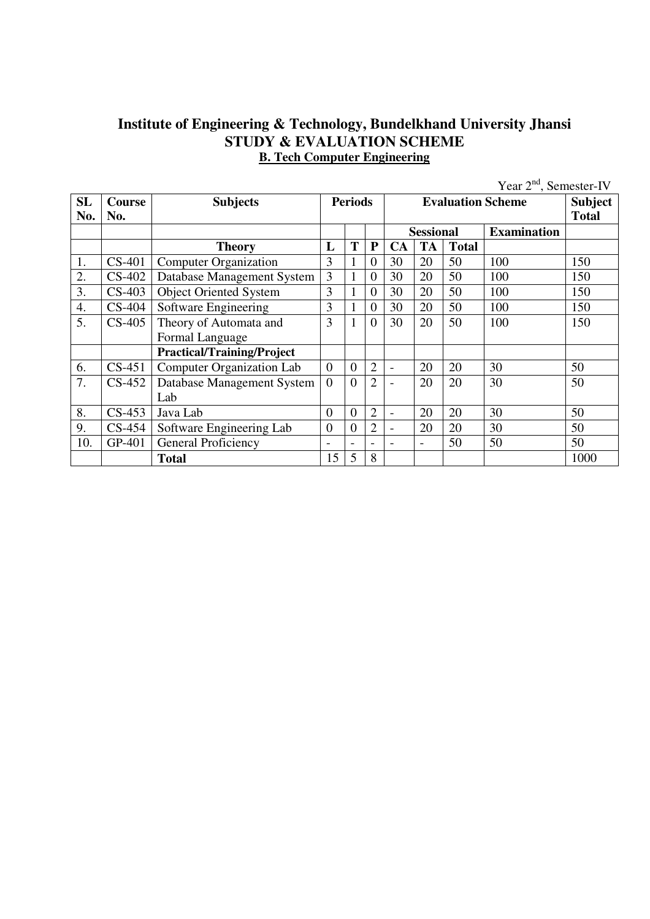## **Institute of Engineering & Technology, Bundelkhand University Jhansi STUDY & EVALUATION SCHEME B. Tech Computer Engineering**

|           |          |                                   |                 |                  |                          |                |                  |              | Year $2nd$ , Semester-IV |              |
|-----------|----------|-----------------------------------|-----------------|------------------|--------------------------|----------------|------------------|--------------|--------------------------|--------------|
| <b>SL</b> | Course   | <b>Subjects</b>                   |                 | <b>Periods</b>   |                          |                |                  |              | <b>Evaluation Scheme</b> | Subject      |
| No.       | No.      |                                   |                 |                  |                          |                |                  |              |                          | <b>Total</b> |
|           |          |                                   |                 |                  |                          |                | <b>Sessional</b> |              | <b>Examination</b>       |              |
|           |          | <b>Theory</b>                     | L               | T                | ${\bf P}$                | CA             | <b>TA</b>        | <b>Total</b> |                          |              |
| 1.        | $CS-401$ | <b>Computer Organization</b>      | 3               |                  | $\overline{0}$           | 30             | 20               | 50           | 100                      | 150          |
| 2.        | $CS-402$ | Database Management System        | 3               |                  | $\overline{0}$           | 30             | 20               | 50           | 100                      | 150          |
| 3.        | $CS-403$ | <b>Object Oriented System</b>     | 3               |                  | $\overline{0}$           | 30             | 20               | 50           | 100                      | 150          |
| 4.        | $CS-404$ | Software Engineering              | 3               |                  | $\overline{0}$           | 30             | 20               | 50           | 100                      | 150          |
| 5.        | $CS-405$ | Theory of Automata and            | 3               |                  | $\Omega$                 | 30             | 20               | 50           | 100                      | 150          |
|           |          | Formal Language                   |                 |                  |                          |                |                  |              |                          |              |
|           |          | <b>Practical/Training/Project</b> |                 |                  |                          |                |                  |              |                          |              |
| 6.        | $CS-451$ | <b>Computer Organization Lab</b>  | $\overline{0}$  | $\overline{0}$   | $\overline{2}$           | $\blacksquare$ | 20               | 20           | 30                       | 50           |
| 7.        | $CS-452$ | Database Management System        | $\overline{0}$  | $\theta$         | $\overline{2}$           |                | 20               | 20           | 30                       | 50           |
|           |          | Lab                               |                 |                  |                          |                |                  |              |                          |              |
| 8.        | $CS-453$ | Java Lab                          | $\overline{0}$  | $\overline{0}$   | $\overline{2}$           | $\blacksquare$ | 20               | 20           | 30                       | 50           |
| 9.        | $CS-454$ | Software Engineering Lab          | $\overline{0}$  | $\boldsymbol{0}$ | $\overline{2}$           |                | 20               | 20           | 30                       | 50           |
| 10.       | GP-401   | General Proficiency               | $\qquad \qquad$ | -                | $\overline{\phantom{0}}$ |                | $\blacksquare$   | 50           | 50                       | 50           |
|           |          | <b>Total</b>                      | 15              | 5                | 8                        |                |                  |              |                          | 1000         |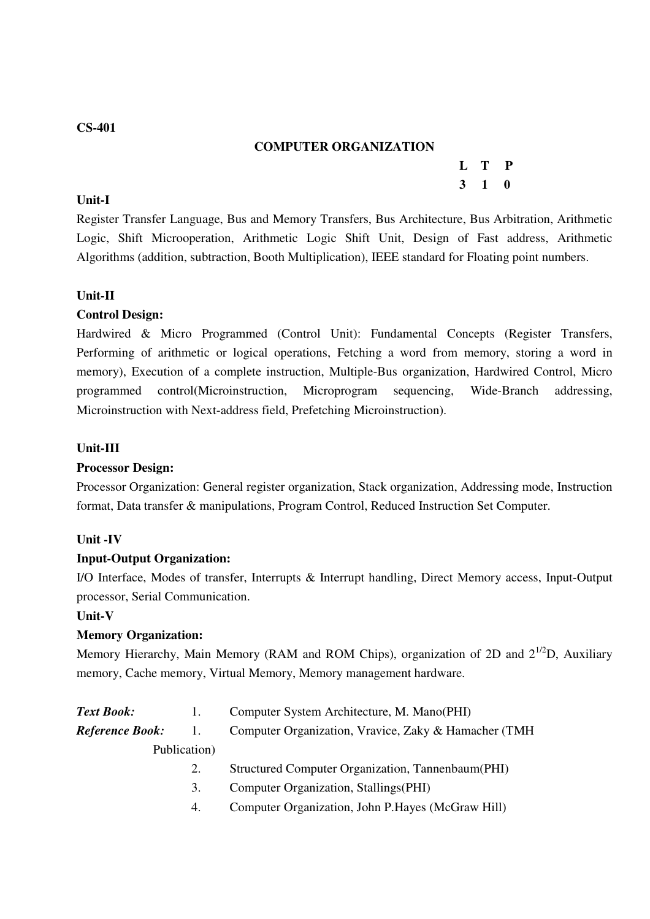## **COMPUTER ORGANIZATION**

**L T P** 

#### **3 1 0 Unit-I**

Register Transfer Language, Bus and Memory Transfers, Bus Architecture, Bus Arbitration, Arithmetic Logic, Shift Microoperation, Arithmetic Logic Shift Unit, Design of Fast address, Arithmetic Algorithms (addition, subtraction, Booth Multiplication), IEEE standard for Floating point numbers.

## **Unit-II**

## **Control Design:**

Hardwired & Micro Programmed (Control Unit): Fundamental Concepts (Register Transfers, Performing of arithmetic or logical operations, Fetching a word from memory, storing a word in memory), Execution of a complete instruction, Multiple-Bus organization, Hardwired Control, Micro programmed control(Microinstruction, Microprogram sequencing, Wide-Branch addressing, Microinstruction with Next-address field, Prefetching Microinstruction).

#### **Unit-III**

#### **Processor Design:**

Processor Organization: General register organization, Stack organization, Addressing mode, Instruction format, Data transfer & manipulations, Program Control, Reduced Instruction Set Computer.

#### **Unit -IV**

#### **Input-Output Organization:**

I/O Interface, Modes of transfer, Interrupts & Interrupt handling, Direct Memory access, Input-Output processor, Serial Communication.

#### **Unit-V**

## **Memory Organization:**

Memory Hierarchy, Main Memory (RAM and ROM Chips), organization of 2D and  $2^{1/2}D$ , Auxiliary memory, Cache memory, Virtual Memory, Memory management hardware.

| <b>Text Book:</b>      |    | Computer System Architecture, M. Mano(PHI)            |
|------------------------|----|-------------------------------------------------------|
| <b>Reference Book:</b> | 1. | Computer Organization, Vravice, Zaky & Hamacher (TMH) |
| Publication)           |    |                                                       |
|                        |    | Structured Computer Organization, Tannenbaum (PHI)    |
|                        | 3. | Computer Organization, Stallings (PHI)                |
|                        | 4. | Computer Organization, John P.Hayes (McGraw Hill)     |
|                        |    |                                                       |

#### **CS-401**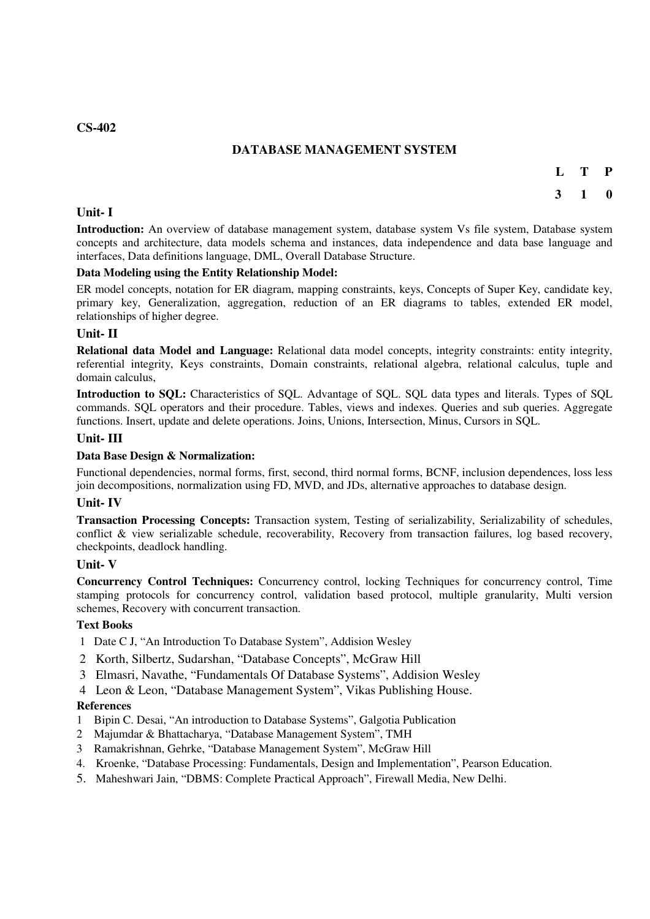#### **CS-402**

## **DATABASE MANAGEMENT SYSTEM**

**L T P** 

#### **3 1 0**

#### **Unit- I**

**Introduction:** An overview of database management system, database system Vs file system, Database system concepts and architecture, data models schema and instances, data independence and data base language and interfaces, Data definitions language, DML, Overall Database Structure.

#### **Data Modeling using the Entity Relationship Model:**

ER model concepts, notation for ER diagram, mapping constraints, keys, Concepts of Super Key, candidate key, primary key, Generalization, aggregation, reduction of an ER diagrams to tables, extended ER model, relationships of higher degree.

#### **Unit- II**

**Relational data Model and Language:** Relational data model concepts, integrity constraints: entity integrity, referential integrity, Keys constraints, Domain constraints, relational algebra, relational calculus, tuple and domain calculus,

**Introduction to SQL:** Characteristics of SQL. Advantage of SQL. SQL data types and literals. Types of SQL commands. SQL operators and their procedure. Tables, views and indexes. Queries and sub queries. Aggregate functions. Insert, update and delete operations. Joins, Unions, Intersection, Minus, Cursors in SQL.

#### **Unit- III**

#### **Data Base Design & Normalization:**

Functional dependencies, normal forms, first, second, third normal forms, BCNF, inclusion dependences, loss less join decompositions, normalization using FD, MVD, and JDs, alternative approaches to database design.

#### **Unit- IV**

**Transaction Processing Concepts:** Transaction system, Testing of serializability, Serializability of schedules, conflict & view serializable schedule, recoverability, Recovery from transaction failures, log based recovery, checkpoints, deadlock handling.

#### **Unit- V**

**Concurrency Control Techniques:** Concurrency control, locking Techniques for concurrency control, Time stamping protocols for concurrency control, validation based protocol, multiple granularity, Multi version schemes, Recovery with concurrent transaction.

#### **Text Books**

- 1 Date C J, "An Introduction To Database System", Addision Wesley
- 2 Korth, Silbertz, Sudarshan, "Database Concepts", McGraw Hill
- 3 Elmasri, Navathe, "Fundamentals Of Database Systems", Addision Wesley
- 4 Leon & Leon, "Database Management System", Vikas Publishing House.

#### **References**

- 1 Bipin C. Desai, "An introduction to Database Systems", Galgotia Publication
- 2 Majumdar & Bhattacharya, "Database Management System", TMH
- 3 Ramakrishnan, Gehrke, "Database Management System", McGraw Hill
- 4. Kroenke, "Database Processing: Fundamentals, Design and Implementation", Pearson Education.
- 5. Maheshwari Jain, "DBMS: Complete Practical Approach", Firewall Media, New Delhi.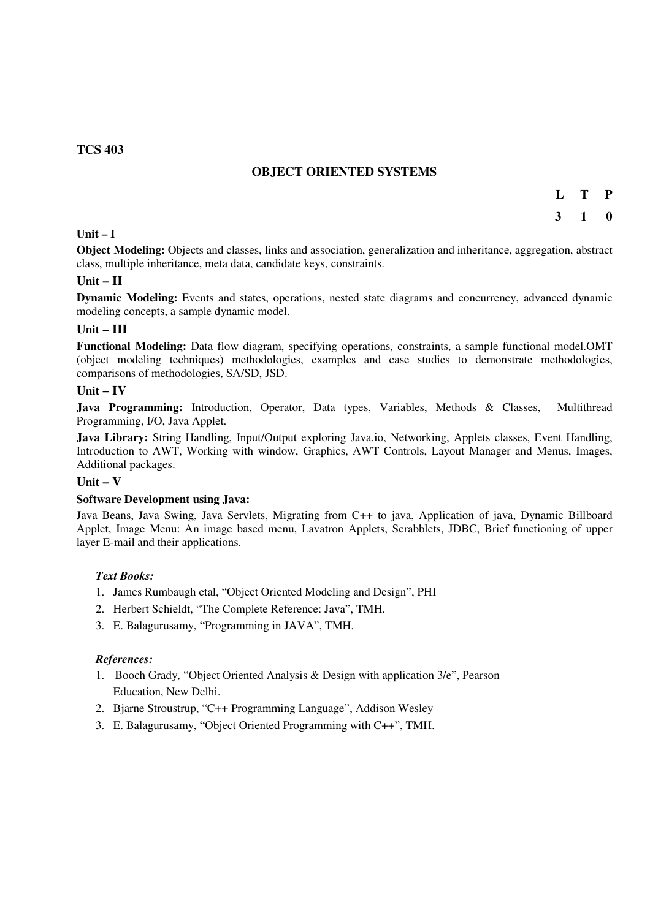#### **TCS 403**

#### **OBJECT ORIENTED SYSTEMS**

- **L T P**
- **3 1 0**

#### **Unit – I**

**Object Modeling:** Objects and classes, links and association, generalization and inheritance, aggregation, abstract class, multiple inheritance, meta data, candidate keys, constraints.

#### **Unit – II**

**Dynamic Modeling:** Events and states, operations, nested state diagrams and concurrency, advanced dynamic modeling concepts, a sample dynamic model.

#### **Unit – III**

**Functional Modeling:** Data flow diagram, specifying operations, constraints, a sample functional model.OMT (object modeling techniques) methodologies, examples and case studies to demonstrate methodologies, comparisons of methodologies, SA/SD, JSD.

#### $\overline{\text{Unit}} - \overline{\text{IV}}$

Java Programming: Introduction, Operator, Data types, Variables, Methods & Classes, Multithread Programming, I/O, Java Applet.

**Java Library:** String Handling, Input/Output exploring Java.io, Networking, Applets classes, Event Handling, Introduction to AWT, Working with window, Graphics, AWT Controls, Layout Manager and Menus, Images, Additional packages.

#### **Unit – V**

#### **Software Development using Java:**

Java Beans, Java Swing, Java Servlets, Migrating from C++ to java, Application of java, Dynamic Billboard Applet, Image Menu: An image based menu, Lavatron Applets, Scrabblets, JDBC, Brief functioning of upper layer E-mail and their applications.

#### *Text Books:*

- 1. James Rumbaugh etal, "Object Oriented Modeling and Design", PHI
- 2. Herbert Schieldt, "The Complete Reference: Java", TMH.
- 3. E. Balagurusamy, "Programming in JAVA", TMH.

#### *References:*

- 1. Booch Grady, "Object Oriented Analysis & Design with application 3/e", Pearson Education, New Delhi.
- 2. Bjarne Stroustrup, "C++ Programming Language", Addison Wesley
- 3. E. Balagurusamy, "Object Oriented Programming with C++", TMH.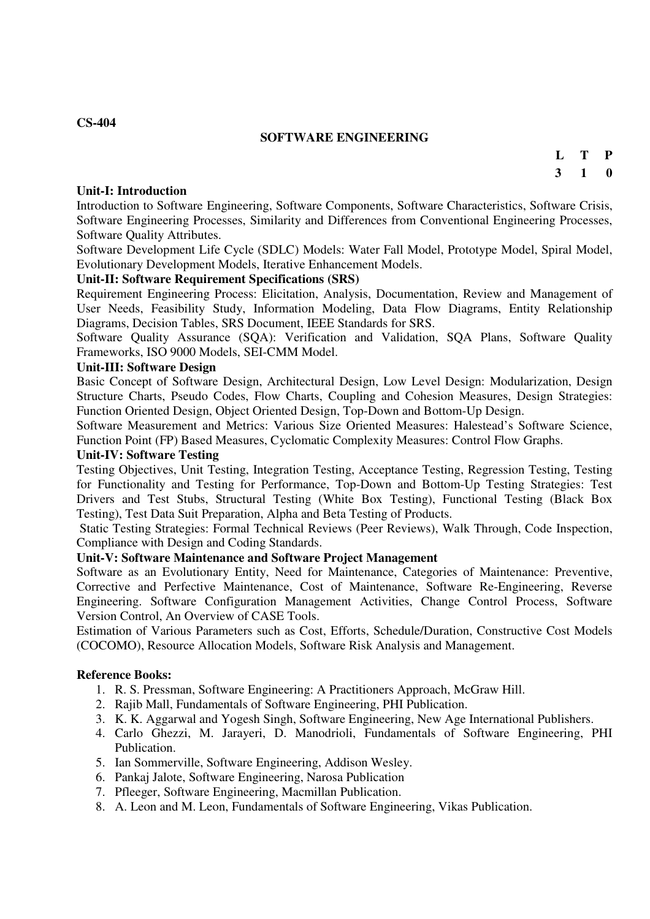#### **SOFTWARE ENGINEERING**

#### **Unit-I: Introduction**

**3 1 0** 

**L T P** 

Introduction to Software Engineering, Software Components, Software Characteristics, Software Crisis, Software Engineering Processes, Similarity and Differences from Conventional Engineering Processes, Software Quality Attributes.

Software Development Life Cycle (SDLC) Models: Water Fall Model, Prototype Model, Spiral Model, Evolutionary Development Models, Iterative Enhancement Models.

#### **Unit-II: Software Requirement Specifications (SRS)**

Requirement Engineering Process: Elicitation, Analysis, Documentation, Review and Management of User Needs, Feasibility Study, Information Modeling, Data Flow Diagrams, Entity Relationship Diagrams, Decision Tables, SRS Document, IEEE Standards for SRS.

Software Quality Assurance (SQA): Verification and Validation, SQA Plans, Software Quality Frameworks, ISO 9000 Models, SEI-CMM Model.

#### **Unit-III: Software Design**

Basic Concept of Software Design, Architectural Design, Low Level Design: Modularization, Design Structure Charts, Pseudo Codes, Flow Charts, Coupling and Cohesion Measures, Design Strategies: Function Oriented Design, Object Oriented Design, Top-Down and Bottom-Up Design.

Software Measurement and Metrics: Various Size Oriented Measures: Halestead's Software Science, Function Point (FP) Based Measures, Cyclomatic Complexity Measures: Control Flow Graphs.

#### **Unit-IV: Software Testing**

Testing Objectives, Unit Testing, Integration Testing, Acceptance Testing, Regression Testing, Testing for Functionality and Testing for Performance, Top-Down and Bottom-Up Testing Strategies: Test Drivers and Test Stubs, Structural Testing (White Box Testing), Functional Testing (Black Box Testing), Test Data Suit Preparation, Alpha and Beta Testing of Products.

 Static Testing Strategies: Formal Technical Reviews (Peer Reviews), Walk Through, Code Inspection, Compliance with Design and Coding Standards.

#### **Unit-V: Software Maintenance and Software Project Management**

Software as an Evolutionary Entity, Need for Maintenance, Categories of Maintenance: Preventive, Corrective and Perfective Maintenance, Cost of Maintenance, Software Re-Engineering, Reverse Engineering. Software Configuration Management Activities, Change Control Process, Software Version Control, An Overview of CASE Tools.

Estimation of Various Parameters such as Cost, Efforts, Schedule/Duration, Constructive Cost Models (COCOMO), Resource Allocation Models, Software Risk Analysis and Management.

#### **Reference Books:**

- 1. R. S. Pressman, Software Engineering: A Practitioners Approach, McGraw Hill.
- 2. Rajib Mall, Fundamentals of Software Engineering, PHI Publication.
- 3. K. K. Aggarwal and Yogesh Singh, Software Engineering, New Age International Publishers.
- 4. Carlo Ghezzi, M. Jarayeri, D. Manodrioli, Fundamentals of Software Engineering, PHI **Publication**
- 5. Ian Sommerville, Software Engineering, Addison Wesley.
- 6. Pankaj Jalote, Software Engineering, Narosa Publication
- 7. Pfleeger, Software Engineering, Macmillan Publication.
- 8. A. Leon and M. Leon, Fundamentals of Software Engineering, Vikas Publication.

#### **CS-404**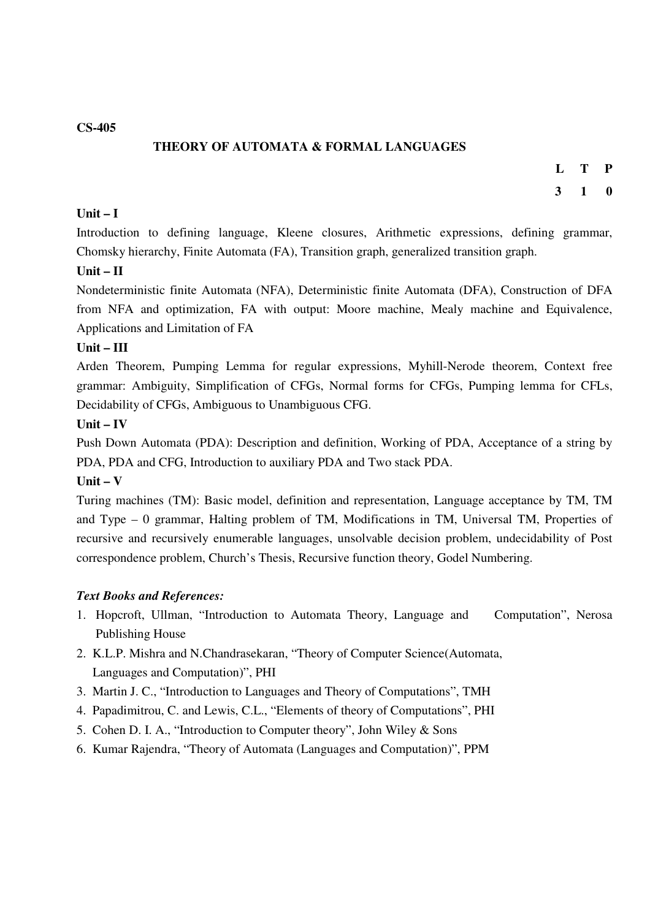**CS-405** 

## **THEORY OF AUTOMATA & FORMAL LANGUAGES**

- **L T P**
- **3 1 0**

## **Unit – I**

Introduction to defining language, Kleene closures, Arithmetic expressions, defining grammar, Chomsky hierarchy, Finite Automata (FA), Transition graph, generalized transition graph.

#### **Unit – II**

Nondeterministic finite Automata (NFA), Deterministic finite Automata (DFA), Construction of DFA from NFA and optimization, FA with output: Moore machine, Mealy machine and Equivalence, Applications and Limitation of FA

#### **Unit – III**

Arden Theorem, Pumping Lemma for regular expressions, Myhill-Nerode theorem, Context free grammar: Ambiguity, Simplification of CFGs, Normal forms for CFGs, Pumping lemma for CFLs, Decidability of CFGs, Ambiguous to Unambiguous CFG.

#### **Unit – IV**

Push Down Automata (PDA): Description and definition, Working of PDA, Acceptance of a string by PDA, PDA and CFG, Introduction to auxiliary PDA and Two stack PDA.

#### **Unit – V**

Turing machines (TM): Basic model, definition and representation, Language acceptance by TM, TM and Type – 0 grammar, Halting problem of TM, Modifications in TM, Universal TM, Properties of recursive and recursively enumerable languages, unsolvable decision problem, undecidability of Post correspondence problem, Church's Thesis, Recursive function theory, Godel Numbering.

#### *Text Books and References:*

- 1. Hopcroft, Ullman, "Introduction to Automata Theory, Language and Computation", Nerosa Publishing House
- 2. K.L.P. Mishra and N.Chandrasekaran, "Theory of Computer Science(Automata, Languages and Computation)", PHI
- 3. Martin J. C., "Introduction to Languages and Theory of Computations", TMH
- 4. Papadimitrou, C. and Lewis, C.L., "Elements of theory of Computations", PHI
- 5. Cohen D. I. A., "Introduction to Computer theory", John Wiley & Sons
- 6. Kumar Rajendra, "Theory of Automata (Languages and Computation)", PPM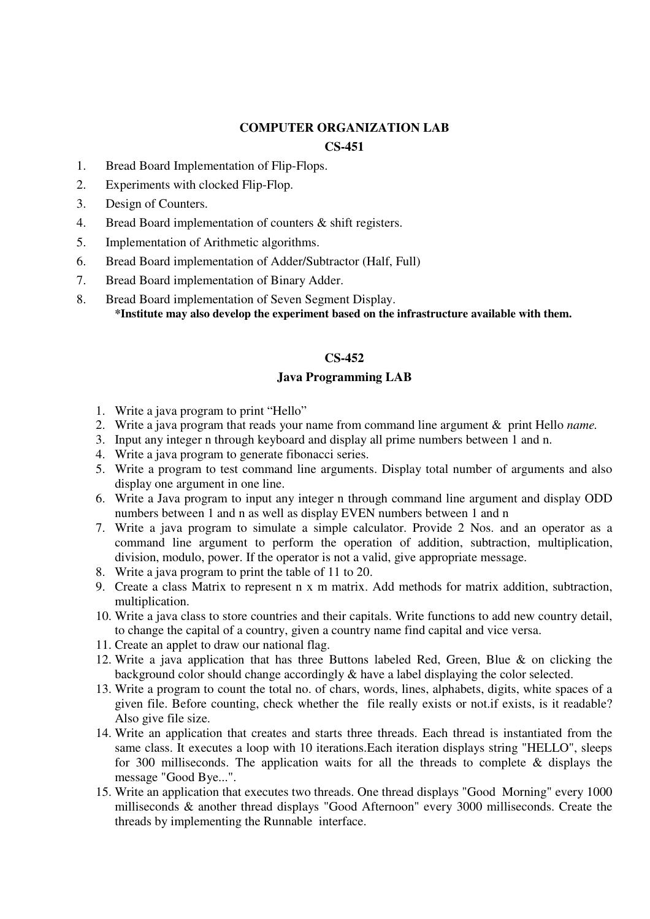## **COMPUTER ORGANIZATION LAB**

#### **CS-451**

- 1. Bread Board Implementation of Flip-Flops.
- 2. Experiments with clocked Flip-Flop.
- 3. Design of Counters.
- 4. Bread Board implementation of counters & shift registers.
- 5. Implementation of Arithmetic algorithms.
- 6. Bread Board implementation of Adder/Subtractor (Half, Full)
- 7. Bread Board implementation of Binary Adder.
- 8. Bread Board implementation of Seven Segment Display. **\*Institute may also develop the experiment based on the infrastructure available with them.**

## **CS-452**

## **Java Programming LAB**

- 1. Write a java program to print "Hello"
- 2. Write a java program that reads your name from command line argument & print Hello *name.*
- 3. Input any integer n through keyboard and display all prime numbers between 1 and n.
- 4. Write a java program to generate fibonacci series.
- 5. Write a program to test command line arguments. Display total number of arguments and also display one argument in one line.
- 6. Write a Java program to input any integer n through command line argument and display ODD numbers between 1 and n as well as display EVEN numbers between 1 and n
- 7. Write a java program to simulate a simple calculator. Provide 2 Nos. and an operator as a command line argument to perform the operation of addition, subtraction, multiplication, division, modulo, power. If the operator is not a valid, give appropriate message.
- 8. Write a java program to print the table of 11 to 20.
- 9. Create a class Matrix to represent n x m matrix. Add methods for matrix addition, subtraction, multiplication.
- 10. Write a java class to store countries and their capitals. Write functions to add new country detail, to change the capital of a country, given a country name find capital and vice versa.
- 11. Create an applet to draw our national flag.
- 12. Write a java application that has three Buttons labeled Red, Green, Blue & on clicking the background color should change accordingly & have a label displaying the color selected.
- 13. Write a program to count the total no. of chars, words, lines, alphabets, digits, white spaces of a given file. Before counting, check whether the file really exists or not.if exists, is it readable? Also give file size.
- 14. Write an application that creates and starts three threads. Each thread is instantiated from the same class. It executes a loop with 10 iterations.Each iteration displays string "HELLO", sleeps for 300 milliseconds. The application waits for all the threads to complete  $\&$  displays the message "Good Bye...".
- 15. Write an application that executes two threads. One thread displays "Good Morning" every 1000 milliseconds & another thread displays "Good Afternoon" every 3000 milliseconds. Create the threads by implementing the Runnable interface.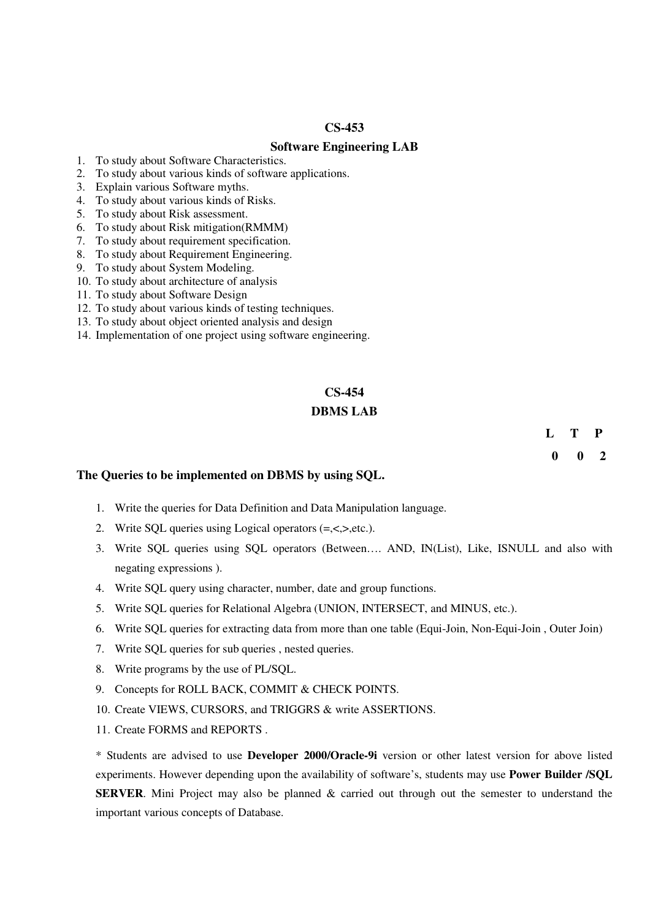#### **CS-453**

#### **Software Engineering LAB**

- 1. To study about Software Characteristics.
- 2. To study about various kinds of software applications.
- 3. Explain various Software myths.
- 4. To study about various kinds of Risks.
- 5. To study about Risk assessment.
- 6. To study about Risk mitigation(RMMM)
- 7. To study about requirement specification.
- 8. To study about Requirement Engineering.
- 9. To study about System Modeling.
- 10. To study about architecture of analysis
- 11. To study about Software Design
- 12. To study about various kinds of testing techniques.
- 13. To study about object oriented analysis and design
- 14. Implementation of one project using software engineering.

#### **CS-454**

#### **DBMS LAB**

**L T P 0 0 2**

#### **The Queries to be implemented on DBMS by using SQL.**

- 1. Write the queries for Data Definition and Data Manipulation language.
- 2. Write SQL queries using Logical operators (=,<,>,etc.).
- 3. Write SQL queries using SQL operators (Between…. AND, IN(List), Like, ISNULL and also with negating expressions ).
- 4. Write SQL query using character, number, date and group functions.
- 5. Write SQL queries for Relational Algebra (UNION, INTERSECT, and MINUS, etc.).
- 6. Write SQL queries for extracting data from more than one table (Equi-Join, Non-Equi-Join , Outer Join)
- 7. Write SQL queries for sub queries , nested queries.
- 8. Write programs by the use of PL/SQL.
- 9. Concepts for ROLL BACK, COMMIT & CHECK POINTS.
- 10. Create VIEWS, CURSORS, and TRIGGRS & write ASSERTIONS.
- 11. Create FORMS and REPORTS .

\* Students are advised to use **Developer 2000/Oracle-9i** version or other latest version for above listed experiments. However depending upon the availability of software's, students may use **Power Builder /SQL SERVER**. Mini Project may also be planned & carried out through out the semester to understand the important various concepts of Database.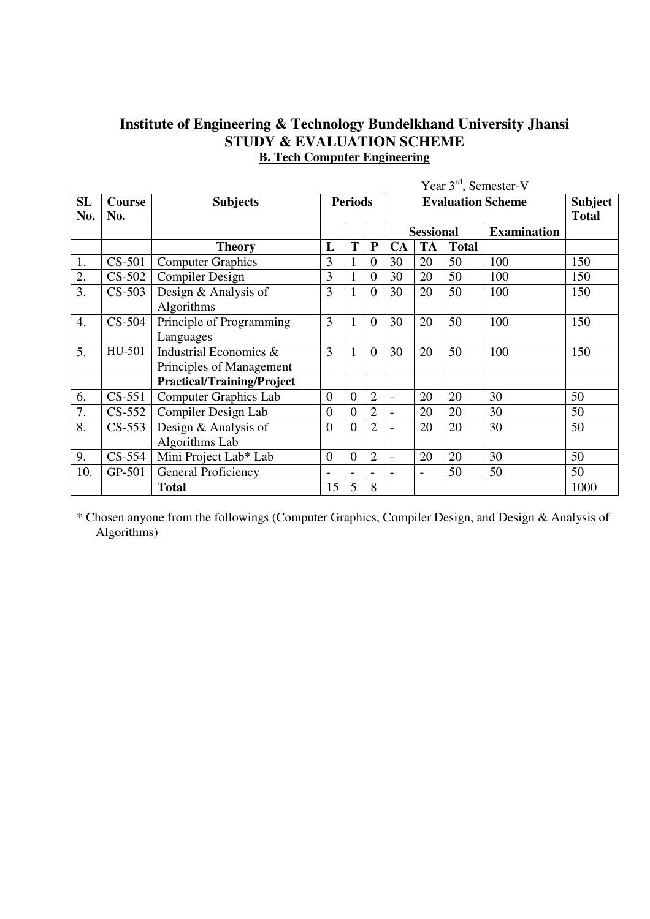# **Institute of Engineering & Technology Bundelkhand University Jhansi STUDY & EVALUATION SCHEME B. Tech Computer Engineering**

|           |               |                                   | Year $3rd$ , Semester-V |                |                |                          |                          |              |                    |      |
|-----------|---------------|-----------------------------------|-------------------------|----------------|----------------|--------------------------|--------------------------|--------------|--------------------|------|
| <b>SL</b> | <b>Course</b> | <b>Subjects</b>                   | <b>Periods</b>          |                |                |                          | <b>Subject</b>           |              |                    |      |
| No.       | No.           |                                   |                         |                |                | <b>Total</b>             |                          |              |                    |      |
|           |               |                                   |                         |                |                |                          | <b>Sessional</b>         |              | <b>Examination</b> |      |
|           |               | <b>Theory</b>                     | L                       | T              | ${\bf P}$      | CA                       | <b>TA</b>                | <b>Total</b> |                    |      |
| 1.        | $CS-501$      | <b>Computer Graphics</b>          | 3                       | $\mathbf{1}$   | $\overline{0}$ | 30                       | 20                       | 50           | 100                | 150  |
| 2.        | $CS-502$      | <b>Compiler Design</b>            | 3                       | $\mathbf{1}$   | $\theta$       | 30                       | 20                       | 50           | 100                | 150  |
| 3.        | $CS-503$      | Design & Analysis of              | 3                       | $\mathbf{1}$   | $\theta$       | 30                       | 20                       | 50           | 100                | 150  |
|           |               | Algorithms                        |                         |                |                |                          |                          |              |                    |      |
| 4.        | $CS-504$      | Principle of Programming          | 3                       | 1              | $\theta$       | 30                       | 20                       | 50           | 100                | 150  |
|           |               | Languages                         |                         |                |                |                          |                          |              |                    |      |
| 5.        | HU-501        | Industrial Economics &            | 3                       | $\mathbf{1}$   | $\theta$       | 30                       | 20                       | 50           | 100                | 150  |
|           |               | Principles of Management          |                         |                |                |                          |                          |              |                    |      |
|           |               | <b>Practical/Training/Project</b> |                         |                |                |                          |                          |              |                    |      |
| 6.        | $CS-551$      | <b>Computer Graphics Lab</b>      | $\overline{0}$          | $\overline{0}$ | $\overline{2}$ | $\overline{\phantom{a}}$ | 20                       | 20           | 30                 | 50   |
| 7.        | $CS-552$      | Compiler Design Lab               | $\overline{0}$          | $\overline{0}$ | $\overline{2}$ | $\overline{\phantom{a}}$ | 20                       | 20           | 30                 | 50   |
| 8.        | $CS-553$      | Design & Analysis of              | $\overline{0}$          | $\overline{0}$ | $\overline{2}$ |                          | 20                       | 20           | 30                 | 50   |
|           |               | Algorithms Lab                    |                         |                |                |                          |                          |              |                    |      |
| 9.        | $CS-554$      | Mini Project Lab* Lab             | $\overline{0}$          | $\overline{0}$ | $\overline{2}$ | $\overline{\phantom{0}}$ | 20                       | 20           | 30                 | 50   |
| 10.       | GP-501        | General Proficiency               |                         |                | $\overline{a}$ | $\overline{a}$           | $\overline{\phantom{a}}$ | 50           | 50                 | 50   |
|           |               | <b>Total</b>                      | 15                      | 5              | 8              |                          |                          |              |                    | 1000 |

\* Chosen anyone from the followings (Computer Graphics, Compiler Design, and Design & Analysis of Algorithms)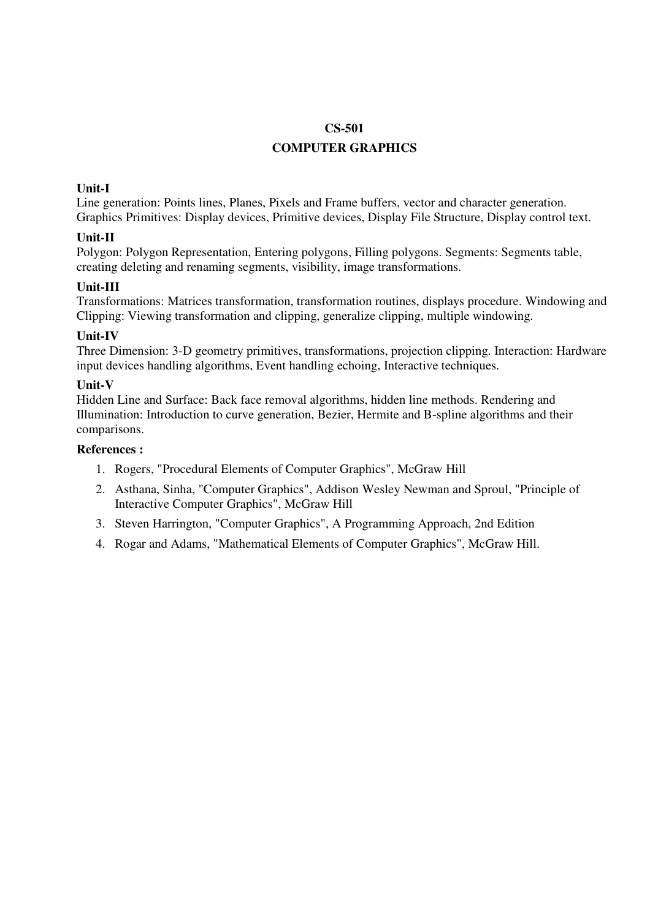## **COMPUTER GRAPHICS**

## **Unit-I**

Line generation: Points lines, Planes, Pixels and Frame buffers, vector and character generation. Graphics Primitives: Display devices, Primitive devices, Display File Structure, Display control text.

## **Unit-II**

Polygon: Polygon Representation, Entering polygons, Filling polygons. Segments: Segments table, creating deleting and renaming segments, visibility, image transformations.

## **Unit-III**

Transformations: Matrices transformation, transformation routines, displays procedure. Windowing and Clipping: Viewing transformation and clipping, generalize clipping, multiple windowing.

## **Unit-IV**

Three Dimension: 3-D geometry primitives, transformations, projection clipping. Interaction: Hardware input devices handling algorithms, Event handling echoing, Interactive techniques.

## **Unit-V**

Hidden Line and Surface: Back face removal algorithms, hidden line methods. Rendering and Illumination: Introduction to curve generation, Bezier, Hermite and B-spline algorithms and their comparisons.

- 1. Rogers, "Procedural Elements of Computer Graphics", McGraw Hill
- 2. Asthana, Sinha, "Computer Graphics", Addison Wesley Newman and Sproul, "Principle of Interactive Computer Graphics", McGraw Hill
- 3. Steven Harrington, "Computer Graphics", A Programming Approach, 2nd Edition
- 4. Rogar and Adams, "Mathematical Elements of Computer Graphics", McGraw Hill.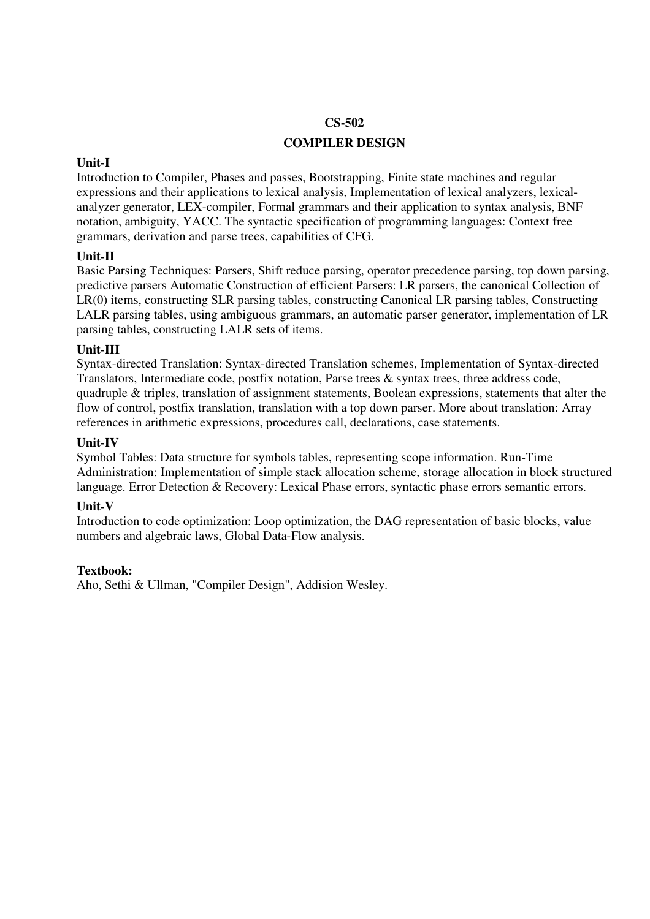## **COMPILER DESIGN**

## **Unit-I**

Introduction to Compiler, Phases and passes, Bootstrapping, Finite state machines and regular expressions and their applications to lexical analysis, Implementation of lexical analyzers, lexicalanalyzer generator, LEX-compiler, Formal grammars and their application to syntax analysis, BNF notation, ambiguity, YACC. The syntactic specification of programming languages: Context free grammars, derivation and parse trees, capabilities of CFG.

## **Unit-II**

Basic Parsing Techniques: Parsers, Shift reduce parsing, operator precedence parsing, top down parsing, predictive parsers Automatic Construction of efficient Parsers: LR parsers, the canonical Collection of LR(0) items, constructing SLR parsing tables, constructing Canonical LR parsing tables, Constructing LALR parsing tables, using ambiguous grammars, an automatic parser generator, implementation of LR parsing tables, constructing LALR sets of items.

## **Unit-III**

Syntax-directed Translation: Syntax-directed Translation schemes, Implementation of Syntax-directed Translators, Intermediate code, postfix notation, Parse trees & syntax trees, three address code, quadruple & triples, translation of assignment statements, Boolean expressions, statements that alter the flow of control, postfix translation, translation with a top down parser. More about translation: Array references in arithmetic expressions, procedures call, declarations, case statements.

## **Unit-IV**

Symbol Tables: Data structure for symbols tables, representing scope information. Run-Time Administration: Implementation of simple stack allocation scheme, storage allocation in block structured language. Error Detection & Recovery: Lexical Phase errors, syntactic phase errors semantic errors.

## **Unit-V**

Introduction to code optimization: Loop optimization, the DAG representation of basic blocks, value numbers and algebraic laws, Global Data-Flow analysis.

## **Textbook:**

Aho, Sethi & Ullman, "Compiler Design", Addision Wesley.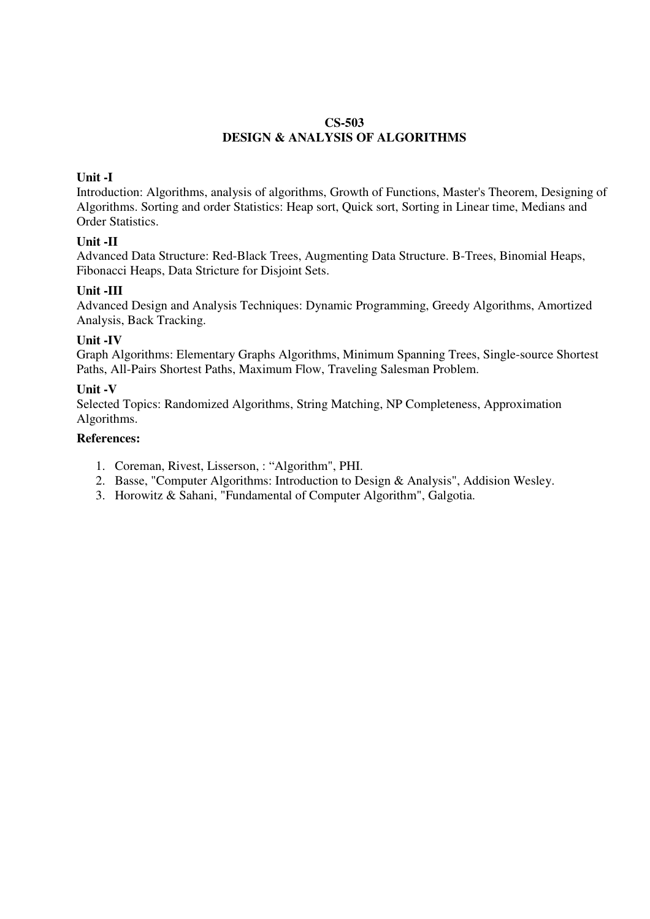## **CS-503 DESIGN & ANALYSIS OF ALGORITHMS**

## **Unit -I**

Introduction: Algorithms, analysis of algorithms, Growth of Functions, Master's Theorem, Designing of Algorithms. Sorting and order Statistics: Heap sort, Quick sort, Sorting in Linear time, Medians and Order Statistics.

## **Unit -II**

Advanced Data Structure: Red-Black Trees, Augmenting Data Structure. B-Trees, Binomial Heaps, Fibonacci Heaps, Data Stricture for Disjoint Sets.

## **Unit -III**

Advanced Design and Analysis Techniques: Dynamic Programming, Greedy Algorithms, Amortized Analysis, Back Tracking.

## **Unit -IV**

Graph Algorithms: Elementary Graphs Algorithms, Minimum Spanning Trees, Single-source Shortest Paths, All-Pairs Shortest Paths, Maximum Flow, Traveling Salesman Problem.

## **Unit -V**

Selected Topics: Randomized Algorithms, String Matching, NP Completeness, Approximation Algorithms.

- 1. Coreman, Rivest, Lisserson, : "Algorithm", PHI.
- 2. Basse, "Computer Algorithms: Introduction to Design & Analysis", Addision Wesley.
- 3. Horowitz & Sahani, "Fundamental of Computer Algorithm", Galgotia.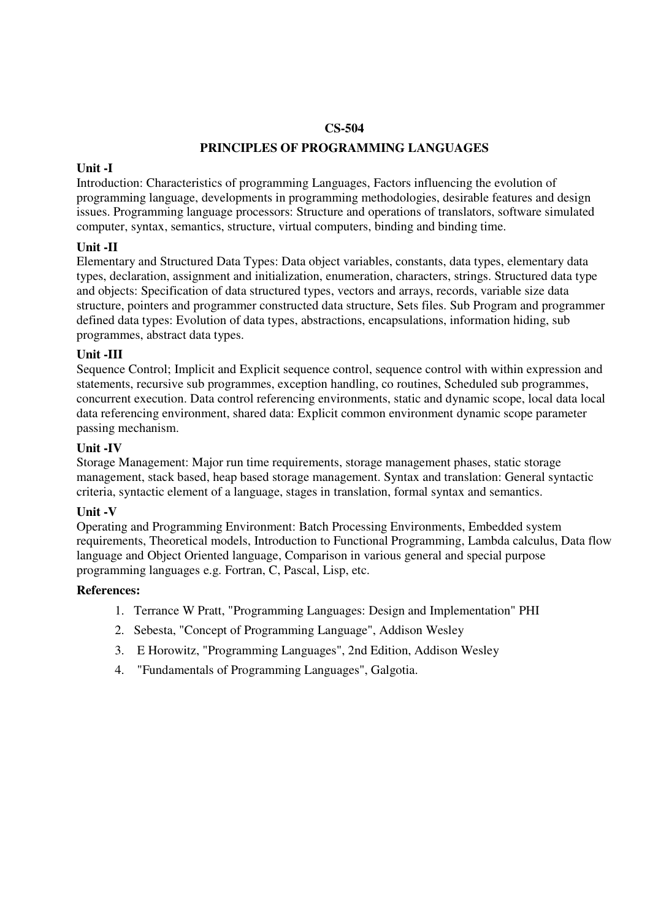## **PRINCIPLES OF PROGRAMMING LANGUAGES**

#### **Unit -I**

Introduction: Characteristics of programming Languages, Factors influencing the evolution of programming language, developments in programming methodologies, desirable features and design issues. Programming language processors: Structure and operations of translators, software simulated computer, syntax, semantics, structure, virtual computers, binding and binding time.

## **Unit -II**

Elementary and Structured Data Types: Data object variables, constants, data types, elementary data types, declaration, assignment and initialization, enumeration, characters, strings. Structured data type and objects: Specification of data structured types, vectors and arrays, records, variable size data structure, pointers and programmer constructed data structure, Sets files. Sub Program and programmer defined data types: Evolution of data types, abstractions, encapsulations, information hiding, sub programmes, abstract data types.

## **Unit -III**

Sequence Control; Implicit and Explicit sequence control, sequence control with within expression and statements, recursive sub programmes, exception handling, co routines, Scheduled sub programmes, concurrent execution. Data control referencing environments, static and dynamic scope, local data local data referencing environment, shared data: Explicit common environment dynamic scope parameter passing mechanism.

## **Unit -IV**

Storage Management: Major run time requirements, storage management phases, static storage management, stack based, heap based storage management. Syntax and translation: General syntactic criteria, syntactic element of a language, stages in translation, formal syntax and semantics.

## **Unit -V**

Operating and Programming Environment: Batch Processing Environments, Embedded system requirements, Theoretical models, Introduction to Functional Programming, Lambda calculus, Data flow language and Object Oriented language, Comparison in various general and special purpose programming languages e.g. Fortran, C, Pascal, Lisp, etc.

- 1. Terrance W Pratt, "Programming Languages: Design and Implementation" PHI
- 2. Sebesta, "Concept of Programming Language", Addison Wesley
- 3. E Horowitz, "Programming Languages", 2nd Edition, Addison Wesley
- 4. "Fundamentals of Programming Languages", Galgotia.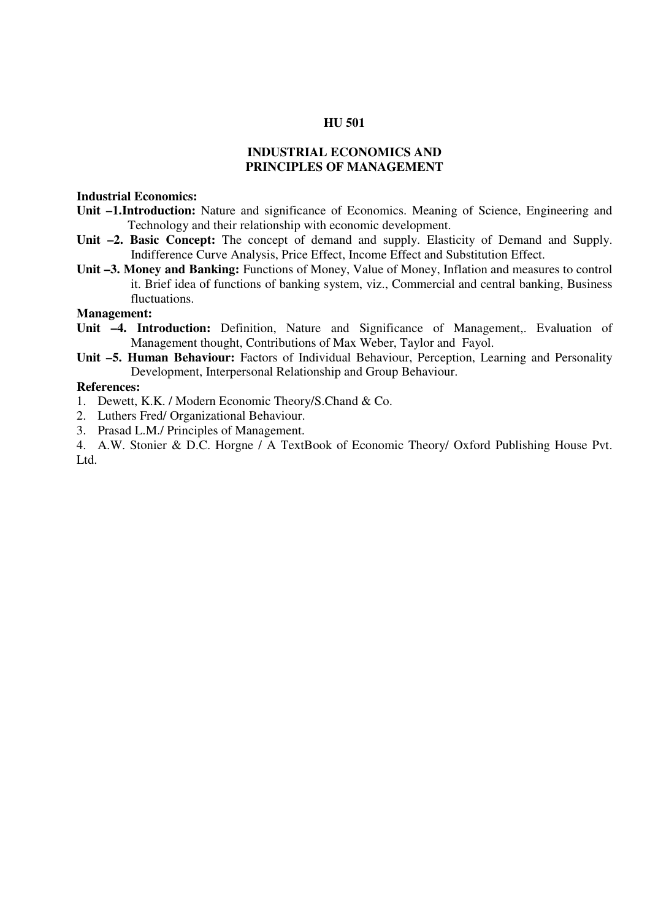#### **HU 501**

## **INDUSTRIAL ECONOMICS AND PRINCIPLES OF MANAGEMENT**

#### **Industrial Economics:**

- **Unit –1.Introduction:** Nature and significance of Economics. Meaning of Science, Engineering and Technology and their relationship with economic development.
- **Unit –2. Basic Concept:** The concept of demand and supply. Elasticity of Demand and Supply. Indifference Curve Analysis, Price Effect, Income Effect and Substitution Effect.
- **Unit –3. Money and Banking:** Functions of Money, Value of Money, Inflation and measures to control it. Brief idea of functions of banking system, viz., Commercial and central banking, Business fluctuations.

### **Management:**

- **Unit –4. Introduction:** Definition, Nature and Significance of Management,. Evaluation of Management thought, Contributions of Max Weber, Taylor and Fayol.
- **Unit –5. Human Behaviour:** Factors of Individual Behaviour, Perception, Learning and Personality Development, Interpersonal Relationship and Group Behaviour.

### **References:**

- 1. Dewett, K.K. / Modern Economic Theory/S.Chand & Co.
- 2. Luthers Fred/ Organizational Behaviour.
- 3. Prasad L.M./ Principles of Management.

4. A.W. Stonier & D.C. Horgne / A TextBook of Economic Theory/ Oxford Publishing House Pvt. Ltd.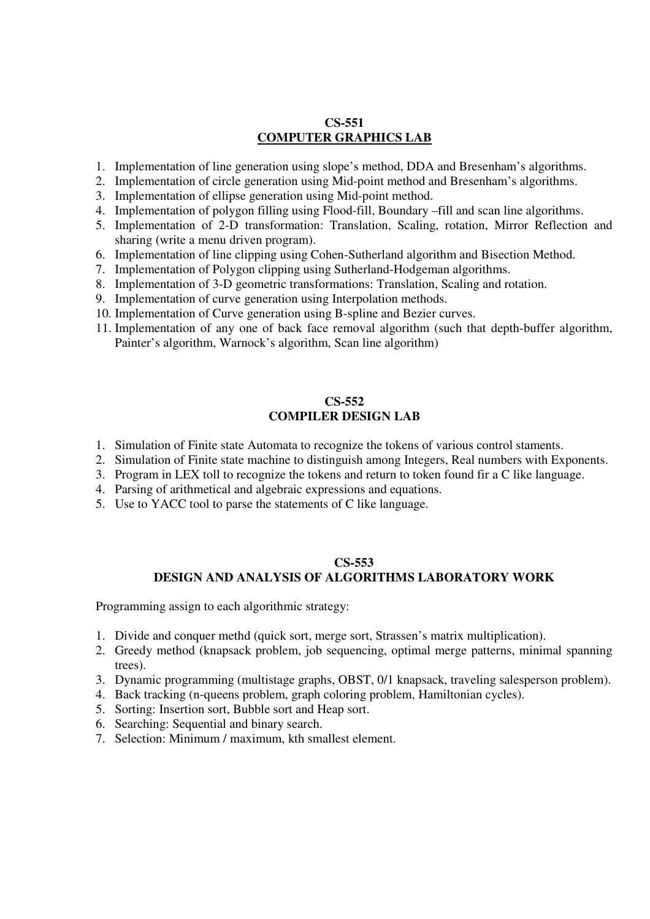## **CS-551 COMPUTER GRAPHICS LAB**

- 1. Implementation of line generation using slope's method, DDA and Bresenham's algorithms.
- 2. Implementation of circle generation using Mid-point method and Bresenham's algorithms.
- 3. Implementation of ellipse generation using Mid-point method.
- 4. Implementation of polygon filling using Flood-fill, Boundary –fill and scan line algorithms.
- 5. Implementation of 2-D transformation: Translation, Scaling, rotation, Mirror Reflection and sharing (write a menu driven program).
- 6. Implementation of line clipping using Cohen-Sutherland algorithm and Bisection Method.
- 7. Implementation of Polygon clipping using Sutherland-Hodgeman algorithms.
- 8. Implementation of 3-D geometric transformations: Translation, Scaling and rotation.
- 9. Implementation of curve generation using Interpolation methods.
- 10. Implementation of Curve generation using B-spline and Bezier curves.
- 11. Implementation of any one of back face removal algorithm (such that depth-buffer algorithm, Painter's algorithm, Warnock's algorithm, Scan line algorithm)

## **CS-552 COMPILER DESIGN LAB**

- 1. Simulation of Finite state Automata to recognize the tokens of various control staments.
- 2. Simulation of Finite state machine to distinguish among Integers, Real numbers with Exponents.
- 3. Program in LEX toll to recognize the tokens and return to token found fir a C like language.
- 4. Parsing of arithmetical and algebraic expressions and equations.
- 5. Use to YACC tool to parse the statements of C like language.

### **CS-553 DESIGN AND ANALYSIS OF ALGORITHMS LABORATORY WORK**

Programming assign to each algorithmic strategy:

- 1. Divide and conquer methd (quick sort, merge sort, Strassen's matrix multiplication).
- 2. Greedy method (knapsack problem, job sequencing, optimal merge patterns, minimal spanning trees).
- 3. Dynamic programming (multistage graphs, OBST, 0/1 knapsack, traveling salesperson problem).
- 4. Back tracking (n-queens problem, graph coloring problem, Hamiltonian cycles).
- 5. Sorting: Insertion sort, Bubble sort and Heap sort.
- 6. Searching: Sequential and binary search.
- 7. Selection: Minimum / maximum, kth smallest element.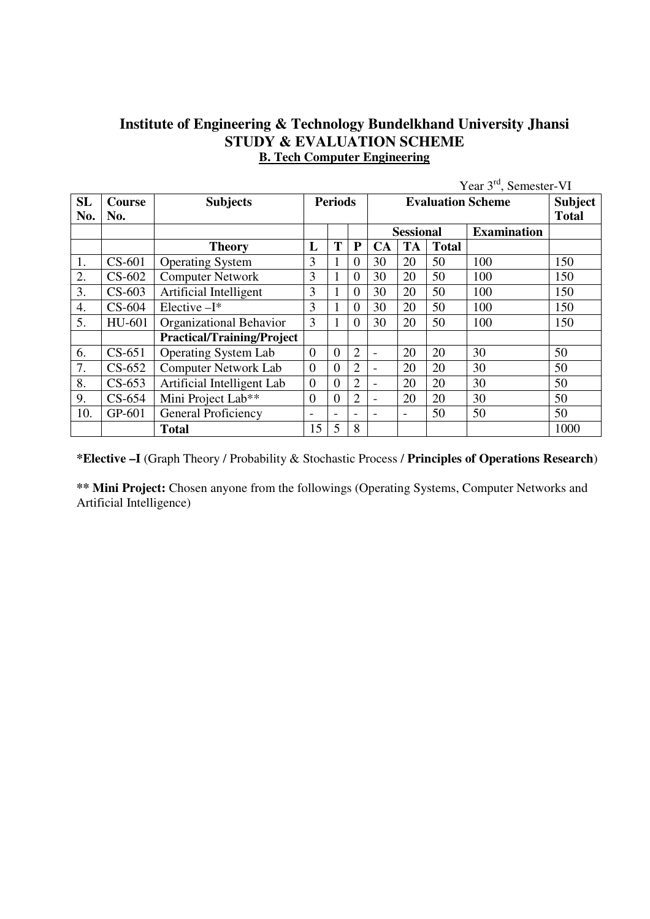# **Institute of Engineering & Technology Bundelkhand University Jhansi STUDY & EVALUATION SCHEME B. Tech Computer Engineering**

|           |               | Year 3 <sup>rd</sup> , Semester-VI |                          |                |                          |                          |                |              |                    |      |
|-----------|---------------|------------------------------------|--------------------------|----------------|--------------------------|--------------------------|----------------|--------------|--------------------|------|
| <b>SL</b> | <b>Course</b> | <b>Subjects</b>                    | <b>Periods</b>           |                |                          |                          | <b>Subject</b> |              |                    |      |
| No.       | No.           |                                    |                          |                |                          |                          | <b>Total</b>   |              |                    |      |
|           |               |                                    |                          |                |                          | <b>Sessional</b>         |                |              | <b>Examination</b> |      |
|           |               | <b>Theory</b>                      | L                        | T              | ${\bf P}$                | <b>CA</b>                | <b>TA</b>      | <b>Total</b> |                    |      |
| 1.        | $CS-601$      | <b>Operating System</b>            | 3                        |                | $\overline{0}$           | 30                       | 20             | 50           | 100                | 150  |
| 2.        | $CS-602$      | <b>Computer Network</b>            | 3                        |                | $\overline{0}$           | 30                       | 20             | 50           | 100                | 150  |
| 3.        | $CS-603$      | Artificial Intelligent             | 3                        | $\mathbf{1}$   | $\overline{0}$           | 30                       | 20             | 50           | 100                | 150  |
| 4.        | $CS-604$      | Elective-I*                        | 3                        | 1              | $\overline{0}$           | 30                       | 20             | 50           | 100                | 150  |
| 5.        | HU-601        | Organizational Behavior            | 3                        | 1              | $\overline{0}$           | 30                       | 20             | 50           | 100                | 150  |
|           |               | <b>Practical/Training/Project</b>  |                          |                |                          |                          |                |              |                    |      |
| 6.        | $CS-651$      | <b>Operating System Lab</b>        | $\overline{0}$           | $\overline{0}$ | $\overline{2}$           | $\overline{\phantom{0}}$ | 20             | 20           | 30                 | 50   |
| 7.        | $CS-652$      | <b>Computer Network Lab</b>        | $\overline{0}$           | $\overline{0}$ | $\overline{2}$           |                          | 20             | 20           | 30                 | 50   |
| 8.        | $CS-653$      | Artificial Intelligent Lab         | $\overline{0}$           | $\overline{0}$ | $\overline{2}$           |                          | 20             | 20           | 30                 | 50   |
| 9.        | $CS-654$      | Mini Project Lab**                 | $\mathbf{0}$             | $\overline{0}$ | $\overline{2}$           |                          | 20             | 20           | 30                 | 50   |
| 10.       | GP-601        | General Proficiency                | $\overline{\phantom{0}}$ | -              | $\overline{\phantom{a}}$ |                          |                | 50           | 50                 | 50   |
|           |               | <b>Total</b>                       | 15                       | 5              | 8                        |                          |                |              |                    | 1000 |

**\*Elective –I** (Graph Theory / Probability & Stochastic Process / **Principles of Operations Research**)

**\*\* Mini Project:** Chosen anyone from the followings (Operating Systems, Computer Networks and Artificial Intelligence)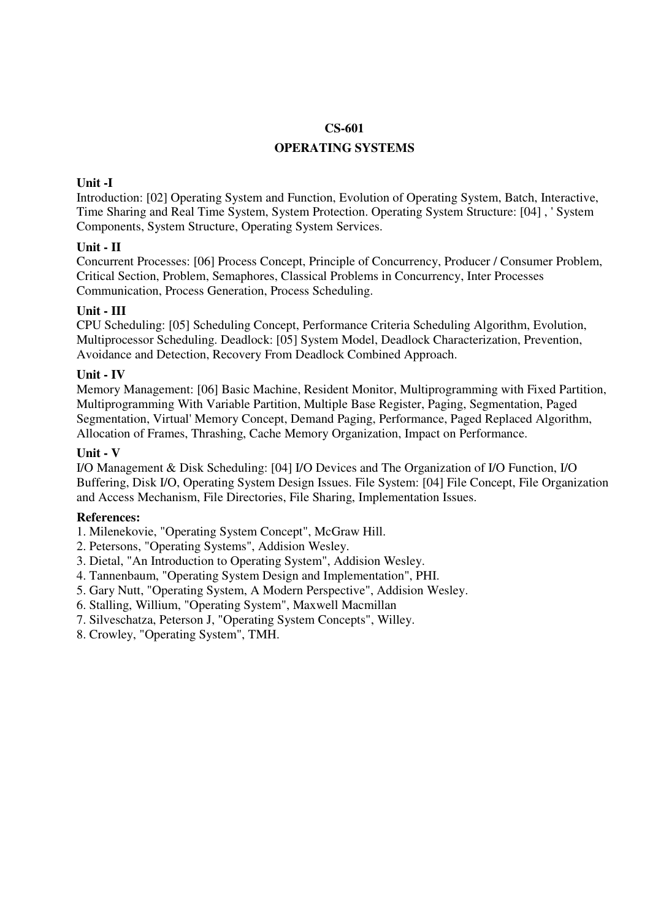## **OPERATING SYSTEMS**

## **Unit -I**

Introduction: [02] Operating System and Function, Evolution of Operating System, Batch, Interactive, Time Sharing and Real Time System, System Protection. Operating System Structure: [04] , ' System Components, System Structure, Operating System Services.

## **Unit - II**

Concurrent Processes: [06] Process Concept, Principle of Concurrency, Producer / Consumer Problem, Critical Section, Problem, Semaphores, Classical Problems in Concurrency, Inter Processes Communication, Process Generation, Process Scheduling.

## **Unit - III**

CPU Scheduling: [05] Scheduling Concept, Performance Criteria Scheduling Algorithm, Evolution, Multiprocessor Scheduling. Deadlock: [05] System Model, Deadlock Characterization, Prevention, Avoidance and Detection, Recovery From Deadlock Combined Approach.

## **Unit - IV**

Memory Management: [06] Basic Machine, Resident Monitor, Multiprogramming with Fixed Partition, Multiprogramming With Variable Partition, Multiple Base Register, Paging, Segmentation, Paged Segmentation, Virtual' Memory Concept, Demand Paging, Performance, Paged Replaced Algorithm, Allocation of Frames, Thrashing, Cache Memory Organization, Impact on Performance.

#### **Unit - V**

I/O Management & Disk Scheduling: [04] I/O Devices and The Organization of I/O Function, I/O Buffering, Disk I/O, Operating System Design Issues. File System: [04] File Concept, File Organization and Access Mechanism, File Directories, File Sharing, Implementation Issues.

## **References:**

1. Milenekovie, "Operating System Concept", McGraw Hill.

- 2. Petersons, "Operating Systems", Addision Wesley.
- 3. Dietal, "An Introduction to Operating System", Addision Wesley.
- 4. Tannenbaum, "Operating System Design and Implementation", PHI.
- 5. Gary Nutt, "Operating System, A Modern Perspective", Addision Wesley.
- 6. Stalling, Willium, "Operating System", Maxwell Macmillan
- 7. Silveschatza, Peterson J, "Operating System Concepts", Willey.
- 8. Crowley, "Operating System", TMH.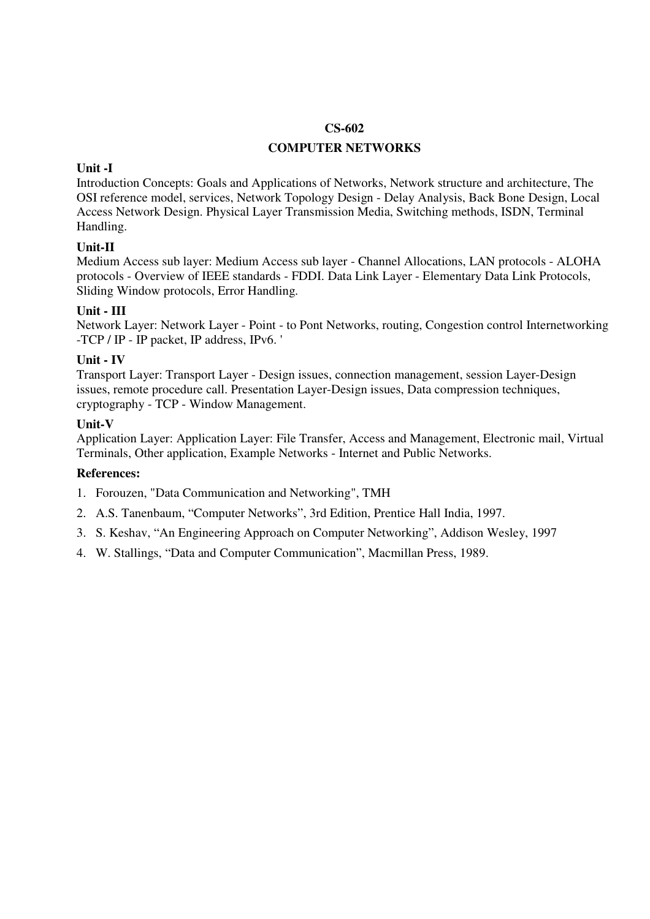## **COMPUTER NETWORKS**

#### **Unit -I**

Introduction Concepts: Goals and Applications of Networks, Network structure and architecture, The OSI reference model, services, Network Topology Design - Delay Analysis, Back Bone Design, Local Access Network Design. Physical Layer Transmission Media, Switching methods, ISDN, Terminal Handling.

## **Unit-II**

Medium Access sub layer: Medium Access sub layer - Channel Allocations, LAN protocols - ALOHA protocols - Overview of IEEE standards - FDDI. Data Link Layer - Elementary Data Link Protocols, Sliding Window protocols, Error Handling.

## **Unit - III**

Network Layer: Network Layer - Point - to Pont Networks, routing, Congestion control Internetworking -TCP / IP - IP packet, IP address, IPv6. '

## **Unit - IV**

Transport Layer: Transport Layer - Design issues, connection management, session Layer-Design issues, remote procedure call. Presentation Layer-Design issues, Data compression techniques, cryptography - TCP - Window Management.

### **Unit-V**

Application Layer: Application Layer: File Transfer, Access and Management, Electronic mail, Virtual Terminals, Other application, Example Networks - Internet and Public Networks.

- 1. Forouzen, "Data Communication and Networking", TMH
- 2. A.S. Tanenbaum, "Computer Networks", 3rd Edition, Prentice Hall India, 1997.
- 3. S. Keshav, "An Engineering Approach on Computer Networking", Addison Wesley, 1997
- 4. W. Stallings, "Data and Computer Communication", Macmillan Press, 1989.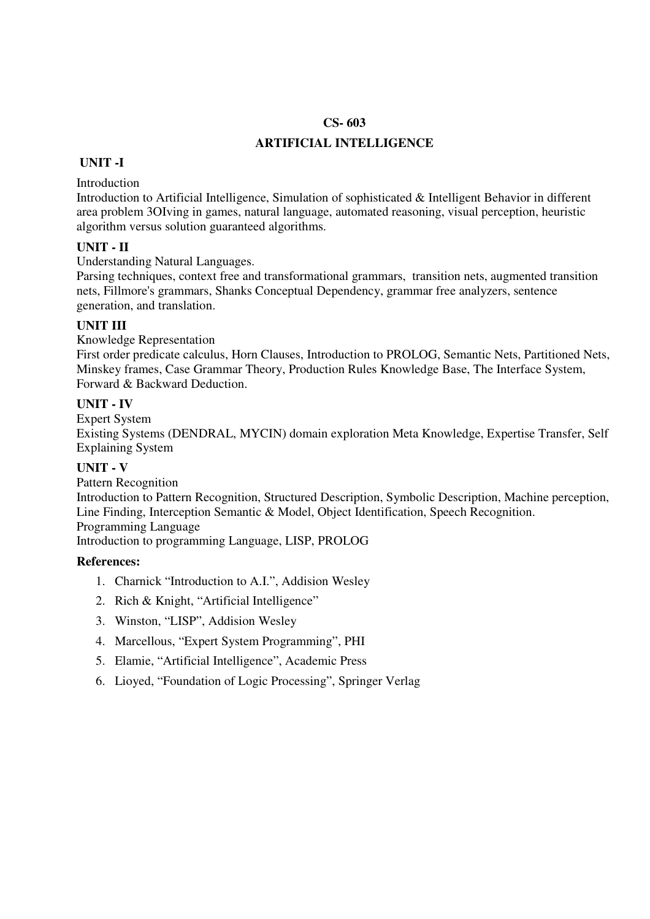## **ARTIFICIAL INTELLIGENCE**

## **UNIT -I**

Introduction

Introduction to Artificial Intelligence, Simulation of sophisticated & Intelligent Behavior in different area problem 3OIving in games, natural language, automated reasoning, visual perception, heuristic algorithm versus solution guaranteed algorithms.

## **UNIT - II**

Understanding Natural Languages.

Parsing techniques, context free and transformational grammars, transition nets, augmented transition nets, Fillmore's grammars, Shanks Conceptual Dependency, grammar free analyzers, sentence generation, and translation.

## **UNIT III**

Knowledge Representation

First order predicate calculus, Horn Clauses, Introduction to PROLOG, Semantic Nets, Partitioned Nets, Minskey frames, Case Grammar Theory, Production Rules Knowledge Base, The Interface System, Forward & Backward Deduction.

## **UNIT - IV**

Expert System

Existing Systems (DENDRAL, MYCIN) domain exploration Meta Knowledge, Expertise Transfer, Self Explaining System

## **UNIT - V**

Pattern Recognition Introduction to Pattern Recognition, Structured Description, Symbolic Description, Machine perception, Line Finding, Interception Semantic & Model, Object Identification, Speech Recognition. Programming Language

Introduction to programming Language, LISP, PROLOG

- 1. Charnick "Introduction to A.I.", Addision Wesley
- 2. Rich & Knight, "Artificial Intelligence"
- 3. Winston, "LISP", Addision Wesley
- 4. Marcellous, "Expert System Programming", PHI
- 5. Elamie, "Artificial Intelligence", Academic Press
- 6. Lioyed, "Foundation of Logic Processing", Springer Verlag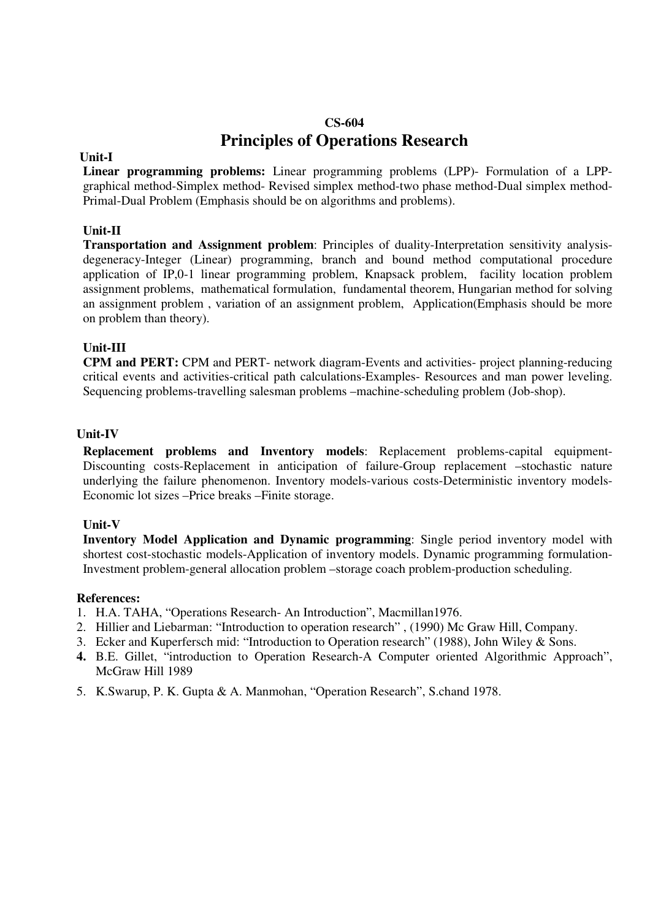# **CS-604 Principles of Operations Research**

### **Unit-I**

**Linear programming problems:** Linear programming problems (LPP)- Formulation of a LPPgraphical method-Simplex method- Revised simplex method-two phase method-Dual simplex method-Primal-Dual Problem (Emphasis should be on algorithms and problems).

## **Unit-II**

**Transportation and Assignment problem**: Principles of duality-Interpretation sensitivity analysisdegeneracy-Integer (Linear) programming, branch and bound method computational procedure application of IP,0-1 linear programming problem, Knapsack problem, facility location problem assignment problems, mathematical formulation, fundamental theorem, Hungarian method for solving an assignment problem , variation of an assignment problem, Application(Emphasis should be more on problem than theory).

## **Unit-III**

**CPM and PERT:** CPM and PERT- network diagram-Events and activities- project planning-reducing critical events and activities-critical path calculations-Examples- Resources and man power leveling. Sequencing problems-travelling salesman problems –machine-scheduling problem (Job-shop).

## **Unit-IV**

**Replacement problems and Inventory models**: Replacement problems-capital equipment-Discounting costs-Replacement in anticipation of failure-Group replacement –stochastic nature underlying the failure phenomenon. Inventory models-various costs-Deterministic inventory models-Economic lot sizes –Price breaks –Finite storage.

## **Unit-V**

**Inventory Model Application and Dynamic programming**: Single period inventory model with shortest cost-stochastic models-Application of inventory models. Dynamic programming formulation-Investment problem-general allocation problem –storage coach problem-production scheduling.

- 1. H.A. TAHA, "Operations Research- An Introduction", Macmillan1976.
- 2. Hillier and Liebarman: "Introduction to operation research" , (1990) Mc Graw Hill, Company.
- 3. Ecker and Kuperfersch mid: "Introduction to Operation research" (1988), John Wiley & Sons.
- **4.** B.E. Gillet, "introduction to Operation Research-A Computer oriented Algorithmic Approach", McGraw Hill 1989
- 5. K.Swarup, P. K. Gupta & A. Manmohan, "Operation Research", S.chand 1978.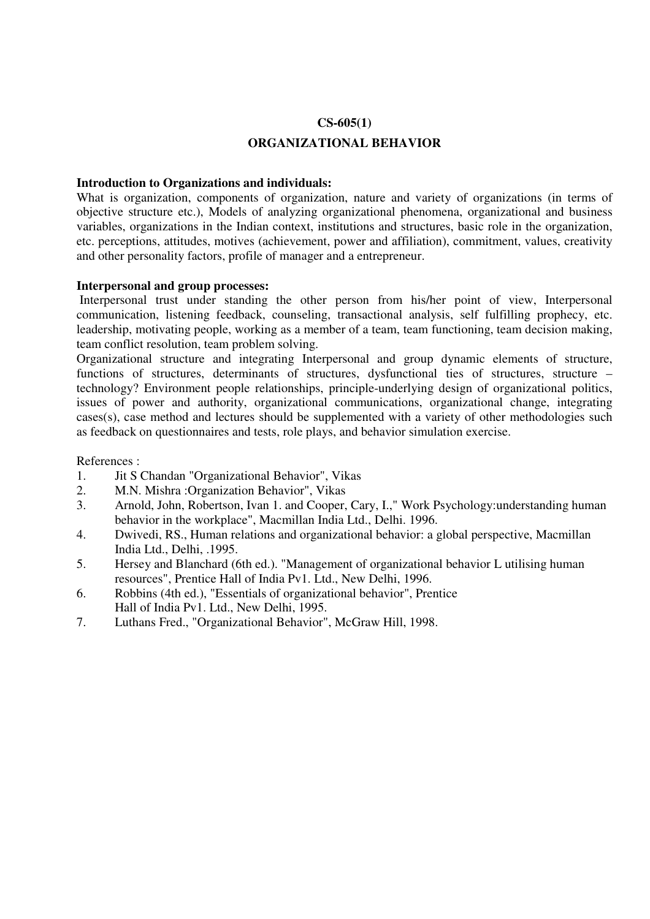#### **CS-605(1)**

## **ORGANIZATIONAL BEHAVIOR**

#### **Introduction to Organizations and individuals:**

What is organization, components of organization, nature and variety of organizations (in terms of objective structure etc.), Models of analyzing organizational phenomena, organizational and business variables, organizations in the Indian context, institutions and structures, basic role in the organization, etc. perceptions, attitudes, motives (achievement, power and affiliation), commitment, values, creativity and other personality factors, profile of manager and a entrepreneur.

#### **Interpersonal and group processes:**

 Interpersonal trust under standing the other person from his/her point of view, Interpersonal communication, listening feedback, counseling, transactional analysis, self fulfilling prophecy, etc. leadership, motivating people, working as a member of a team, team functioning, team decision making, team conflict resolution, team problem solving.

Organizational structure and integrating Interpersonal and group dynamic elements of structure, functions of structures, determinants of structures, dysfunctional ties of structures, structure – technology? Environment people relationships, principle-underlying design of organizational politics, issues of power and authority, organizational communications, organizational change, integrating cases(s), case method and lectures should be supplemented with a variety of other methodologies such as feedback on questionnaires and tests, role plays, and behavior simulation exercise.

- 1. Jit S Chandan "Organizational Behavior", Vikas
- 2. M.N. Mishra :Organization Behavior", Vikas
- 3. Arnold, John, Robertson, Ivan 1. and Cooper, Cary, I.," Work Psychology:understanding human behavior in the workplace", Macmillan India Ltd., Delhi. 1996.
- 4. Dwivedi, RS., Human relations and organizational behavior: a global perspective, Macmillan India Ltd., Delhi, .1995.
- 5. Hersey and Blanchard (6th ed.). "Management of organizational behavior L utilising human resources", Prentice Hall of India Pv1. Ltd., New Delhi, 1996.
- 6. Robbins (4th ed.), "Essentials of organizational behavior", Prentice Hall of India Pv1. Ltd., New Delhi, 1995.
- 7. Luthans Fred., "Organizational Behavior", McGraw Hill, 1998.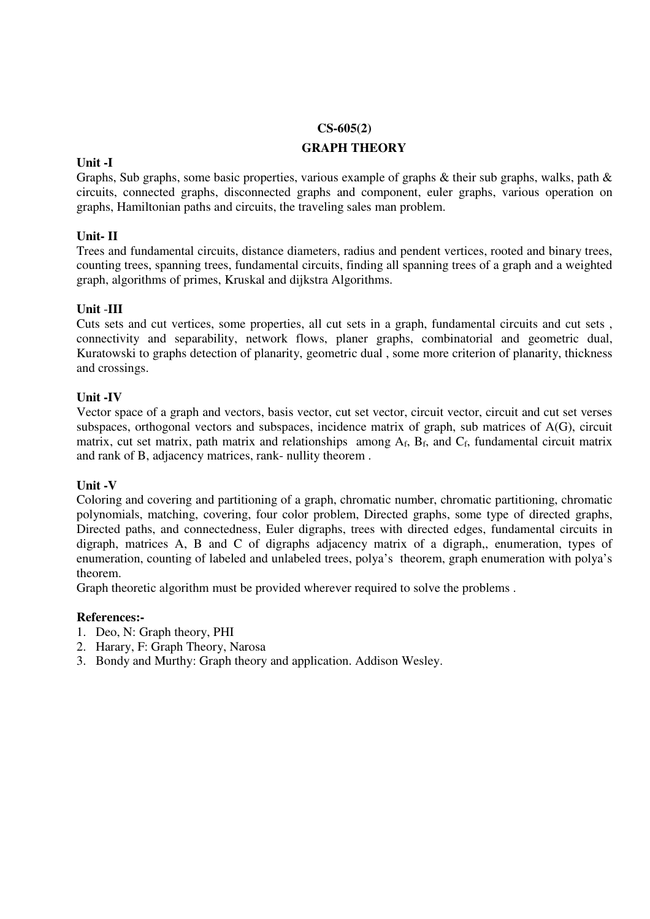## **CS-605(2)**

## **GRAPH THEORY**

## **Unit -I**

Graphs, Sub graphs, some basic properties, various example of graphs & their sub graphs, walks, path & circuits, connected graphs, disconnected graphs and component, euler graphs, various operation on graphs, Hamiltonian paths and circuits, the traveling sales man problem.

## **Unit- II**

Trees and fundamental circuits, distance diameters, radius and pendent vertices, rooted and binary trees, counting trees, spanning trees, fundamental circuits, finding all spanning trees of a graph and a weighted graph, algorithms of primes, Kruskal and dijkstra Algorithms.

## **Unit** -**III**

Cuts sets and cut vertices, some properties, all cut sets in a graph, fundamental circuits and cut sets , connectivity and separability, network flows, planer graphs, combinatorial and geometric dual, Kuratowski to graphs detection of planarity, geometric dual , some more criterion of planarity, thickness and crossings.

## **Unit -IV**

Vector space of a graph and vectors, basis vector, cut set vector, circuit vector, circuit and cut set verses subspaces, orthogonal vectors and subspaces, incidence matrix of graph, sub matrices of A(G), circuit matrix, cut set matrix, path matrix and relationships among  $A_f$ ,  $B_f$ , and  $C_f$ , fundamental circuit matrix and rank of B, adjacency matrices, rank- nullity theorem .

## **Unit -V**

Coloring and covering and partitioning of a graph, chromatic number, chromatic partitioning, chromatic polynomials, matching, covering, four color problem, Directed graphs, some type of directed graphs, Directed paths, and connectedness, Euler digraphs, trees with directed edges, fundamental circuits in digraph, matrices A, B and C of digraphs adjacency matrix of a digraph,, enumeration, types of enumeration, counting of labeled and unlabeled trees, polya's theorem, graph enumeration with polya's theorem.

Graph theoretic algorithm must be provided wherever required to solve the problems .

- 1. Deo, N: Graph theory, PHI
- 2. Harary, F: Graph Theory, Narosa
- 3. Bondy and Murthy: Graph theory and application. Addison Wesley.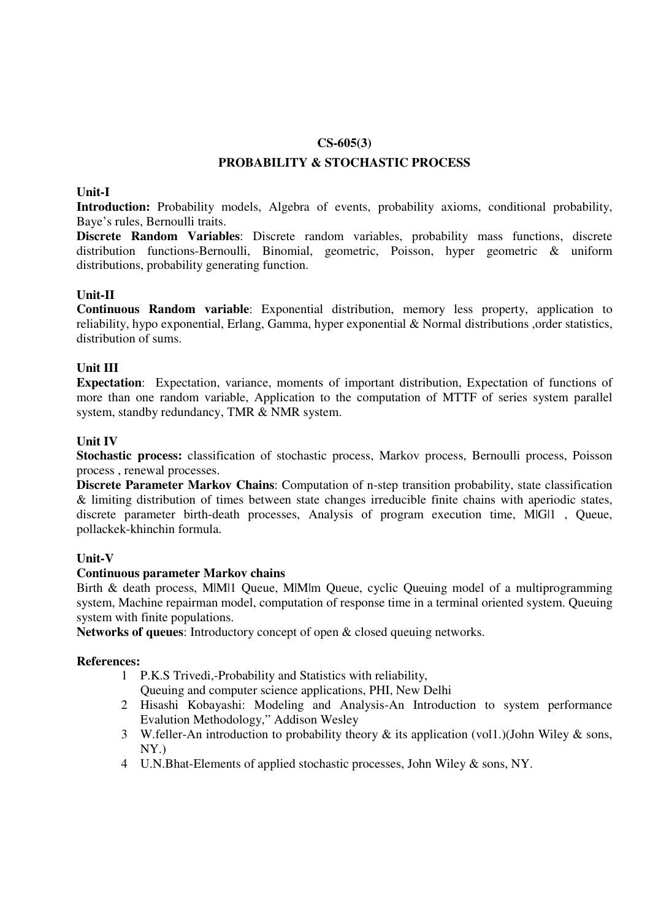### **CS-605(3)**

## **PROBABILITY & STOCHASTIC PROCESS**

## **Unit-I**

**Introduction:** Probability models, Algebra of events, probability axioms, conditional probability, Baye's rules, Bernoulli traits.

**Discrete Random Variables**: Discrete random variables, probability mass functions, discrete distribution functions-Bernoulli, Binomial, geometric, Poisson, hyper geometric & uniform distributions, probability generating function.

## **Unit-II**

**Continuous Random variable**: Exponential distribution, memory less property, application to reliability, hypo exponential, Erlang, Gamma, hyper exponential & Normal distributions ,order statistics, distribution of sums.

## **Unit III**

**Expectation**: Expectation, variance, moments of important distribution, Expectation of functions of more than one random variable, Application to the computation of MTTF of series system parallel system, standby redundancy, TMR & NMR system.

## **Unit IV**

**Stochastic process:** classification of stochastic process, Markov process, Bernoulli process, Poisson process , renewal processes.

**Discrete Parameter Markov Chains**: Computation of n-step transition probability, state classification & limiting distribution of times between state changes irreducible finite chains with aperiodic states, discrete parameter birth-death processes, Analysis of program execution time, M|G|1 , Queue, pollackek-khinchin formula.

## **Unit-V**

## **Continuous parameter Markov chains**

Birth & death process, M|M|1 Queue, M|M|m Queue, cyclic Queuing model of a multiprogramming system, Machine repairman model, computation of response time in a terminal oriented system. Queuing system with finite populations.

**Networks of queues**: Introductory concept of open & closed queuing networks.

- 1 P.K.S Trivedi,-Probability and Statistics with reliability, Queuing and computer science applications, PHI, New Delhi
- 2 Hisashi Kobayashi: Modeling and Analysis-An Introduction to system performance Evalution Methodology," Addison Wesley
- 3 W.feller-An introduction to probability theory & its application (vol1.)(John Wiley & sons, NY.)
- 4 U.N.Bhat-Elements of applied stochastic processes, John Wiley & sons, NY.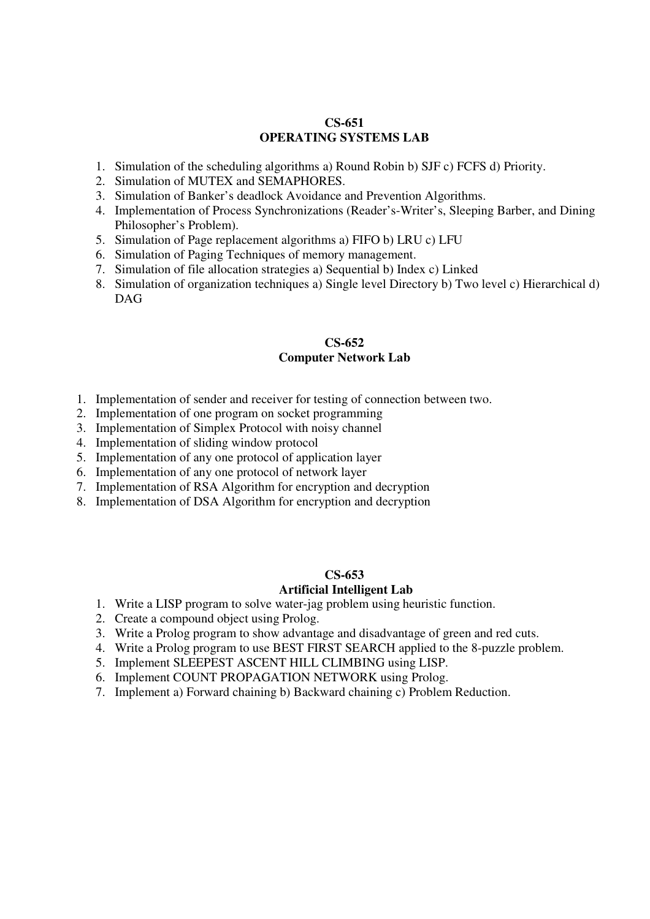### **CS-651 OPERATING SYSTEMS LAB**

- 1. Simulation of the scheduling algorithms a) Round Robin b) SJF c) FCFS d) Priority.
- 2. Simulation of MUTEX and SEMAPHORES.
- 3. Simulation of Banker's deadlock Avoidance and Prevention Algorithms.
- 4. Implementation of Process Synchronizations (Reader's-Writer's, Sleeping Barber, and Dining Philosopher's Problem).
- 5. Simulation of Page replacement algorithms a) FIFO b) LRU c) LFU
- 6. Simulation of Paging Techniques of memory management.
- 7. Simulation of file allocation strategies a) Sequential b) Index c) Linked
- 8. Simulation of organization techniques a) Single level Directory b) Two level c) Hierarchical d) DAG

## **CS-652 Computer Network Lab**

- 1. Implementation of sender and receiver for testing of connection between two.
- 2. Implementation of one program on socket programming
- 3. Implementation of Simplex Protocol with noisy channel
- 4. Implementation of sliding window protocol
- 5. Implementation of any one protocol of application layer
- 6. Implementation of any one protocol of network layer
- 7. Implementation of RSA Algorithm for encryption and decryption
- 8. Implementation of DSA Algorithm for encryption and decryption

#### **CS-653**

#### **Artificial Intelligent Lab**

- 1. Write a LISP program to solve water-jag problem using heuristic function.
- 2. Create a compound object using Prolog.
- 3. Write a Prolog program to show advantage and disadvantage of green and red cuts.
- 4. Write a Prolog program to use BEST FIRST SEARCH applied to the 8-puzzle problem.
- 5. Implement SLEEPEST ASCENT HILL CLIMBING using LISP.
- 6. Implement COUNT PROPAGATION NETWORK using Prolog.
- 7. Implement a) Forward chaining b) Backward chaining c) Problem Reduction.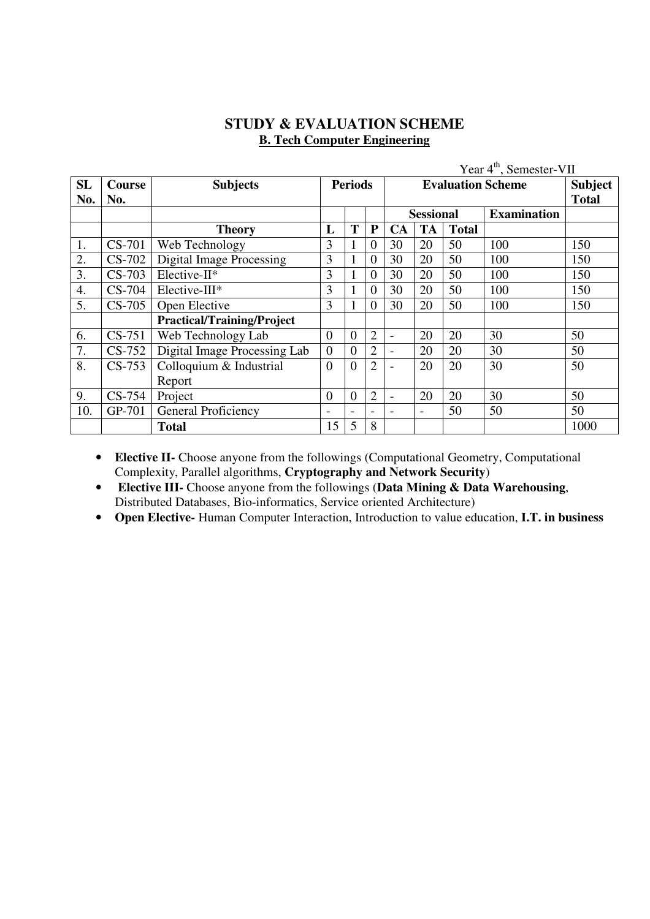# **STUDY & EVALUATION SCHEME B. Tech Computer Engineering**

|           |               |                                   |                  |                          | Year $4^{\text{th}}$ , Semester-VII |                  |                |              |                    |      |  |
|-----------|---------------|-----------------------------------|------------------|--------------------------|-------------------------------------|------------------|----------------|--------------|--------------------|------|--|
| <b>SL</b> | <b>Course</b> | <b>Subjects</b>                   | <b>Periods</b>   |                          |                                     |                  | <b>Subject</b> |              |                    |      |  |
| No.       | No.           |                                   |                  |                          |                                     |                  | <b>Total</b>   |              |                    |      |  |
|           |               |                                   |                  |                          |                                     | <b>Sessional</b> |                |              | <b>Examination</b> |      |  |
|           |               | <b>Theory</b>                     | L                | T                        | P                                   | CA               | <b>TA</b>      | <b>Total</b> |                    |      |  |
| 1.        | CS-701        | Web Technology                    | 3                |                          | $\theta$                            | 30               | 20             | 50           | 100                | 150  |  |
| 2.        | $CS-702$      | <b>Digital Image Processing</b>   | 3                | $\mathbf{1}$             | $\overline{0}$                      | 30               | 20             | 50           | 100                | 150  |  |
| 3.        | $CS-703$      | Elective-II*                      | 3                |                          | $\overline{0}$                      | 30               | 20             | 50           | 100                | 150  |  |
| 4.        | $CS-704$      | Elective-III*                     | 3                |                          | $\overline{0}$                      | 30               | 20             | 50           | 100                | 150  |  |
| 5.        | $CS-705$      | Open Elective                     | 3                |                          | $\overline{0}$                      | 30               | 20             | 50           | 100                | 150  |  |
|           |               | <b>Practical/Training/Project</b> |                  |                          |                                     |                  |                |              |                    |      |  |
| 6.        | $CS-751$      | Web Technology Lab                | $\overline{0}$   | $\boldsymbol{0}$         | $\overline{2}$                      | $\blacksquare$   | 20             | 20           | 30                 | 50   |  |
| 7.        | $CS-752$      | Digital Image Processing Lab      | $\overline{0}$   | $\boldsymbol{0}$         | $\overline{2}$                      |                  | 20             | 20           | 30                 | 50   |  |
| 8.        | $CS-753$      | Colloquium & Industrial           | $\overline{0}$   | $\theta$                 | $\overline{2}$                      |                  | 20             | 20           | 30                 | 50   |  |
|           |               | Report                            |                  |                          |                                     |                  |                |              |                    |      |  |
| 9.        | $CS-754$      | Project                           | $\boldsymbol{0}$ | $\boldsymbol{0}$         | $\overline{2}$                      |                  | 20             | 20           | 30                 | 50   |  |
| 10.       | GP-701        | General Proficiency               |                  | $\overline{\phantom{a}}$ |                                     |                  | $\blacksquare$ | 50           | 50                 | 50   |  |
|           |               | <b>Total</b>                      | 15               | 5                        | 8                                   |                  |                |              |                    | 1000 |  |

• **Elective II-** Choose anyone from the followings (Computational Geometry, Computational Complexity, Parallel algorithms, **Cryptography and Network Security**)

• **Elective III-** Choose anyone from the followings (**Data Mining & Data Warehousing**, Distributed Databases, Bio-informatics, Service oriented Architecture)

• **Open Elective-** Human Computer Interaction, Introduction to value education, **I.T. in business**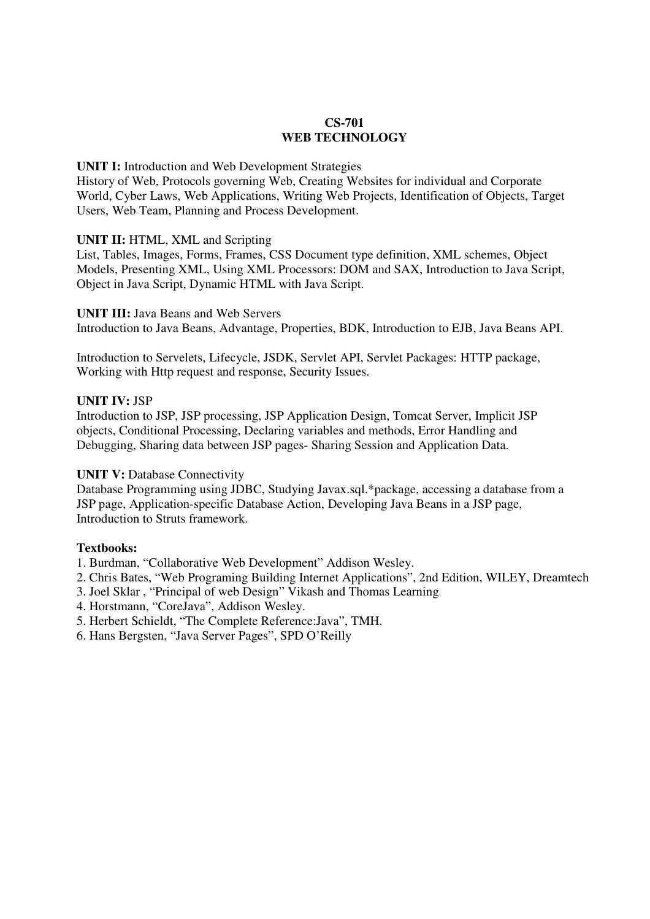## **CS-701 WEB TECHNOLOGY**

### **UNIT I:** Introduction and Web Development Strategies

History of Web, Protocols governing Web, Creating Websites for individual and Corporate World, Cyber Laws, Web Applications, Writing Web Projects, Identification of Objects, Target Users, Web Team, Planning and Process Development.

## **UNIT II:** HTML, XML and Scripting

List, Tables, Images, Forms, Frames, CSS Document type definition, XML schemes, Object Models, Presenting XML, Using XML Processors: DOM and SAX, Introduction to Java Script, Object in Java Script, Dynamic HTML with Java Script.

**UNIT III:** Java Beans and Web Servers Introduction to Java Beans, Advantage, Properties, BDK, Introduction to EJB, Java Beans API.

Introduction to Servelets, Lifecycle, JSDK, Servlet API, Servlet Packages: HTTP package, Working with Http request and response, Security Issues.

## **UNIT IV:** JSP

Introduction to JSP, JSP processing, JSP Application Design, Tomcat Server, Implicit JSP objects, Conditional Processing, Declaring variables and methods, Error Handling and Debugging, Sharing data between JSP pages- Sharing Session and Application Data.

## **UNIT V: Database Connectivity**

Database Programming using JDBC, Studying Javax.sql.\*package, accessing a database from a JSP page, Application-specific Database Action, Developing Java Beans in a JSP page, Introduction to Struts framework.

## **Textbooks:**

1. Burdman, "Collaborative Web Development" Addison Wesley.

- 2. Chris Bates, "Web Programing Building Internet Applications", 2nd Edition, WILEY, Dreamtech
- 3. Joel Sklar , "Principal of web Design" Vikash and Thomas Learning
- 4. Horstmann, "CoreJava", Addison Wesley.
- 5. Herbert Schieldt, "The Complete Reference:Java", TMH.
- 6. Hans Bergsten, "Java Server Pages", SPD O'Reilly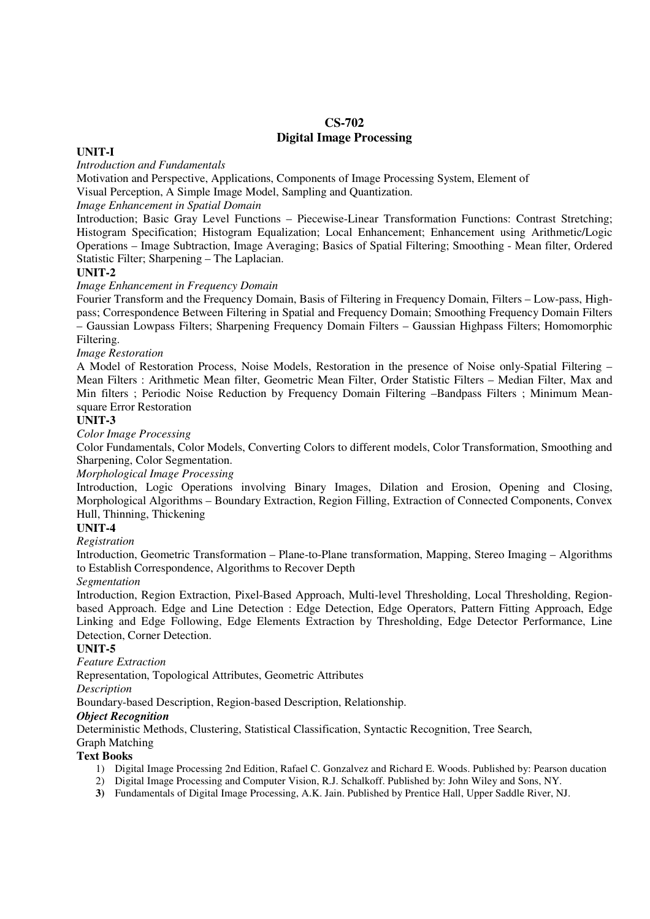## **CS-702 Digital Image Processing**

#### **UNIT-I**

*Introduction and Fundamentals* 

Motivation and Perspective, Applications, Components of Image Processing System, Element of Visual Perception, A Simple Image Model, Sampling and Quantization.

*Image Enhancement in Spatial Domain* 

Introduction; Basic Gray Level Functions – Piecewise-Linear Transformation Functions: Contrast Stretching; Histogram Specification; Histogram Equalization; Local Enhancement; Enhancement using Arithmetic/Logic Operations – Image Subtraction, Image Averaging; Basics of Spatial Filtering; Smoothing - Mean filter, Ordered Statistic Filter; Sharpening – The Laplacian.

#### **UNIT-2**

*Image Enhancement in Frequency Domain* 

Fourier Transform and the Frequency Domain, Basis of Filtering in Frequency Domain, Filters – Low-pass, Highpass; Correspondence Between Filtering in Spatial and Frequency Domain; Smoothing Frequency Domain Filters – Gaussian Lowpass Filters; Sharpening Frequency Domain Filters – Gaussian Highpass Filters; Homomorphic Filtering.

*Image Restoration* 

A Model of Restoration Process, Noise Models, Restoration in the presence of Noise only-Spatial Filtering – Mean Filters : Arithmetic Mean filter, Geometric Mean Filter, Order Statistic Filters – Median Filter, Max and Min filters ; Periodic Noise Reduction by Frequency Domain Filtering –Bandpass Filters ; Minimum Meansquare Error Restoration

#### **UNIT-3**

*Color Image Processing* 

Color Fundamentals, Color Models, Converting Colors to different models, Color Transformation, Smoothing and Sharpening, Color Segmentation.

#### *Morphological Image Processing*

Introduction, Logic Operations involving Binary Images, Dilation and Erosion, Opening and Closing, Morphological Algorithms – Boundary Extraction, Region Filling, Extraction of Connected Components, Convex Hull, Thinning, Thickening

#### **UNIT-4**

*Registration* 

Introduction, Geometric Transformation – Plane-to-Plane transformation, Mapping, Stereo Imaging – Algorithms to Establish Correspondence, Algorithms to Recover Depth

#### *Segmentation*

Introduction, Region Extraction, Pixel-Based Approach, Multi-level Thresholding, Local Thresholding, Regionbased Approach. Edge and Line Detection : Edge Detection, Edge Operators, Pattern Fitting Approach, Edge Linking and Edge Following, Edge Elements Extraction by Thresholding, Edge Detector Performance, Line Detection, Corner Detection.

#### **UNIT-5**

*Feature Extraction* 

Representation, Topological Attributes, Geometric Attributes

*Description* 

Boundary-based Description, Region-based Description, Relationship.

#### *Object Recognition*

Deterministic Methods, Clustering, Statistical Classification, Syntactic Recognition, Tree Search,

## Graph Matching

#### **Text Books**

- 1) Digital Image Processing 2nd Edition, Rafael C. Gonzalvez and Richard E. Woods. Published by: Pearson ducation
- 2) Digital Image Processing and Computer Vision, R.J. Schalkoff. Published by: John Wiley and Sons, NY.
- **3)** Fundamentals of Digital Image Processing, A.K. Jain. Published by Prentice Hall, Upper Saddle River, NJ.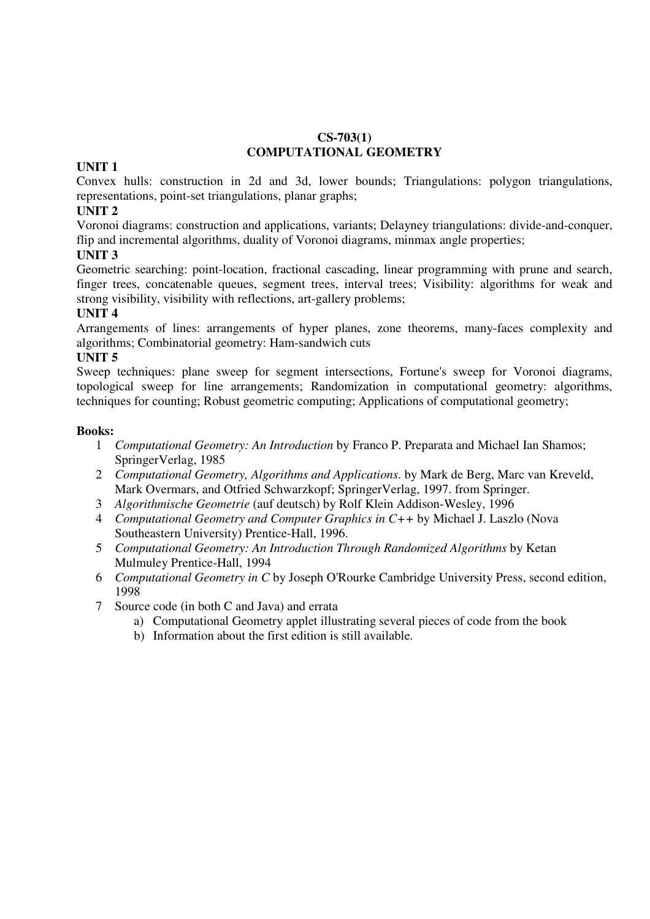## **CS-703(1) COMPUTATIONAL GEOMETRY**

## **UNIT 1**

Convex hulls: construction in 2d and 3d, lower bounds; Triangulations: polygon triangulations, representations, point-set triangulations, planar graphs;

## **UNIT 2**

Voronoi diagrams: construction and applications, variants; Delayney triangulations: divide-and-conquer, flip and incremental algorithms, duality of Voronoi diagrams, minmax angle properties;

## **UNIT 3**

Geometric searching: point-location, fractional cascading, linear programming with prune and search, finger trees, concatenable queues, segment trees, interval trees; Visibility: algorithms for weak and strong visibility, visibility with reflections, art-gallery problems;

## **UNIT 4**

Arrangements of lines: arrangements of hyper planes, zone theorems, many-faces complexity and algorithms; Combinatorial geometry: Ham-sandwich cuts

## **UNIT 5**

Sweep techniques: plane sweep for segment intersections, Fortune's sweep for Voronoi diagrams, topological sweep for line arrangements; Randomization in computational geometry: algorithms, techniques for counting; Robust geometric computing; Applications of computational geometry;

- 1 *Computational Geometry: An Introduction* by Franco P. Preparata and Michael Ian Shamos; SpringerVerlag, 1985
- 2 *Computational Geometry, Algorithms and Applications*. by Mark de Berg, Marc van Kreveld, Mark Overmars, and Otfried Schwarzkopf; SpringerVerlag, 1997. from Springer.
- 3 *Algorithmische Geometrie* (auf deutsch) by Rolf Klein Addison-Wesley, 1996
- 4 *Computational Geometry and Computer Graphics in C++* by Michael J. Laszlo (Nova Southeastern University) Prentice-Hall, 1996.
- 5 *Computational Geometry: An Introduction Through Randomized Algorithms* by Ketan Mulmuley Prentice-Hall, 1994
- 6 *Computational Geometry in C* by Joseph O'Rourke Cambridge University Press, second edition, 1998
- 7 Source code (in both C and Java) and errata
	- a) Computational Geometry applet illustrating several pieces of code from the book
	- b) Information about the first edition is still available.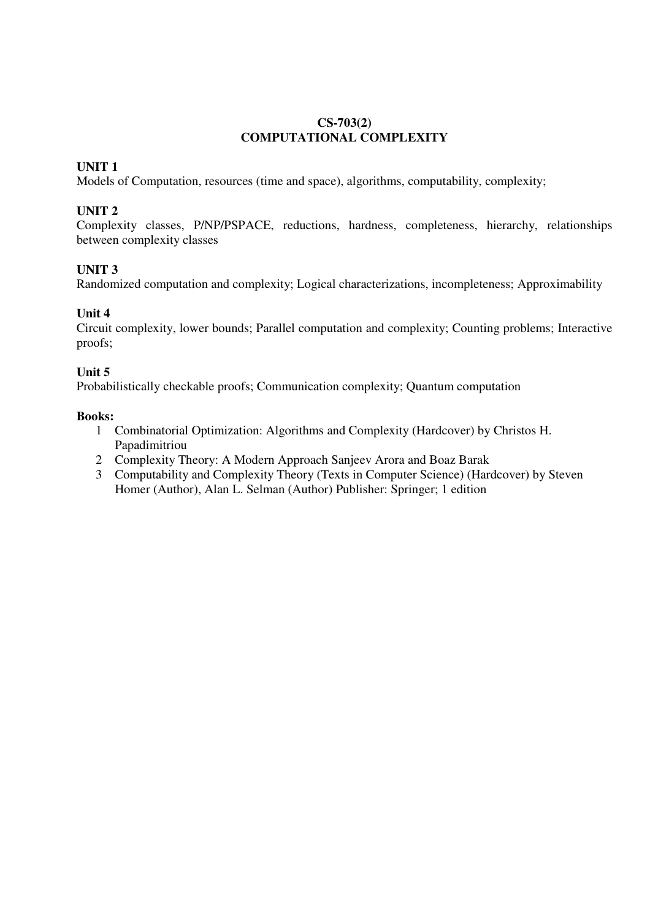## **CS-703(2) COMPUTATIONAL COMPLEXITY**

## **UNIT 1**

Models of Computation, resources (time and space), algorithms, computability, complexity;

# **UNIT 2**

Complexity classes, P/NP/PSPACE, reductions, hardness, completeness, hierarchy, relationships between complexity classes

## **UNIT 3**

Randomized computation and complexity; Logical characterizations, incompleteness; Approximability

## **Unit 4**

Circuit complexity, lower bounds; Parallel computation and complexity; Counting problems; Interactive proofs;

## **Unit 5**

Probabilistically checkable proofs; Communication complexity; Quantum computation

- 1 Combinatorial Optimization: Algorithms and Complexity (Hardcover) by Christos H. Papadimitriou
- 2 Complexity Theory: A Modern Approach Sanjeev Arora and Boaz Barak
- 3 Computability and Complexity Theory (Texts in Computer Science) (Hardcover) by Steven Homer (Author), Alan L. Selman (Author) Publisher: Springer; 1 edition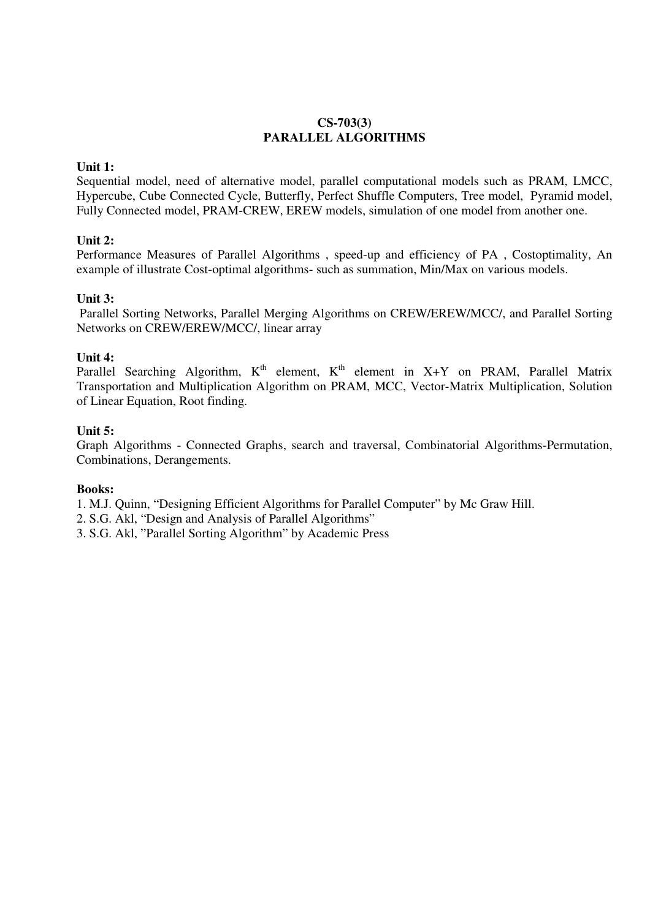## **CS-703(3) PARALLEL ALGORITHMS**

### **Unit 1:**

Sequential model, need of alternative model, parallel computational models such as PRAM, LMCC, Hypercube, Cube Connected Cycle, Butterfly, Perfect Shuffle Computers, Tree model, Pyramid model, Fully Connected model, PRAM-CREW, EREW models, simulation of one model from another one.

## **Unit 2:**

Performance Measures of Parallel Algorithms , speed-up and efficiency of PA , Costoptimality, An example of illustrate Cost-optimal algorithms- such as summation, Min/Max on various models.

### **Unit 3:**

Parallel Sorting Networks, Parallel Merging Algorithms on CREW/EREW/MCC/, and Parallel Sorting Networks on CREW/EREW/MCC/, linear array

### **Unit 4:**

Parallel Searching Algorithm,  $K^{th}$  element,  $K^{th}$  element in  $X+Y$  on PRAM, Parallel Matrix Transportation and Multiplication Algorithm on PRAM, MCC, Vector-Matrix Multiplication, Solution of Linear Equation, Root finding.

### **Unit 5:**

Graph Algorithms - Connected Graphs, search and traversal, Combinatorial Algorithms-Permutation, Combinations, Derangements.

#### **Books:**

1. M.J. Quinn, "Designing Efficient Algorithms for Parallel Computer" by Mc Graw Hill.

2. S.G. Akl, "Design and Analysis of Parallel Algorithms"

3. S.G. Akl, "Parallel Sorting Algorithm" by Academic Press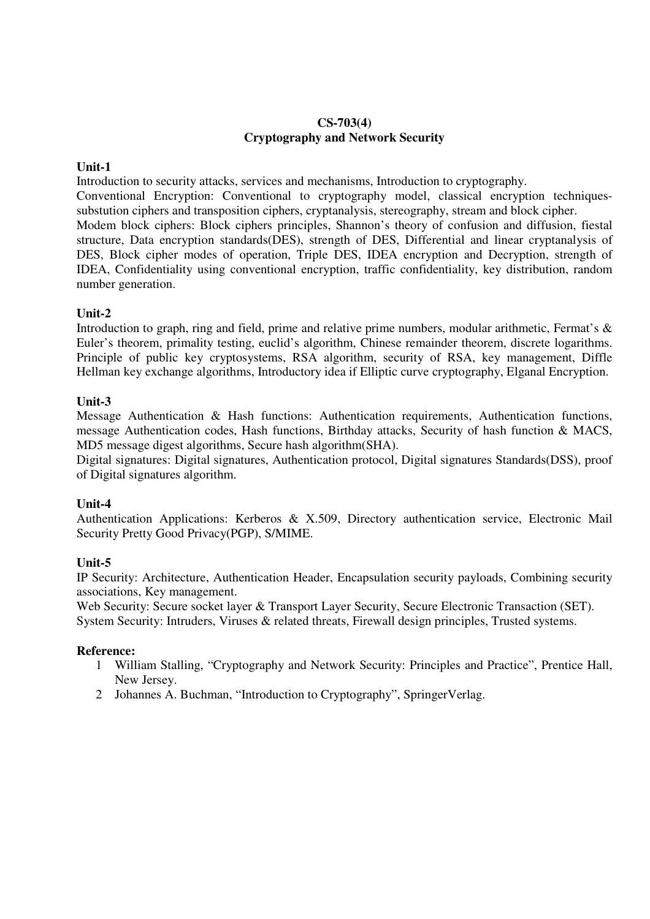## **CS-703(4) Cryptography and Network Security**

## **Unit-1**

Introduction to security attacks, services and mechanisms, Introduction to cryptography.

Conventional Encryption: Conventional to cryptography model, classical encryption techniquessubstution ciphers and transposition ciphers, cryptanalysis, stereography, stream and block cipher.

Modem block ciphers: Block ciphers principles, Shannon's theory of confusion and diffusion, fiestal structure, Data encryption standards(DES), strength of DES, Differential and linear cryptanalysis of DES, Block cipher modes of operation, Triple DES, IDEA encryption and Decryption, strength of IDEA, Confidentiality using conventional encryption, traffic confidentiality, key distribution, random number generation.

## **Unit-2**

Introduction to graph, ring and field, prime and relative prime numbers, modular arithmetic, Fermat's & Euler's theorem, primality testing, euclid's algorithm, Chinese remainder theorem, discrete logarithms. Principle of public key cryptosystems, RSA algorithm, security of RSA, key management, Diffle Hellman key exchange algorithms, Introductory idea if Elliptic curve cryptography, Elganal Encryption.

## **Unit-3**

Message Authentication & Hash functions: Authentication requirements, Authentication functions, message Authentication codes, Hash functions, Birthday attacks, Security of hash function & MACS, MD5 message digest algorithms, Secure hash algorithm(SHA).

Digital signatures: Digital signatures, Authentication protocol, Digital signatures Standards(DSS), proof of Digital signatures algorithm.

## **Unit-4**

Authentication Applications: Kerberos & X.509, Directory authentication service, Electronic Mail Security Pretty Good Privacy(PGP), S/MIME.

## **Unit-5**

IP Security: Architecture, Authentication Header, Encapsulation security payloads, Combining security associations, Key management.

Web Security: Secure socket layer & Transport Layer Security, Secure Electronic Transaction (SET).

System Security: Intruders, Viruses & related threats, Firewall design principles, Trusted systems.

- 1 William Stalling, "Cryptography and Network Security: Principles and Practice", Prentice Hall, New Jersey.
- 2 Johannes A. Buchman, "Introduction to Cryptography", SpringerVerlag.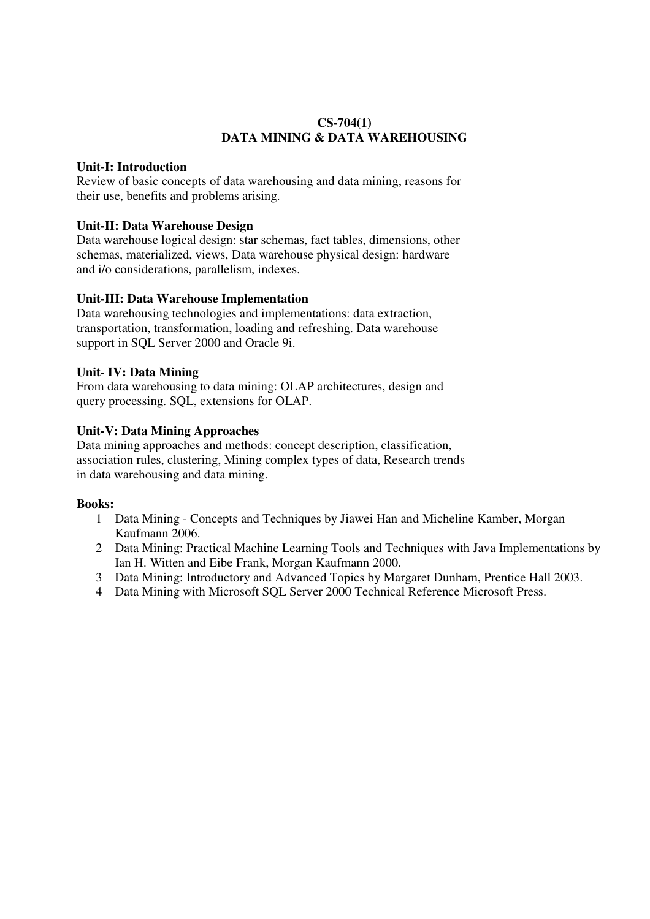## **CS-704(1) DATA MINING & DATA WAREHOUSING**

## **Unit-I: Introduction**

Review of basic concepts of data warehousing and data mining, reasons for their use, benefits and problems arising.

## **Unit-II: Data Warehouse Design**

Data warehouse logical design: star schemas, fact tables, dimensions, other schemas, materialized, views, Data warehouse physical design: hardware and i/o considerations, parallelism, indexes.

## **Unit-III: Data Warehouse Implementation**

Data warehousing technologies and implementations: data extraction, transportation, transformation, loading and refreshing. Data warehouse support in SQL Server 2000 and Oracle 9i.

## **Unit- IV: Data Mining**

From data warehousing to data mining: OLAP architectures, design and query processing. SQL, extensions for OLAP.

## **Unit-V: Data Mining Approaches**

Data mining approaches and methods: concept description, classification, association rules, clustering, Mining complex types of data, Research trends in data warehousing and data mining.

- 1 Data Mining Concepts and Techniques by Jiawei Han and Micheline Kamber, Morgan Kaufmann 2006.
- 2 Data Mining: Practical Machine Learning Tools and Techniques with Java Implementations by Ian H. Witten and Eibe Frank, Morgan Kaufmann 2000.
- 3 Data Mining: Introductory and Advanced Topics by Margaret Dunham, Prentice Hall 2003.
- 4 Data Mining with Microsoft SQL Server 2000 Technical Reference Microsoft Press.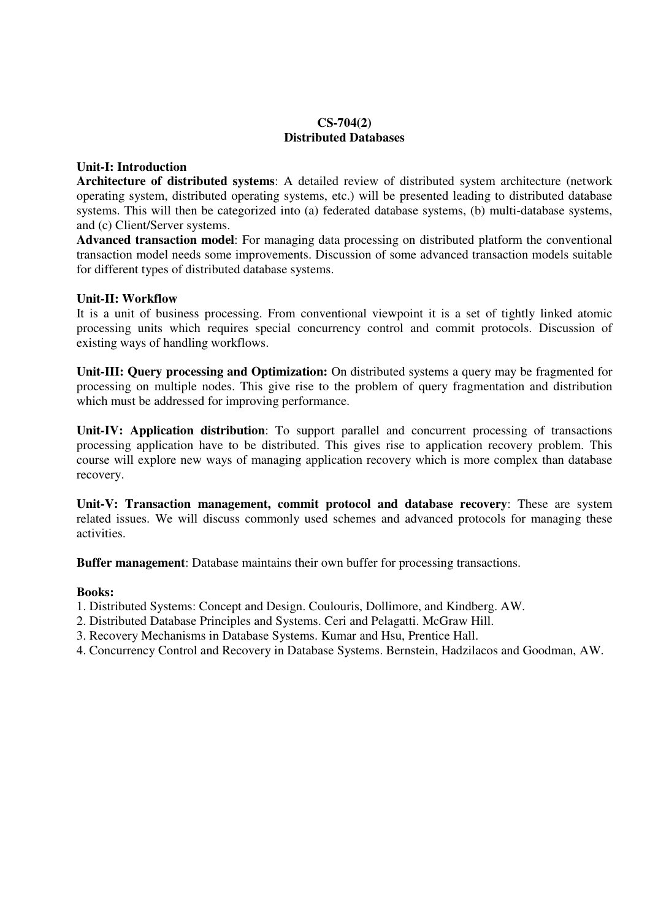### **CS-704(2) Distributed Databases**

## **Unit-I: Introduction**

**Architecture of distributed systems**: A detailed review of distributed system architecture (network operating system, distributed operating systems, etc.) will be presented leading to distributed database systems. This will then be categorized into (a) federated database systems, (b) multi-database systems, and (c) Client/Server systems.

**Advanced transaction model**: For managing data processing on distributed platform the conventional transaction model needs some improvements. Discussion of some advanced transaction models suitable for different types of distributed database systems.

## **Unit-II: Workflow**

It is a unit of business processing. From conventional viewpoint it is a set of tightly linked atomic processing units which requires special concurrency control and commit protocols. Discussion of existing ways of handling workflows.

**Unit-III: Query processing and Optimization:** On distributed systems a query may be fragmented for processing on multiple nodes. This give rise to the problem of query fragmentation and distribution which must be addressed for improving performance.

**Unit-IV: Application distribution**: To support parallel and concurrent processing of transactions processing application have to be distributed. This gives rise to application recovery problem. This course will explore new ways of managing application recovery which is more complex than database recovery.

**Unit-V: Transaction management, commit protocol and database recovery**: These are system related issues. We will discuss commonly used schemes and advanced protocols for managing these activities.

**Buffer management**: Database maintains their own buffer for processing transactions.

- 1. Distributed Systems: Concept and Design. Coulouris, Dollimore, and Kindberg. AW.
- 2. Distributed Database Principles and Systems. Ceri and Pelagatti. McGraw Hill.
- 3. Recovery Mechanisms in Database Systems. Kumar and Hsu, Prentice Hall.
- 4. Concurrency Control and Recovery in Database Systems. Bernstein, Hadzilacos and Goodman, AW.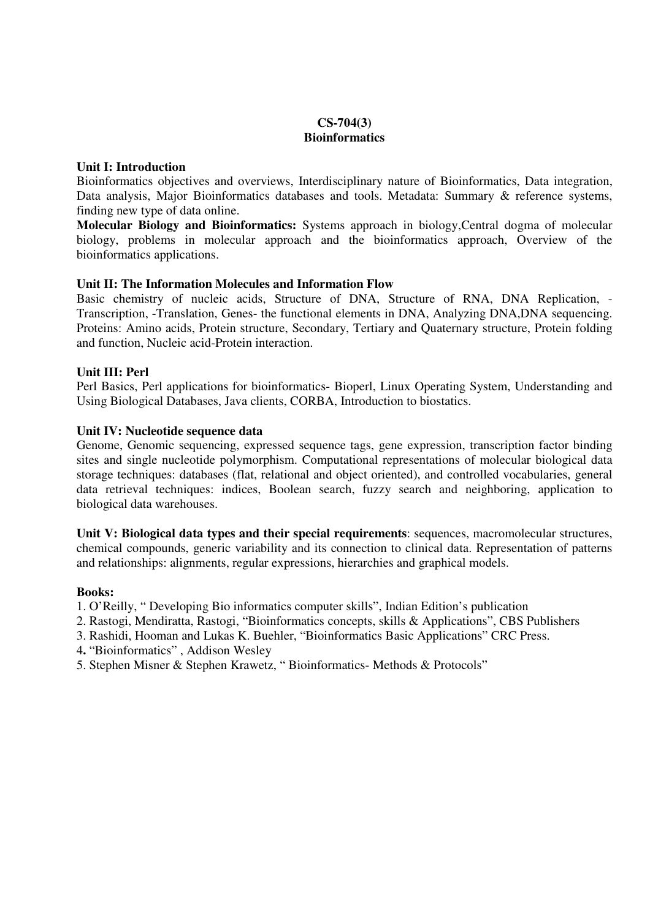## **CS-704(3) Bioinformatics**

### **Unit I: Introduction**

Bioinformatics objectives and overviews, Interdisciplinary nature of Bioinformatics, Data integration, Data analysis, Major Bioinformatics databases and tools. Metadata: Summary & reference systems, finding new type of data online.

**Molecular Biology and Bioinformatics:** Systems approach in biology,Central dogma of molecular biology, problems in molecular approach and the bioinformatics approach, Overview of the bioinformatics applications.

## **Unit II: The Information Molecules and Information Flow**

Basic chemistry of nucleic acids, Structure of DNA, Structure of RNA, DNA Replication, - Transcription, -Translation, Genes- the functional elements in DNA, Analyzing DNA,DNA sequencing. Proteins: Amino acids, Protein structure, Secondary, Tertiary and Quaternary structure, Protein folding and function, Nucleic acid-Protein interaction.

## **Unit III: Perl**

Perl Basics, Perl applications for bioinformatics- Bioperl, Linux Operating System, Understanding and Using Biological Databases, Java clients, CORBA, Introduction to biostatics.

## **Unit IV: Nucleotide sequence data**

Genome, Genomic sequencing, expressed sequence tags, gene expression, transcription factor binding sites and single nucleotide polymorphism. Computational representations of molecular biological data storage techniques: databases (flat, relational and object oriented), and controlled vocabularies, general data retrieval techniques: indices, Boolean search, fuzzy search and neighboring, application to biological data warehouses.

**Unit V: Biological data types and their special requirements**: sequences, macromolecular structures, chemical compounds, generic variability and its connection to clinical data. Representation of patterns and relationships: alignments, regular expressions, hierarchies and graphical models.

- 1. O'Reilly, " Developing Bio informatics computer skills", Indian Edition's publication
- 2. Rastogi, Mendiratta, Rastogi, "Bioinformatics concepts, skills & Applications", CBS Publishers
- 3. Rashidi, Hooman and Lukas K. Buehler, "Bioinformatics Basic Applications" CRC Press.
- 4**.** "Bioinformatics" , Addison Wesley
- 5. Stephen Misner & Stephen Krawetz, " Bioinformatics- Methods & Protocols"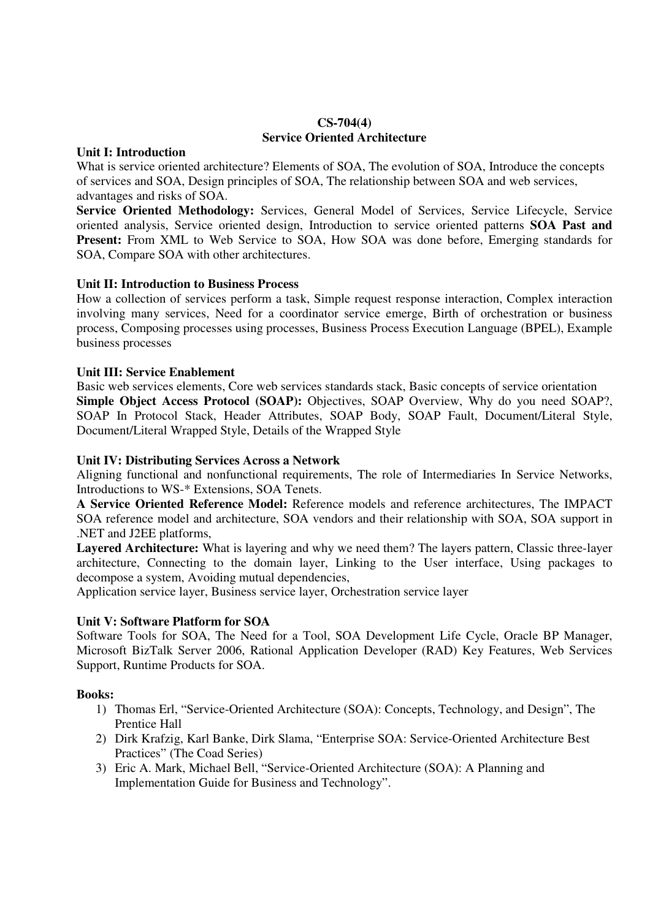#### **CS-704(4) Service Oriented Architecture**

#### **Unit I: Introduction**

What is service oriented architecture? Elements of SOA, The evolution of SOA, Introduce the concepts of services and SOA, Design principles of SOA, The relationship between SOA and web services, advantages and risks of SOA.

**Service Oriented Methodology:** Services, General Model of Services, Service Lifecycle, Service oriented analysis, Service oriented design, Introduction to service oriented patterns **SOA Past and Present:** From XML to Web Service to SOA, How SOA was done before, Emerging standards for SOA, Compare SOA with other architectures.

## **Unit II: Introduction to Business Process**

How a collection of services perform a task, Simple request response interaction, Complex interaction involving many services, Need for a coordinator service emerge, Birth of orchestration or business process, Composing processes using processes, Business Process Execution Language (BPEL), Example business processes

## **Unit III: Service Enablement**

Basic web services elements, Core web services standards stack, Basic concepts of service orientation **Simple Object Access Protocol (SOAP):** Objectives, SOAP Overview, Why do you need SOAP?, SOAP In Protocol Stack, Header Attributes, SOAP Body, SOAP Fault, Document/Literal Style, Document/Literal Wrapped Style, Details of the Wrapped Style

## **Unit IV: Distributing Services Across a Network**

Aligning functional and nonfunctional requirements, The role of Intermediaries In Service Networks, Introductions to WS-\* Extensions, SOA Tenets.

**A Service Oriented Reference Model:** Reference models and reference architectures, The IMPACT SOA reference model and architecture, SOA vendors and their relationship with SOA, SOA support in .NET and J2EE platforms,

**Layered Architecture:** What is layering and why we need them? The layers pattern, Classic three-layer architecture, Connecting to the domain layer, Linking to the User interface, Using packages to decompose a system, Avoiding mutual dependencies,

Application service layer, Business service layer, Orchestration service layer

## **Unit V: Software Platform for SOA**

Software Tools for SOA, The Need for a Tool, SOA Development Life Cycle, Oracle BP Manager, Microsoft BizTalk Server 2006, Rational Application Developer (RAD) Key Features, Web Services Support, Runtime Products for SOA.

- 1) Thomas Erl, "Service-Oriented Architecture (SOA): Concepts, Technology, and Design", The Prentice Hall
- 2) Dirk Krafzig, Karl Banke, Dirk Slama, "Enterprise SOA: Service-Oriented Architecture Best Practices" (The Coad Series)
- 3) Eric A. Mark, Michael Bell, "Service-Oriented Architecture (SOA): A Planning and Implementation Guide for Business and Technology".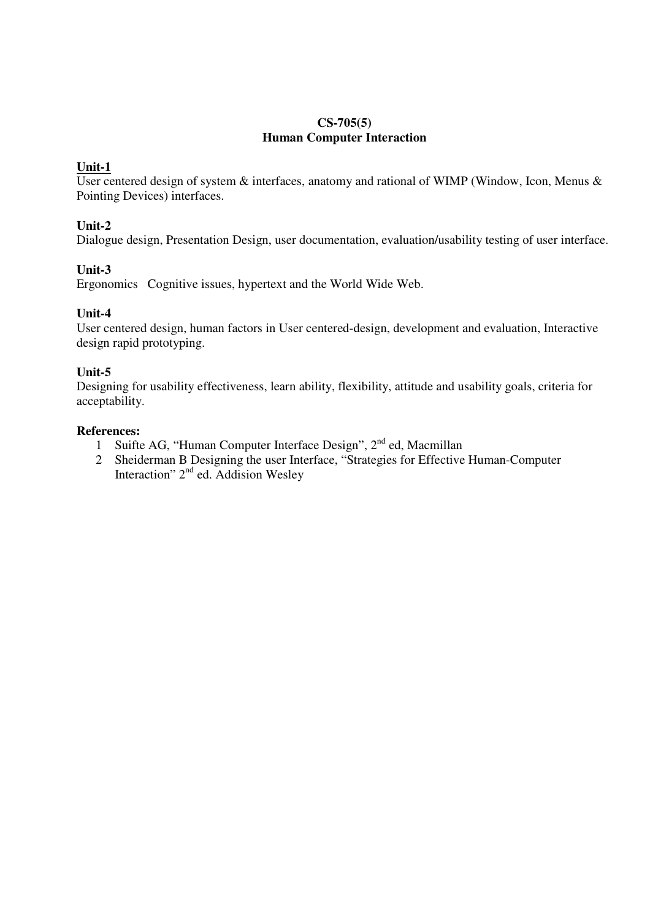## **CS-705(5) Human Computer Interaction**

## **Unit-1**

User centered design of system  $\&$  interfaces, anatomy and rational of WIMP (Window, Icon, Menus  $\&$ Pointing Devices) interfaces.

## **Unit-2**

Dialogue design, Presentation Design, user documentation, evaluation/usability testing of user interface.

## **Unit-3**

Ergonomics Cognitive issues, hypertext and the World Wide Web.

## **Unit-4**

User centered design, human factors in User centered-design, development and evaluation, Interactive design rapid prototyping.

## **Unit-5**

Designing for usability effectiveness, learn ability, flexibility, attitude and usability goals, criteria for acceptability.

- 1 Suifte AG, "Human Computer Interface Design", 2<sup>nd</sup> ed, Macmillan
- 2 Sheiderman B Designing the user Interface, "Strategies for Effective Human-Computer Interaction" 2<sup>nd</sup> ed. Addision Wesley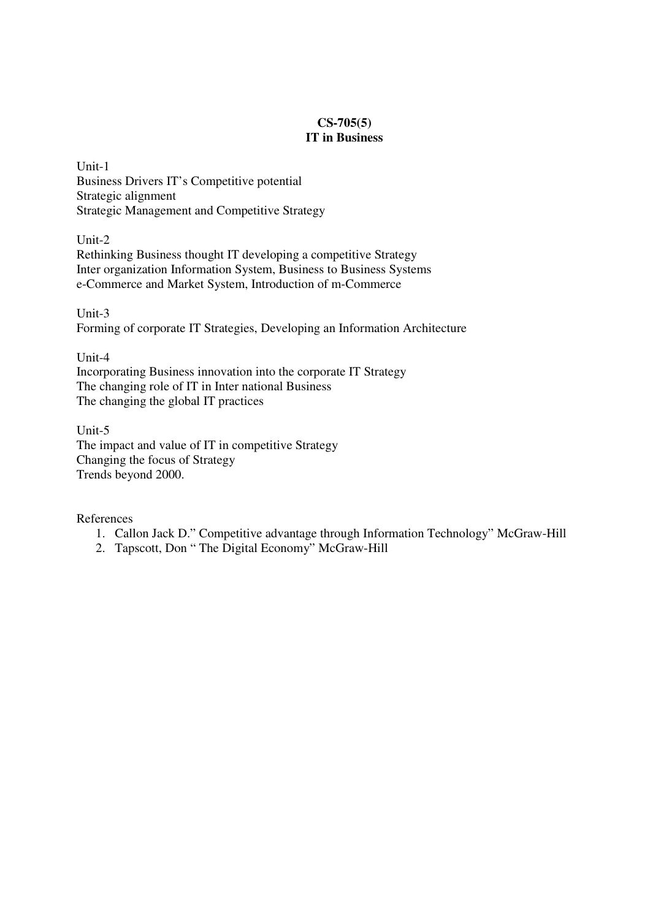## **CS-705(5) IT in Business**

Unit-1 Business Drivers IT's Competitive potential Strategic alignment Strategic Management and Competitive Strategy

Unit-2

Rethinking Business thought IT developing a competitive Strategy Inter organization Information System, Business to Business Systems e-Commerce and Market System, Introduction of m-Commerce

Unit-3 Forming of corporate IT Strategies, Developing an Information Architecture

Unit-4

Incorporating Business innovation into the corporate IT Strategy The changing role of IT in Inter national Business The changing the global IT practices

Unit-5 The impact and value of IT in competitive Strategy Changing the focus of Strategy Trends beyond 2000.

- 1. Callon Jack D." Competitive advantage through Information Technology" McGraw-Hill
- 2. Tapscott, Don " The Digital Economy" McGraw-Hill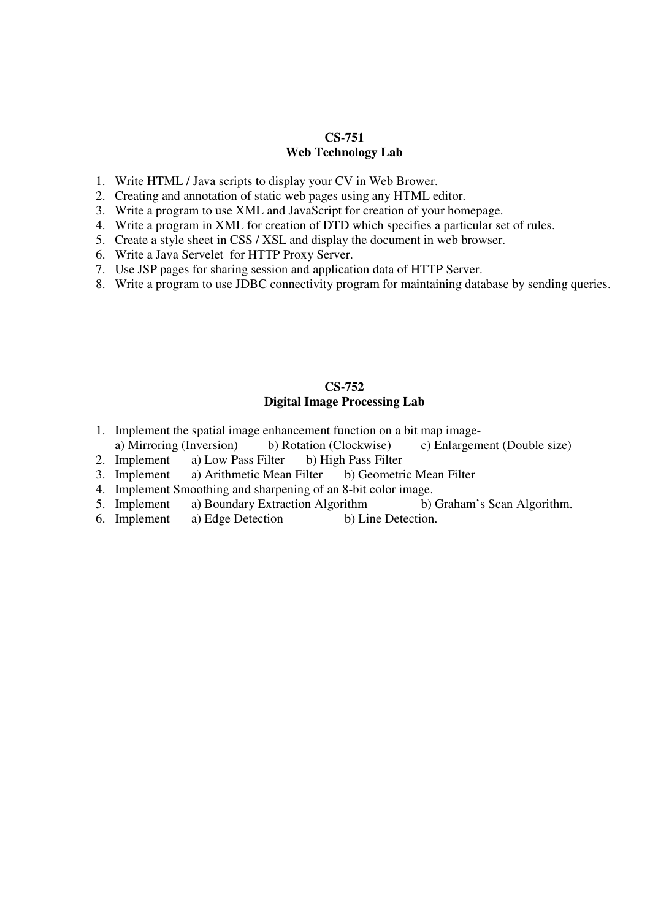## **CS-751 Web Technology Lab**

- 1. Write HTML / Java scripts to display your CV in Web Brower.
- 2. Creating and annotation of static web pages using any HTML editor.
- 3. Write a program to use XML and JavaScript for creation of your homepage.
- 4. Write a program in XML for creation of DTD which specifies a particular set of rules.
- 5. Create a style sheet in CSS / XSL and display the document in web browser.
- 6. Write a Java Servelet for HTTP Proxy Server.
- 7. Use JSP pages for sharing session and application data of HTTP Server.
- 8. Write a program to use JDBC connectivity program for maintaining database by sending queries.

## **CS-752 Digital Image Processing Lab**

- 1. Implement the spatial image enhancement function on a bit map image-
- a) Mirroring (Inversion) b) Rotation (Clockwise) c) Enlargement (Double size) 2. Implement a) Low Pass Filter b) High Pass Filter
- b) High Pass Filter
- 3. Implement a) Arithmetic Mean Filter b) Geometric Mean Filter
- 4. Implement Smoothing and sharpening of an 8-bit color image.
- 5. Implement a) Boundary Extraction Algorithm b) Graham's Scan Algorithm.
- 6. Implement a) Edge Detection b) Line Detection.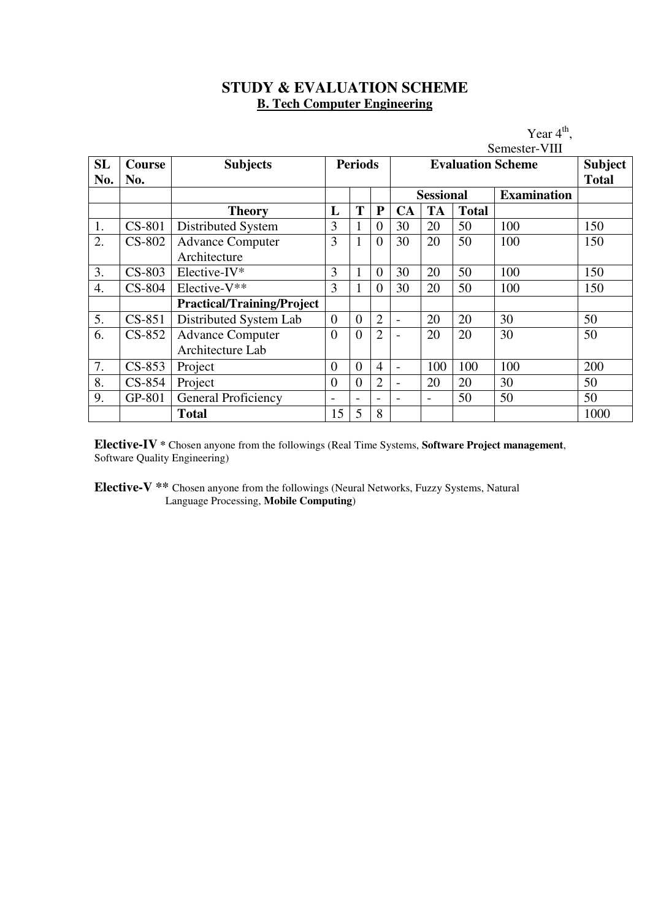# **STUDY & EVALUATION SCHEME B. Tech Computer Engineering**

|     |               |                                   |                          |                          |                | Year $4th$ .             |                          |                |                    |      |  |  |
|-----|---------------|-----------------------------------|--------------------------|--------------------------|----------------|--------------------------|--------------------------|----------------|--------------------|------|--|--|
|     |               |                                   |                          |                          |                | Semester-VIII            |                          |                |                    |      |  |  |
| SL  | <b>Course</b> | <b>Subjects</b>                   | <b>Periods</b>           |                          |                |                          | <b>Evaluation Scheme</b> | <b>Subject</b> |                    |      |  |  |
| No. | No.           |                                   |                          |                          |                |                          | <b>Total</b>             |                |                    |      |  |  |
|     |               |                                   |                          |                          |                |                          | <b>Sessional</b>         |                | <b>Examination</b> |      |  |  |
|     |               | <b>Theory</b>                     | L                        | T                        | ${\bf P}$      | <b>CA</b>                | <b>TA</b>                | <b>Total</b>   |                    |      |  |  |
| 1.  | CS-801        | Distributed System                | 3                        | 1                        | $\overline{0}$ | 30                       | 20                       | 50             | 100                | 150  |  |  |
| 2.  | <b>CS-802</b> | <b>Advance Computer</b>           | 3                        | $\mathbf{1}$             | $\overline{0}$ | 30                       | 20                       | 50             | 100                | 150  |  |  |
|     |               | Architecture                      |                          |                          |                |                          |                          |                |                    |      |  |  |
| 3.  | $CS-803$      | Elective-IV*                      | 3                        | 1                        | $\overline{0}$ | 30                       | 20                       | 50             | 100                | 150  |  |  |
| 4.  | <b>CS-804</b> | Elective-V**                      | 3                        | $\mathbf{1}$             | $\overline{0}$ | 30                       | 20                       | 50             | 100                | 150  |  |  |
|     |               | <b>Practical/Training/Project</b> |                          |                          |                |                          |                          |                |                    |      |  |  |
| 5.  | CS-851        | Distributed System Lab            | $\overline{0}$           | $\theta$                 | $\overline{2}$ | $\overline{\phantom{a}}$ | 20                       | 20             | 30                 | 50   |  |  |
| 6.  | $CS-852$      | <b>Advance Computer</b>           | $\overline{0}$           | $\overline{0}$           | $\overline{2}$ |                          | 20                       | 20             | 30                 | 50   |  |  |
|     |               | Architecture Lab                  |                          |                          |                |                          |                          |                |                    |      |  |  |
| 7.  | $CS-853$      | Project                           | $\overline{0}$           | $\overline{0}$           | $\overline{4}$ | $\overline{\phantom{0}}$ | 100                      | 100            | 100                | 200  |  |  |
| 8.  | $CS-854$      | Project                           | $\overline{0}$           | $\overline{0}$           | $\overline{2}$ |                          | 20                       | 20             | 30                 | 50   |  |  |
| 9.  | GP-801        | <b>General Proficiency</b>        | $\overline{\phantom{a}}$ | $\overline{\phantom{0}}$ |                |                          | $\overline{\phantom{a}}$ | 50             | 50                 | 50   |  |  |
|     |               | <b>Total</b>                      | 15                       | 5                        | 8              |                          |                          |                |                    | 1000 |  |  |

**Elective-IV \*** Chosen anyone from the followings (Real Time Systems, **Software Project management**, Software Quality Engineering)

**Elective-V \*\*** Chosen anyone from the followings (Neural Networks, Fuzzy Systems, Natural Language Processing, **Mobile Computing**)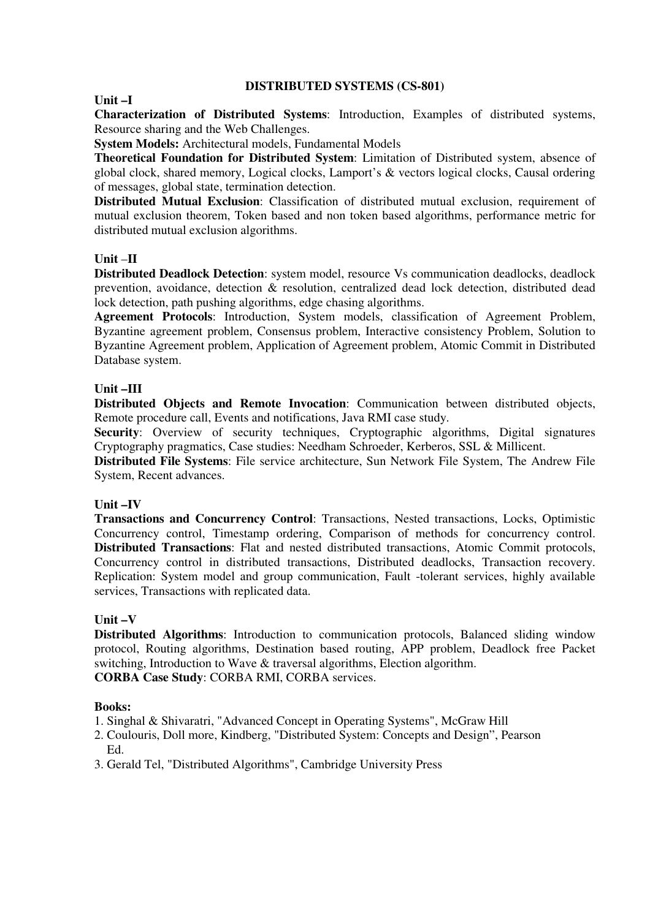### **DISTRIBUTED SYSTEMS (CS-801)**

#### **Unit –I**

**Characterization of Distributed Systems**: Introduction, Examples of distributed systems, Resource sharing and the Web Challenges.

**System Models:** Architectural models, Fundamental Models

**Theoretical Foundation for Distributed System**: Limitation of Distributed system, absence of global clock, shared memory, Logical clocks, Lamport's & vectors logical clocks, Causal ordering of messages, global state, termination detection.

**Distributed Mutual Exclusion**: Classification of distributed mutual exclusion, requirement of mutual exclusion theorem, Token based and non token based algorithms, performance metric for distributed mutual exclusion algorithms.

## **Unit** –**II**

**Distributed Deadlock Detection**: system model, resource Vs communication deadlocks, deadlock prevention, avoidance, detection & resolution, centralized dead lock detection, distributed dead lock detection, path pushing algorithms, edge chasing algorithms.

**Agreement Protocols**: Introduction, System models, classification of Agreement Problem, Byzantine agreement problem, Consensus problem, Interactive consistency Problem, Solution to Byzantine Agreement problem, Application of Agreement problem, Atomic Commit in Distributed Database system.

### **Unit –III**

**Distributed Objects and Remote Invocation**: Communication between distributed objects, Remote procedure call, Events and notifications, Java RMI case study.

**Security:** Overview of security techniques, Cryptographic algorithms, Digital signatures Cryptography pragmatics, Case studies: Needham Schroeder, Kerberos, SSL & Millicent.

**Distributed File Systems**: File service architecture, Sun Network File System, The Andrew File System, Recent advances.

## **Unit –IV**

**Transactions and Concurrency Control**: Transactions, Nested transactions, Locks, Optimistic Concurrency control, Timestamp ordering, Comparison of methods for concurrency control. **Distributed Transactions**: Flat and nested distributed transactions, Atomic Commit protocols, Concurrency control in distributed transactions, Distributed deadlocks, Transaction recovery. Replication: System model and group communication, Fault -tolerant services, highly available services, Transactions with replicated data.

## **Unit –V**

**Distributed Algorithms**: Introduction to communication protocols, Balanced sliding window protocol, Routing algorithms, Destination based routing, APP problem, Deadlock free Packet switching, Introduction to Wave & traversal algorithms, Election algorithm.

**CORBA Case Study**: CORBA RMI, CORBA services.

- 1. Singhal & Shivaratri, "Advanced Concept in Operating Systems", McGraw Hill
- 2. Coulouris, Doll more, Kindberg, "Distributed System: Concepts and Design", Pearson Ed.
- 3. Gerald Tel, "Distributed Algorithms", Cambridge University Press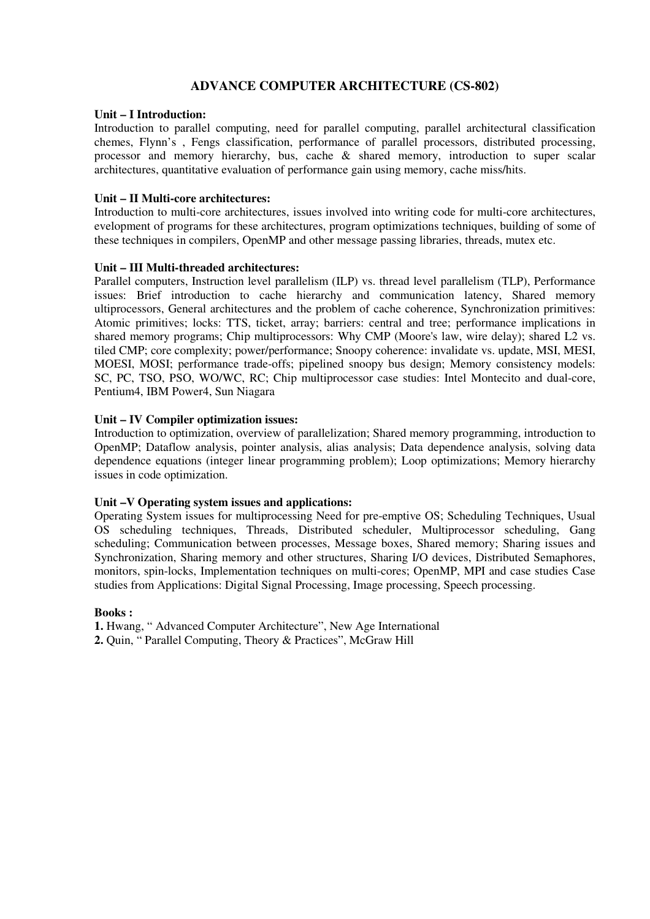## **ADVANCE COMPUTER ARCHITECTURE (CS-802)**

#### **Unit – I Introduction:**

Introduction to parallel computing, need for parallel computing, parallel architectural classification chemes, Flynn's , Fengs classification, performance of parallel processors, distributed processing, processor and memory hierarchy, bus, cache & shared memory, introduction to super scalar architectures, quantitative evaluation of performance gain using memory, cache miss/hits.

#### **Unit – II Multi-core architectures:**

Introduction to multi-core architectures, issues involved into writing code for multi-core architectures, evelopment of programs for these architectures, program optimizations techniques, building of some of these techniques in compilers, OpenMP and other message passing libraries, threads, mutex etc.

#### **Unit – III Multi-threaded architectures:**

Parallel computers, Instruction level parallelism (ILP) vs. thread level parallelism (TLP), Performance issues: Brief introduction to cache hierarchy and communication latency, Shared memory ultiprocessors, General architectures and the problem of cache coherence, Synchronization primitives: Atomic primitives; locks: TTS, ticket, array; barriers: central and tree; performance implications in shared memory programs; Chip multiprocessors: Why CMP (Moore's law, wire delay); shared L2 vs. tiled CMP; core complexity; power/performance; Snoopy coherence: invalidate vs. update, MSI, MESI, MOESI, MOSI; performance trade-offs; pipelined snoopy bus design; Memory consistency models: SC, PC, TSO, PSO, WO/WC, RC; Chip multiprocessor case studies: Intel Montecito and dual-core, Pentium4, IBM Power4, Sun Niagara

#### **Unit – IV Compiler optimization issues:**

Introduction to optimization, overview of parallelization; Shared memory programming, introduction to OpenMP; Dataflow analysis, pointer analysis, alias analysis; Data dependence analysis, solving data dependence equations (integer linear programming problem); Loop optimizations; Memory hierarchy issues in code optimization.

#### **Unit –V Operating system issues and applications:**

Operating System issues for multiprocessing Need for pre-emptive OS; Scheduling Techniques, Usual OS scheduling techniques, Threads, Distributed scheduler, Multiprocessor scheduling, Gang scheduling; Communication between processes, Message boxes, Shared memory; Sharing issues and Synchronization, Sharing memory and other structures, Sharing I/O devices, Distributed Semaphores, monitors, spin-locks, Implementation techniques on multi-cores; OpenMP, MPI and case studies Case studies from Applications: Digital Signal Processing, Image processing, Speech processing.

#### **Books :**

**1.** Hwang, " Advanced Computer Architecture", New Age International

**2.** Quin, " Parallel Computing, Theory & Practices", McGraw Hill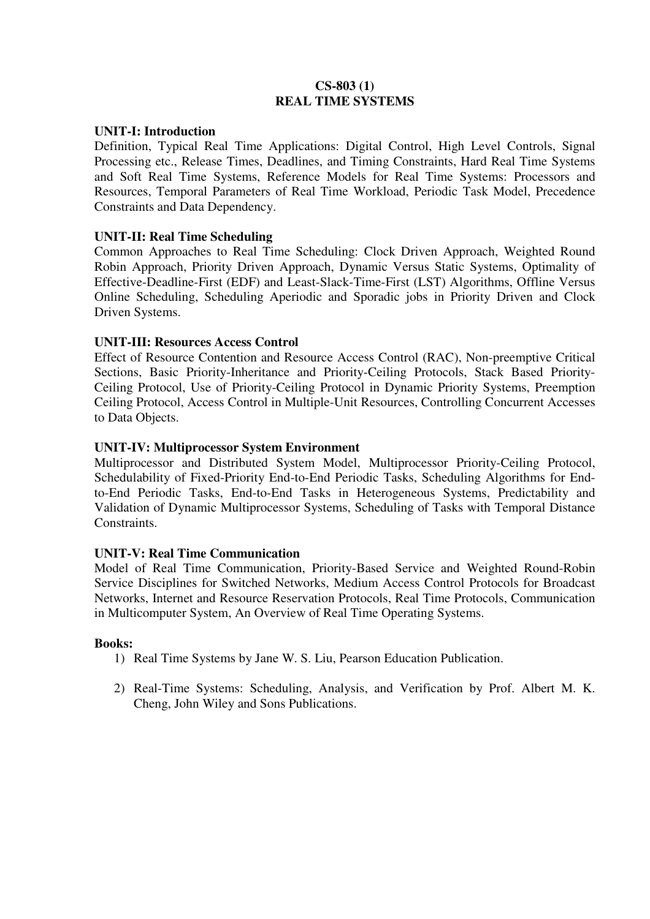## **CS-803 (1) REAL TIME SYSTEMS**

## **UNIT-I: Introduction**

Definition, Typical Real Time Applications: Digital Control, High Level Controls, Signal Processing etc., Release Times, Deadlines, and Timing Constraints, Hard Real Time Systems and Soft Real Time Systems, Reference Models for Real Time Systems: Processors and Resources, Temporal Parameters of Real Time Workload, Periodic Task Model, Precedence Constraints and Data Dependency.

## **UNIT-II: Real Time Scheduling**

Common Approaches to Real Time Scheduling: Clock Driven Approach, Weighted Round Robin Approach, Priority Driven Approach, Dynamic Versus Static Systems, Optimality of Effective-Deadline-First (EDF) and Least-Slack-Time-First (LST) Algorithms, Offline Versus Online Scheduling, Scheduling Aperiodic and Sporadic jobs in Priority Driven and Clock Driven Systems.

## **UNIT-III: Resources Access Control**

Effect of Resource Contention and Resource Access Control (RAC), Non-preemptive Critical Sections, Basic Priority-Inheritance and Priority-Ceiling Protocols, Stack Based Priority-Ceiling Protocol, Use of Priority-Ceiling Protocol in Dynamic Priority Systems, Preemption Ceiling Protocol, Access Control in Multiple-Unit Resources, Controlling Concurrent Accesses to Data Objects.

## **UNIT-IV: Multiprocessor System Environment**

Multiprocessor and Distributed System Model, Multiprocessor Priority-Ceiling Protocol, Schedulability of Fixed-Priority End-to-End Periodic Tasks, Scheduling Algorithms for Endto-End Periodic Tasks, End-to-End Tasks in Heterogeneous Systems, Predictability and Validation of Dynamic Multiprocessor Systems, Scheduling of Tasks with Temporal Distance Constraints.

## **UNIT-V: Real Time Communication**

Model of Real Time Communication, Priority-Based Service and Weighted Round-Robin Service Disciplines for Switched Networks, Medium Access Control Protocols for Broadcast Networks, Internet and Resource Reservation Protocols, Real Time Protocols, Communication in Multicomputer System, An Overview of Real Time Operating Systems.

- 1) Real Time Systems by Jane W. S. Liu, Pearson Education Publication.
- 2) Real-Time Systems: Scheduling, Analysis, and Verification by Prof. Albert M. K. Cheng, John Wiley and Sons Publications.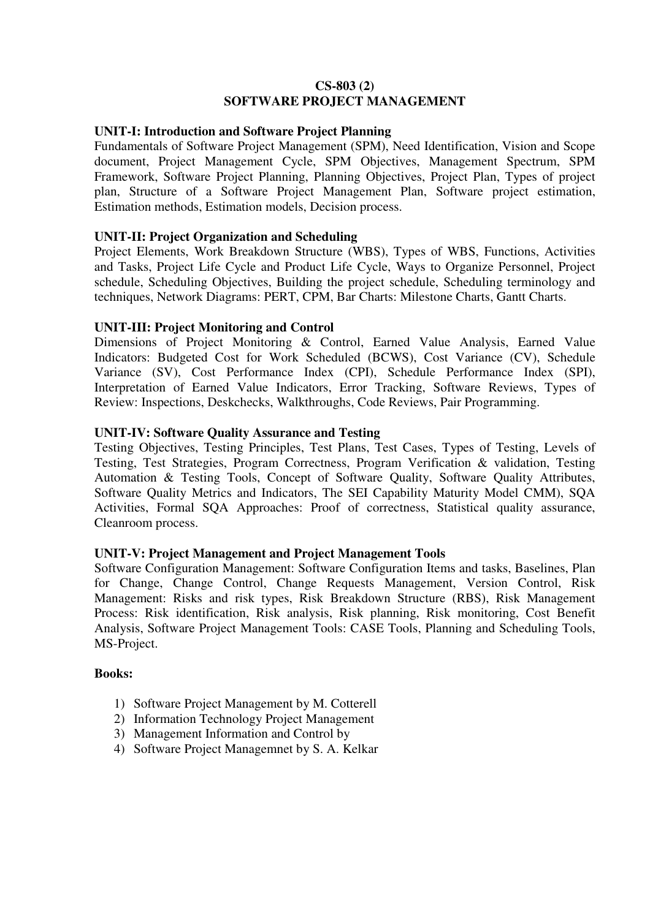## **CS-803 (2) SOFTWARE PROJECT MANAGEMENT**

## **UNIT-I: Introduction and Software Project Planning**

Fundamentals of Software Project Management (SPM), Need Identification, Vision and Scope document, Project Management Cycle, SPM Objectives, Management Spectrum, SPM Framework, Software Project Planning, Planning Objectives, Project Plan, Types of project plan, Structure of a Software Project Management Plan, Software project estimation, Estimation methods, Estimation models, Decision process.

## **UNIT-II: Project Organization and Scheduling**

Project Elements, Work Breakdown Structure (WBS), Types of WBS, Functions, Activities and Tasks, Project Life Cycle and Product Life Cycle, Ways to Organize Personnel, Project schedule, Scheduling Objectives, Building the project schedule, Scheduling terminology and techniques, Network Diagrams: PERT, CPM, Bar Charts: Milestone Charts, Gantt Charts.

## **UNIT-III: Project Monitoring and Control**

Dimensions of Project Monitoring & Control, Earned Value Analysis, Earned Value Indicators: Budgeted Cost for Work Scheduled (BCWS), Cost Variance (CV), Schedule Variance (SV), Cost Performance Index (CPI), Schedule Performance Index (SPI), Interpretation of Earned Value Indicators, Error Tracking, Software Reviews, Types of Review: Inspections, Deskchecks, Walkthroughs, Code Reviews, Pair Programming.

## **UNIT-IV: Software Quality Assurance and Testing**

Testing Objectives, Testing Principles, Test Plans, Test Cases, Types of Testing, Levels of Testing, Test Strategies, Program Correctness, Program Verification & validation, Testing Automation & Testing Tools, Concept of Software Quality, Software Quality Attributes, Software Quality Metrics and Indicators, The SEI Capability Maturity Model CMM), SQA Activities, Formal SQA Approaches: Proof of correctness, Statistical quality assurance, Cleanroom process.

## **UNIT-V: Project Management and Project Management Tools**

Software Configuration Management: Software Configuration Items and tasks, Baselines, Plan for Change, Change Control, Change Requests Management, Version Control, Risk Management: Risks and risk types, Risk Breakdown Structure (RBS), Risk Management Process: Risk identification, Risk analysis, Risk planning, Risk monitoring, Cost Benefit Analysis, Software Project Management Tools: CASE Tools, Planning and Scheduling Tools, MS-Project.

- 1) Software Project Management by M. Cotterell
- 2) Information Technology Project Management
- 3) Management Information and Control by
- 4) Software Project Managemnet by S. A. Kelkar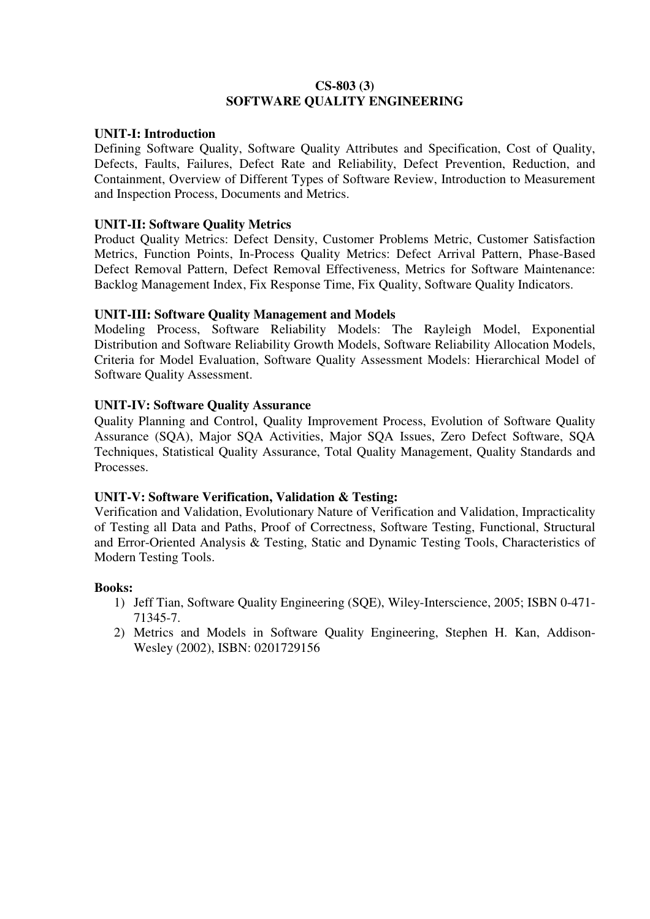## **CS-803 (3) SOFTWARE QUALITY ENGINEERING**

## **UNIT-I: Introduction**

Defining Software Quality, Software Quality Attributes and Specification, Cost of Quality, Defects, Faults, Failures, Defect Rate and Reliability, Defect Prevention, Reduction, and Containment, Overview of Different Types of Software Review, Introduction to Measurement and Inspection Process, Documents and Metrics.

## **UNIT-II: Software Quality Metrics**

Product Quality Metrics: Defect Density, Customer Problems Metric, Customer Satisfaction Metrics, Function Points, In-Process Quality Metrics: Defect Arrival Pattern, Phase-Based Defect Removal Pattern, Defect Removal Effectiveness, Metrics for Software Maintenance: Backlog Management Index, Fix Response Time, Fix Quality, Software Quality Indicators.

## **UNIT-III: Software Quality Management and Models**

Modeling Process, Software Reliability Models: The Rayleigh Model, Exponential Distribution and Software Reliability Growth Models, Software Reliability Allocation Models, Criteria for Model Evaluation, Software Quality Assessment Models: Hierarchical Model of Software Quality Assessment.

## **UNIT-IV: Software Quality Assurance**

Quality Planning and Control, Quality Improvement Process, Evolution of Software Quality Assurance (SQA), Major SQA Activities, Major SQA Issues, Zero Defect Software, SQA Techniques, Statistical Quality Assurance, Total Quality Management, Quality Standards and Processes.

## **UNIT-V: Software Verification, Validation & Testing:**

Verification and Validation, Evolutionary Nature of Verification and Validation, Impracticality of Testing all Data and Paths, Proof of Correctness, Software Testing, Functional, Structural and Error-Oriented Analysis & Testing, Static and Dynamic Testing Tools, Characteristics of Modern Testing Tools.

- 1) Jeff Tian, Software Quality Engineering (SQE), Wiley-Interscience, 2005; ISBN 0-471- 71345-7.
- 2) Metrics and Models in Software Quality Engineering, Stephen H. Kan, Addison-Wesley (2002), ISBN: 0201729156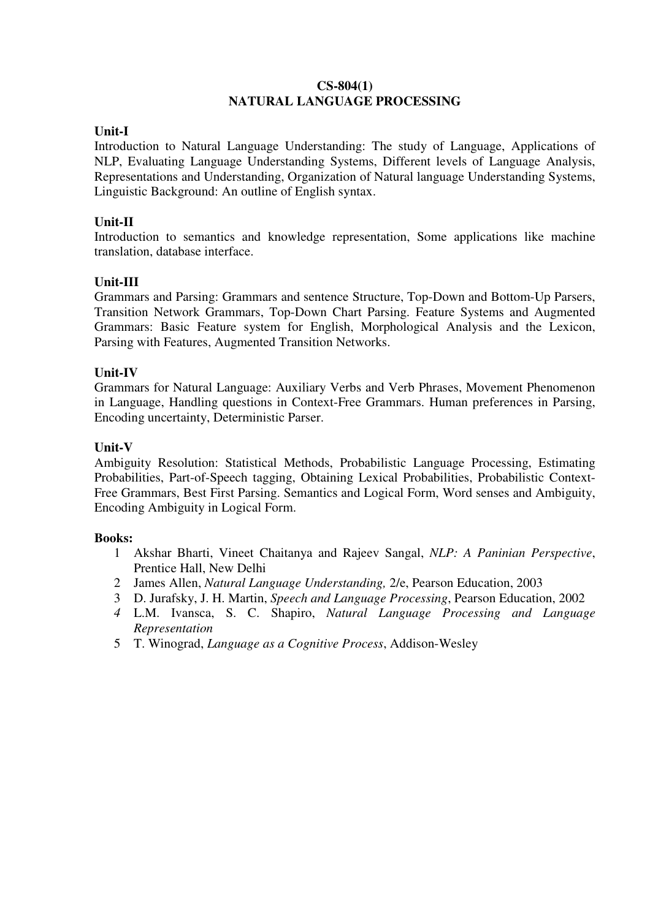#### **CS-804(1) NATURAL LANGUAGE PROCESSING**

# **Unit-I**

Introduction to Natural Language Understanding: The study of Language, Applications of NLP, Evaluating Language Understanding Systems, Different levels of Language Analysis, Representations and Understanding, Organization of Natural language Understanding Systems, Linguistic Background: An outline of English syntax.

# **Unit-II**

Introduction to semantics and knowledge representation, Some applications like machine translation, database interface.

### **Unit-III**

Grammars and Parsing: Grammars and sentence Structure, Top-Down and Bottom-Up Parsers, Transition Network Grammars, Top-Down Chart Parsing. Feature Systems and Augmented Grammars: Basic Feature system for English, Morphological Analysis and the Lexicon, Parsing with Features, Augmented Transition Networks.

### **Unit-IV**

Grammars for Natural Language: Auxiliary Verbs and Verb Phrases, Movement Phenomenon in Language, Handling questions in Context-Free Grammars. Human preferences in Parsing, Encoding uncertainty, Deterministic Parser.

#### **Unit-V**

Ambiguity Resolution: Statistical Methods, Probabilistic Language Processing, Estimating Probabilities, Part-of-Speech tagging, Obtaining Lexical Probabilities, Probabilistic Context-Free Grammars, Best First Parsing. Semantics and Logical Form, Word senses and Ambiguity, Encoding Ambiguity in Logical Form.

#### **Books:**

- 1 Akshar Bharti, Vineet Chaitanya and Rajeev Sangal, *NLP: A Paninian Perspective*, Prentice Hall, New Delhi
- 2 James Allen, *Natural Language Understanding,* 2/e, Pearson Education, 2003
- 3 D. Jurafsky, J. H. Martin, *Speech and Language Processing*, Pearson Education, 2002
- *4* L.M. Ivansca, S. C. Shapiro, *Natural Language Processing and Language Representation*
- 5 T. Winograd, *Language as a Cognitive Process*, Addison-Wesley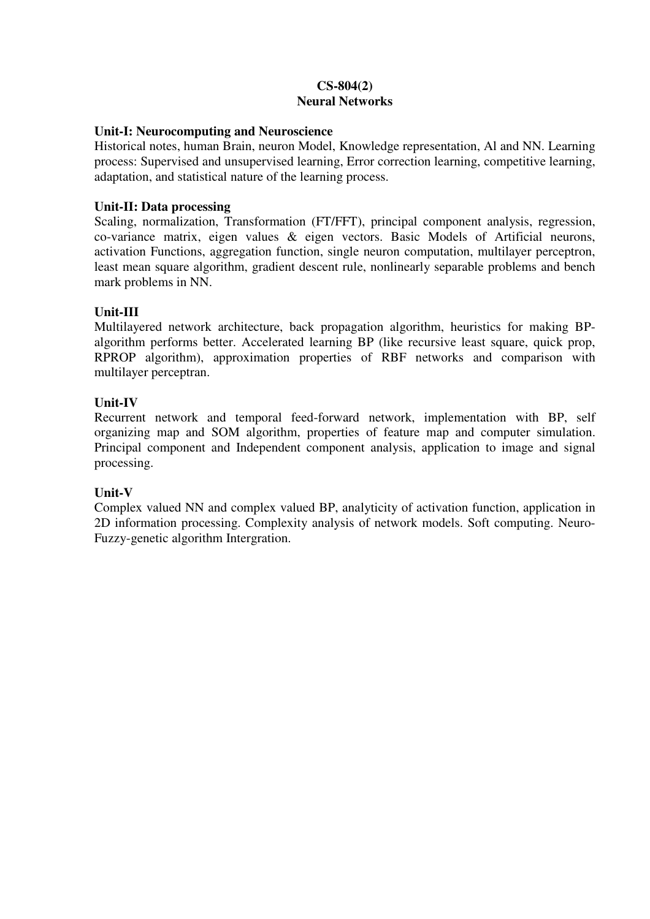### **CS-804(2) Neural Networks**

#### **Unit-I: Neurocomputing and Neuroscience**

Historical notes, human Brain, neuron Model, Knowledge representation, Al and NN. Learning process: Supervised and unsupervised learning, Error correction learning, competitive learning, adaptation, and statistical nature of the learning process.

# **Unit-II: Data processing**

Scaling, normalization, Transformation (FT/FFT), principal component analysis, regression, co-variance matrix, eigen values & eigen vectors. Basic Models of Artificial neurons, activation Functions, aggregation function, single neuron computation, multilayer perceptron, least mean square algorithm, gradient descent rule, nonlinearly separable problems and bench mark problems in NN.

# **Unit-III**

Multilayered network architecture, back propagation algorithm, heuristics for making BPalgorithm performs better. Accelerated learning BP (like recursive least square, quick prop, RPROP algorithm), approximation properties of RBF networks and comparison with multilayer perceptran.

# **Unit-IV**

Recurrent network and temporal feed-forward network, implementation with BP, self organizing map and SOM algorithm, properties of feature map and computer simulation. Principal component and Independent component analysis, application to image and signal processing.

# **Unit-V**

Complex valued NN and complex valued BP, analyticity of activation function, application in 2D information processing. Complexity analysis of network models. Soft computing. Neuro-Fuzzy-genetic algorithm Intergration.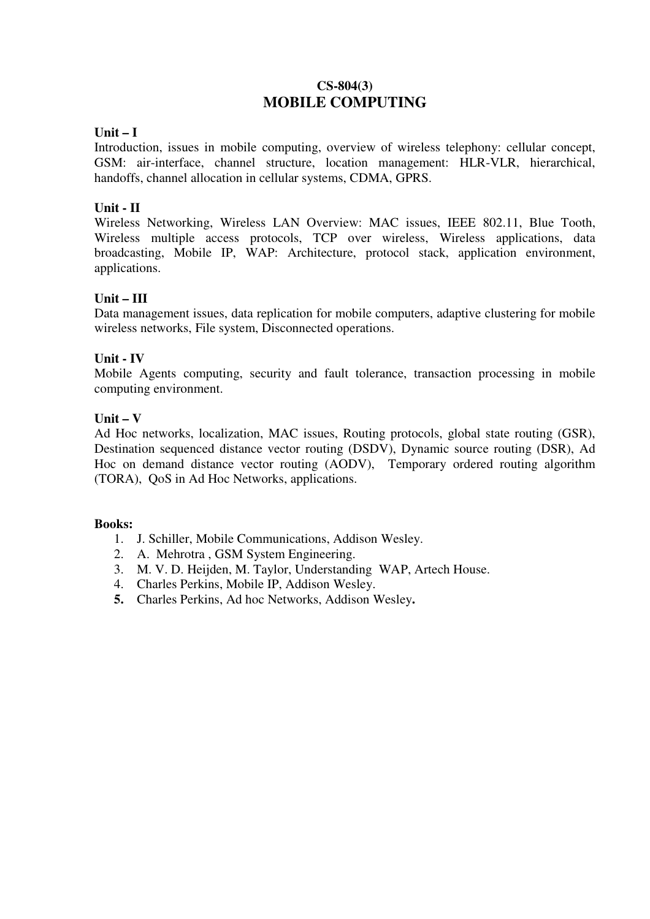# **CS-804(3) MOBILE COMPUTING**

# **Unit – I**

Introduction, issues in mobile computing, overview of wireless telephony: cellular concept, GSM: air-interface, channel structure, location management: HLR-VLR, hierarchical, handoffs, channel allocation in cellular systems, CDMA, GPRS.

# **Unit - II**

Wireless Networking, Wireless LAN Overview: MAC issues, IEEE 802.11, Blue Tooth, Wireless multiple access protocols, TCP over wireless, Wireless applications, data broadcasting, Mobile IP, WAP: Architecture, protocol stack, application environment, applications.

# **Unit – III**

Data management issues, data replication for mobile computers, adaptive clustering for mobile wireless networks, File system, Disconnected operations.

### **Unit - IV**

Mobile Agents computing, security and fault tolerance, transaction processing in mobile computing environment.

### **Unit – V**

Ad Hoc networks, localization, MAC issues, Routing protocols, global state routing (GSR), Destination sequenced distance vector routing (DSDV), Dynamic source routing (DSR), Ad Hoc on demand distance vector routing (AODV), Temporary ordered routing algorithm (TORA), QoS in Ad Hoc Networks, applications.

#### **Books:**

- 1. J. Schiller, Mobile Communications, Addison Wesley.
- 2. A. Mehrotra , GSM System Engineering.
- 3. M. V. D. Heijden, M. Taylor, Understanding WAP, Artech House.
- 4. Charles Perkins, Mobile IP, Addison Wesley.
- **5.** Charles Perkins, Ad hoc Networks, Addison Wesley**.**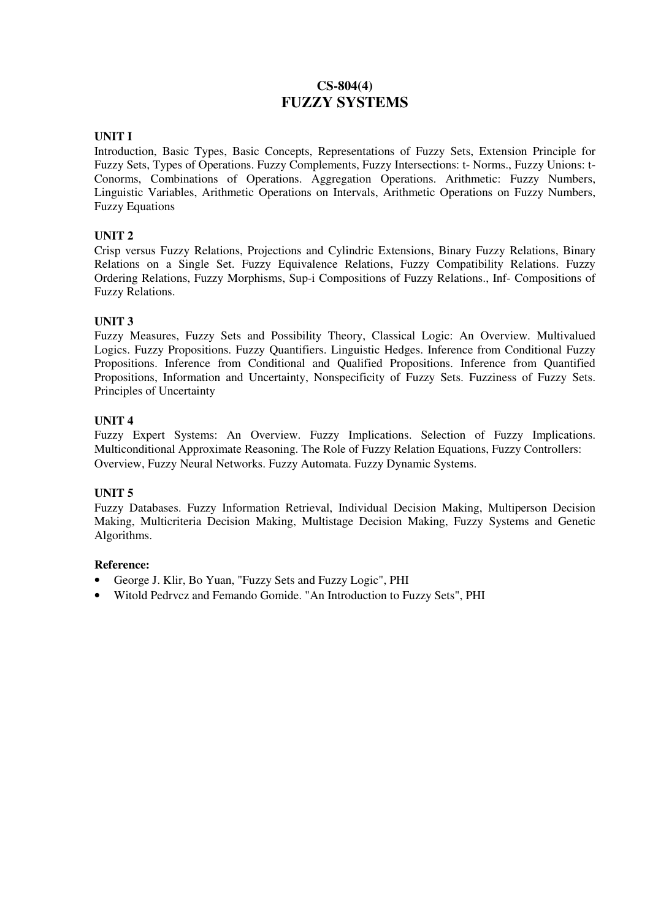# **CS-804(4) FUZZY SYSTEMS**

#### **UNIT I**

Introduction, Basic Types, Basic Concepts, Representations of Fuzzy Sets, Extension Principle for Fuzzy Sets, Types of Operations. Fuzzy Complements, Fuzzy Intersections: t- Norms., Fuzzy Unions: t-Conorms, Combinations of Operations. Aggregation Operations. Arithmetic: Fuzzy Numbers, Linguistic Variables, Arithmetic Operations on Intervals, Arithmetic Operations on Fuzzy Numbers, Fuzzy Equations

#### **UNIT 2**

Crisp versus Fuzzy Relations, Projections and Cylindric Extensions, Binary Fuzzy Relations, Binary Relations on a Single Set. Fuzzy Equivalence Relations, Fuzzy Compatibility Relations. Fuzzy Ordering Relations, Fuzzy Morphisms, Sup-i Compositions of Fuzzy Relations., Inf- Compositions of Fuzzy Relations.

#### **UNIT 3**

Fuzzy Measures, Fuzzy Sets and Possibility Theory, Classical Logic: An Overview. Multivalued Logics. Fuzzy Propositions. Fuzzy Quantifiers. Linguistic Hedges. Inference from Conditional Fuzzy Propositions. Inference from Conditional and Qualified Propositions. Inference from Quantified Propositions, Information and Uncertainty, Nonspecificity of Fuzzy Sets. Fuzziness of Fuzzy Sets. Principles of Uncertainty

#### **UNIT 4**

Fuzzy Expert Systems: An Overview. Fuzzy Implications. Selection of Fuzzy Implications. Multiconditional Approximate Reasoning. The Role of Fuzzy Relation Equations, Fuzzy Controllers: Overview, Fuzzy Neural Networks. Fuzzy Automata. Fuzzy Dynamic Systems.

#### **UNIT 5**

Fuzzy Databases. Fuzzy Information Retrieval, Individual Decision Making, Multiperson Decision Making, Multicriteria Decision Making, Multistage Decision Making, Fuzzy Systems and Genetic Algorithms.

#### **Reference:**

- George J. Klir, Bo Yuan, "Fuzzy Sets and Fuzzy Logic", PHI
- Witold Pedrvcz and Femando Gomide. "An Introduction to Fuzzy Sets", PHI